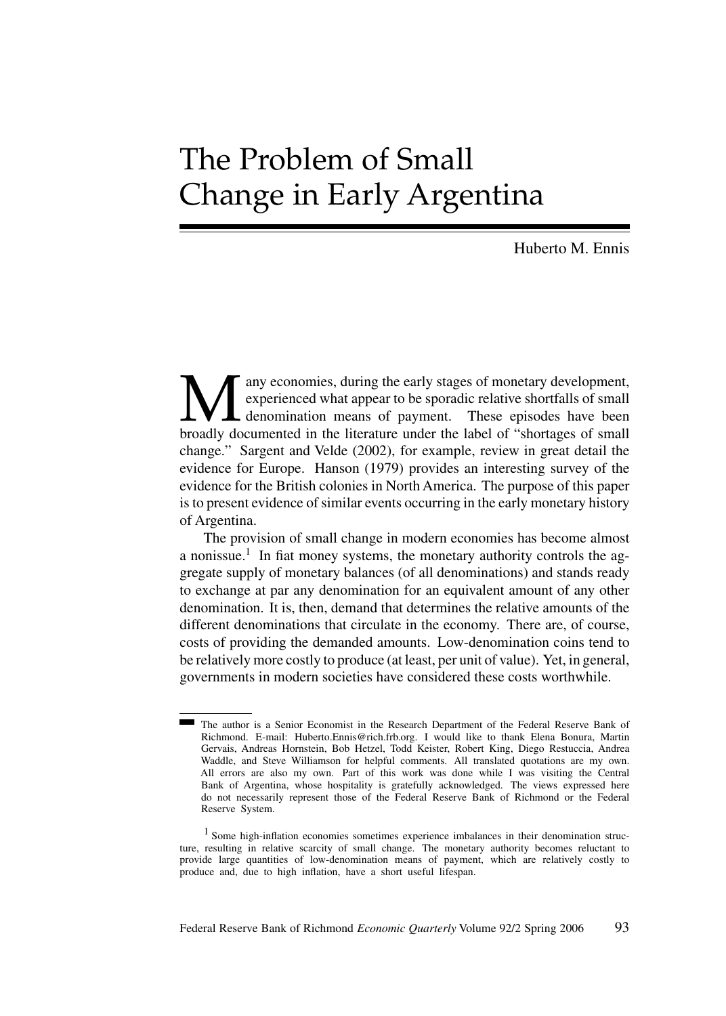# The Problem of Small Change in Early Argentina

Huberto M. Ennis

Many economies, during the early stages of monetary development,<br>experienced what appear to be sporadic relative shortfalls of small<br>broadly documented in the literature under the label of "shortages of small experienced what appear to be sporadic relative shortfalls of small denomination means of payment. These episodes have been change." Sargent and Velde (2002), for example, review in great detail the evidence for Europe. Hanson (1979) provides an interesting survey of the evidence for the British colonies in North America. The purpose of this paper is to present evidence of similar events occurring in the early monetary history of Argentina.

The provision of small change in modern economies has become almost a nonissue.<sup>1</sup> In fiat money systems, the monetary authority controls the aggregate supply of monetary balances (of all denominations) and stands ready to exchange at par any denomination for an equivalent amount of any other denomination. It is, then, demand that determines the relative amounts of the different denominations that circulate in the economy. There are, of course, costs of providing the demanded amounts. Low-denomination coins tend to be relatively more costly to produce (at least, per unit of value). Yet, in general, governments in modern societies have considered these costs worthwhile.

The author is a Senior Economist in the Research Department of the Federal Reserve Bank of Richmond. E-mail: Huberto.Ennis@rich.frb.org. I would like to thank Elena Bonura, Martin Gervais, Andreas Hornstein, Bob Hetzel, Todd Keister, Robert King, Diego Restuccia, Andrea Waddle, and Steve Williamson for helpful comments. All translated quotations are my own. All errors are also my own. Part of this work was done while I was visiting the Central Bank of Argentina, whose hospitality is gratefully acknowledged. The views expressed here do not necessarily represent those of the Federal Reserve Bank of Richmond or the Federal Reserve System.

<sup>&</sup>lt;sup>1</sup> Some high-inflation economies sometimes experience imbalances in their denomination structure, resulting in relative scarcity of small change. The monetary authority becomes reluctant to provide large quantities of low-denomination means of payment, which are relatively costly to produce and, due to high inflation, have a short useful lifespan.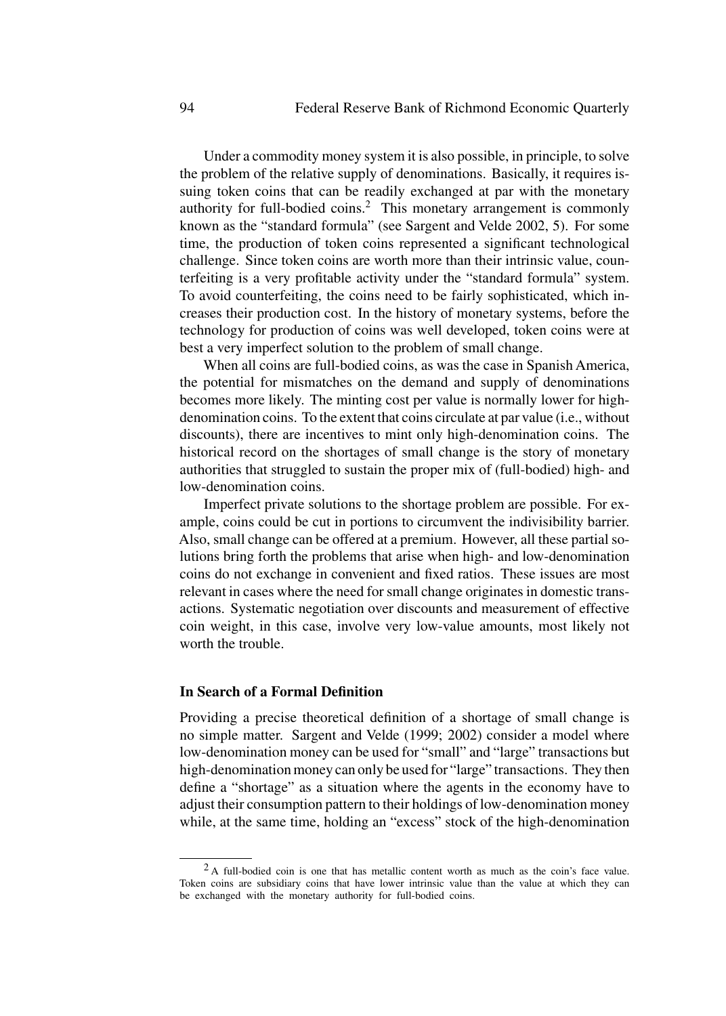Under a commodity money system it is also possible, in principle, to solve the problem of the relative supply of denominations. Basically, it requires issuing token coins that can be readily exchanged at par with the monetary authority for full-bodied coins.<sup>2</sup> This monetary arrangement is commonly known as the "standard formula" (see Sargent and Velde 2002, 5). For some time, the production of token coins represented a significant technological challenge. Since token coins are worth more than their intrinsic value, counterfeiting is a very profitable activity under the "standard formula" system. To avoid counterfeiting, the coins need to be fairly sophisticated, which increases their production cost. In the history of monetary systems, before the technology for production of coins was well developed, token coins were at best a very imperfect solution to the problem of small change.

When all coins are full-bodied coins, as was the case in Spanish America, the potential for mismatches on the demand and supply of denominations becomes more likely. The minting cost per value is normally lower for highdenomination coins. To the extent that coins circulate at par value (i.e., without discounts), there are incentives to mint only high-denomination coins. The historical record on the shortages of small change is the story of monetary authorities that struggled to sustain the proper mix of (full-bodied) high- and low-denomination coins.

Imperfect private solutions to the shortage problem are possible. For example, coins could be cut in portions to circumvent the indivisibility barrier. Also, small change can be offered at a premium. However, all these partial solutions bring forth the problems that arise when high- and low-denomination coins do not exchange in convenient and fixed ratios. These issues are most relevant in cases where the need for small change originates in domestic transactions. Systematic negotiation over discounts and measurement of effective coin weight, in this case, involve very low-value amounts, most likely not worth the trouble.

# **In Search of a Formal Definition**

Providing a precise theoretical definition of a shortage of small change is no simple matter. Sargent and Velde (1999; 2002) consider a model where low-denomination money can be used for "small" and "large" transactions but high-denomination money can only be used for "large" transactions. They then define a "shortage" as a situation where the agents in the economy have to adjust their consumption pattern to their holdings of low-denomination money while, at the same time, holding an "excess" stock of the high-denomination

<sup>&</sup>lt;sup>2</sup>A full-bodied coin is one that has metallic content worth as much as the coin's face value. Token coins are subsidiary coins that have lower intrinsic value than the value at which they can be exchanged with the monetary authority for full-bodied coins.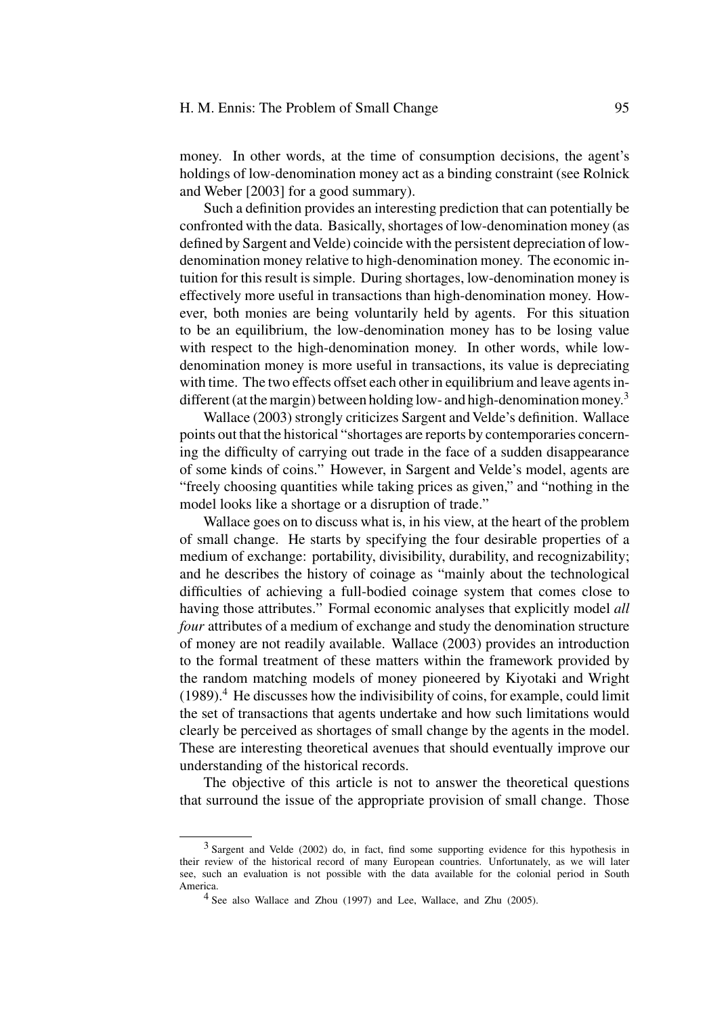## H. M. Ennis: The Problem of Small Change 95

money. In other words, at the time of consumption decisions, the agent's holdings of low-denomination money act as a binding constraint (see Rolnick and Weber [2003] for a good summary).

Such a definition provides an interesting prediction that can potentially be confronted with the data. Basically, shortages of low-denomination money (as defined by Sargent and Velde) coincide with the persistent depreciation of lowdenomination money relative to high-denomination money. The economic intuition for this result is simple. During shortages, low-denomination money is effectively more useful in transactions than high-denomination money. However, both monies are being voluntarily held by agents. For this situation to be an equilibrium, the low-denomination money has to be losing value with respect to the high-denomination money. In other words, while lowdenomination money is more useful in transactions, its value is depreciating with time. The two effects offset each other in equilibrium and leave agents indifferent (at the margin) between holding low- and high-denomination money.<sup>3</sup>

Wallace (2003) strongly criticizes Sargent and Velde's definition. Wallace points out that the historical "shortages are reports by contemporaries concerning the difficulty of carrying out trade in the face of a sudden disappearance of some kinds of coins." However, in Sargent and Velde's model, agents are "freely choosing quantities while taking prices as given," and "nothing in the model looks like a shortage or a disruption of trade."

Wallace goes on to discuss what is, in his view, at the heart of the problem of small change. He starts by specifying the four desirable properties of a medium of exchange: portability, divisibility, durability, and recognizability; and he describes the history of coinage as "mainly about the technological difficulties of achieving a full-bodied coinage system that comes close to having those attributes." Formal economic analyses that explicitly model *all four* attributes of a medium of exchange and study the denomination structure of money are not readily available. Wallace (2003) provides an introduction to the formal treatment of these matters within the framework provided by the random matching models of money pioneered by Kiyotaki and Wright  $(1989).$ <sup>4</sup> He discusses how the indivisibility of coins, for example, could limit the set of transactions that agents undertake and how such limitations would clearly be perceived as shortages of small change by the agents in the model. These are interesting theoretical avenues that should eventually improve our understanding of the historical records.

The objective of this article is not to answer the theoretical questions that surround the issue of the appropriate provision of small change. Those

<sup>3</sup> Sargent and Velde (2002) do, in fact, find some supporting evidence for this hypothesis in their review of the historical record of many European countries. Unfortunately, as we will later see, such an evaluation is not possible with the data available for the colonial period in South America.

<sup>4</sup> See also Wallace and Zhou (1997) and Lee, Wallace, and Zhu (2005).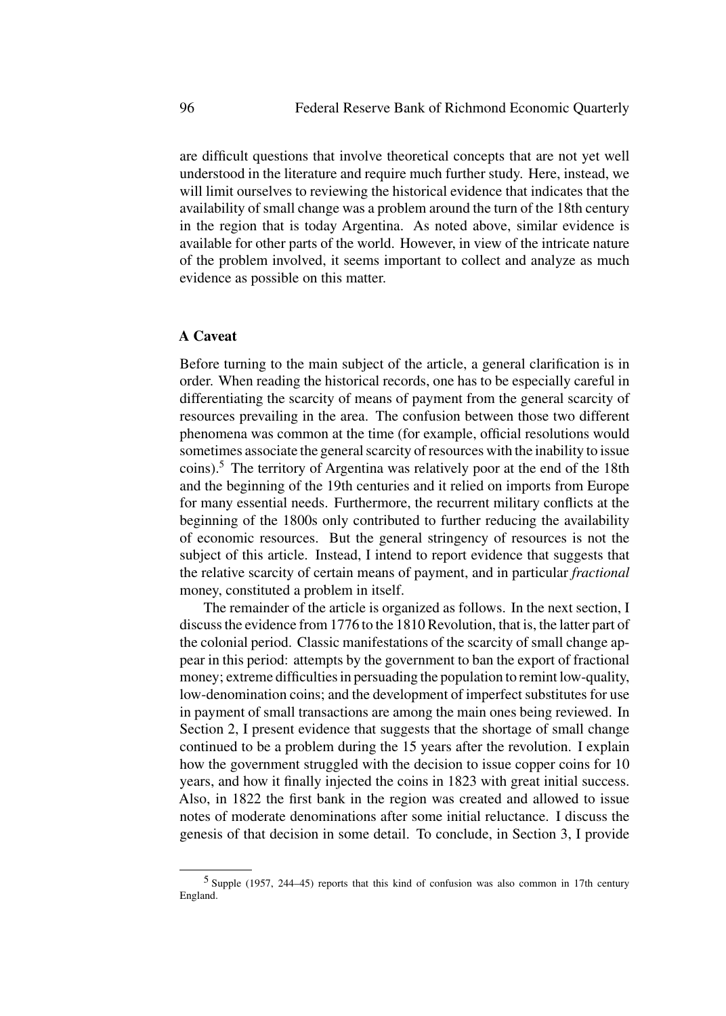are difficult questions that involve theoretical concepts that are not yet well understood in the literature and require much further study. Here, instead, we will limit ourselves to reviewing the historical evidence that indicates that the availability of small change was a problem around the turn of the 18th century in the region that is today Argentina. As noted above, similar evidence is available for other parts of the world. However, in view of the intricate nature of the problem involved, it seems important to collect and analyze as much evidence as possible on this matter.

# **A Caveat**

Before turning to the main subject of the article, a general clarification is in order. When reading the historical records, one has to be especially careful in differentiating the scarcity of means of payment from the general scarcity of resources prevailing in the area. The confusion between those two different phenomena was common at the time (for example, official resolutions would sometimes associate the general scarcity of resources with the inability to issue coins).<sup>5</sup> The territory of Argentina was relatively poor at the end of the 18th and the beginning of the 19th centuries and it relied on imports from Europe for many essential needs. Furthermore, the recurrent military conflicts at the beginning of the 1800s only contributed to further reducing the availability of economic resources. But the general stringency of resources is not the subject of this article. Instead, I intend to report evidence that suggests that the relative scarcity of certain means of payment, and in particular *fractional* money, constituted a problem in itself.

The remainder of the article is organized as follows. In the next section, I discuss the evidence from 1776 to the 1810 Revolution, that is, the latter part of the colonial period. Classic manifestations of the scarcity of small change appear in this period: attempts by the government to ban the export of fractional money; extreme difficulties in persuading the population to remint low-quality, low-denomination coins; and the development of imperfect substitutes for use in payment of small transactions are among the main ones being reviewed. In Section 2, I present evidence that suggests that the shortage of small change continued to be a problem during the 15 years after the revolution. I explain how the government struggled with the decision to issue copper coins for 10 years, and how it finally injected the coins in 1823 with great initial success. Also, in 1822 the first bank in the region was created and allowed to issue notes of moderate denominations after some initial reluctance. I discuss the genesis of that decision in some detail. To conclude, in Section 3, I provide

<sup>5</sup> Supple (1957, 244–45) reports that this kind of confusion was also common in 17th century England.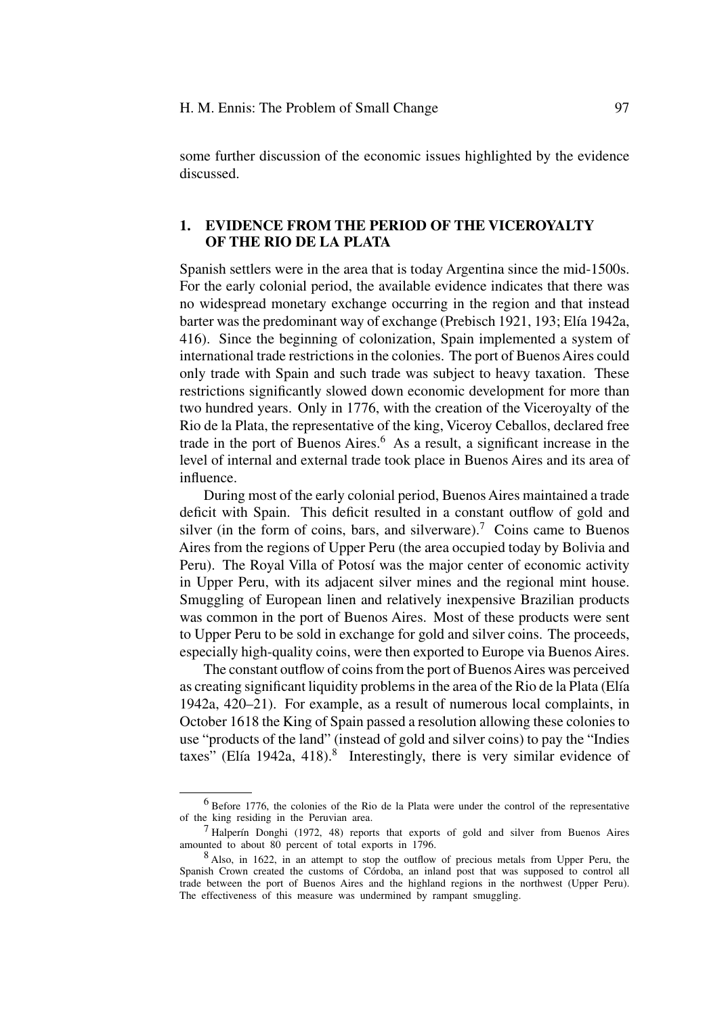some further discussion of the economic issues highlighted by the evidence discussed.

# **1. EVIDENCE FROM THE PERIOD OF THE VICEROYALTY OF THE RIO DE LA PLATA**

Spanish settlers were in the area that is today Argentina since the mid-1500s. For the early colonial period, the available evidence indicates that there was no widespread monetary exchange occurring in the region and that instead barter was the predominant way of exchange (Prebisch 1921, 193; Elía 1942a, 416). Since the beginning of colonization, Spain implemented a system of international trade restrictions in the colonies. The port of Buenos Aires could only trade with Spain and such trade was subject to heavy taxation. These restrictions significantly slowed down economic development for more than two hundred years. Only in 1776, with the creation of the Viceroyalty of the Rio de la Plata, the representative of the king, Viceroy Ceballos, declared free trade in the port of Buenos Aires.<sup>6</sup> As a result, a significant increase in the level of internal and external trade took place in Buenos Aires and its area of influence.

During most of the early colonial period, Buenos Aires maintained a trade deficit with Spain. This deficit resulted in a constant outflow of gold and silver (in the form of coins, bars, and silverware).<sup>7</sup> Coins came to Buenos Aires from the regions of Upper Peru (the area occupied today by Bolivia and Peru). The Royal Villa of Potosí was the major center of economic activity in Upper Peru, with its adjacent silver mines and the regional mint house. Smuggling of European linen and relatively inexpensive Brazilian products was common in the port of Buenos Aires. Most of these products were sent to Upper Peru to be sold in exchange for gold and silver coins. The proceeds, especially high-quality coins, were then exported to Europe via Buenos Aires.

The constant outflow of coins from the port of Buenos Aires was perceived as creating significant liquidity problems in the area of the Rio de la Plata (Elía) 1942a, 420–21). For example, as a result of numerous local complaints, in October 1618 the King of Spain passed a resolution allowing these colonies to use "products of the land" (instead of gold and silver coins) to pay the "Indies taxes" (Elía 1942a, 418).<sup>8</sup> Interestingly, there is very similar evidence of

<sup>&</sup>lt;sup>6</sup> Before 1776, the colonies of the Rio de la Plata were under the control of the representative of the king residing in the Peruvian area.

 $7$  Halperín Donghi (1972, 48) reports that exports of gold and silver from Buenos Aires amounted to about 80 percent of total exports in 1796.

<sup>8</sup> Also, in 1622, in an attempt to stop the outflow of precious metals from Upper Peru, the Spanish Crown created the customs of Córdoba, an inland post that was supposed to control all trade between the port of Buenos Aires and the highland regions in the northwest (Upper Peru). The effectiveness of this measure was undermined by rampant smuggling.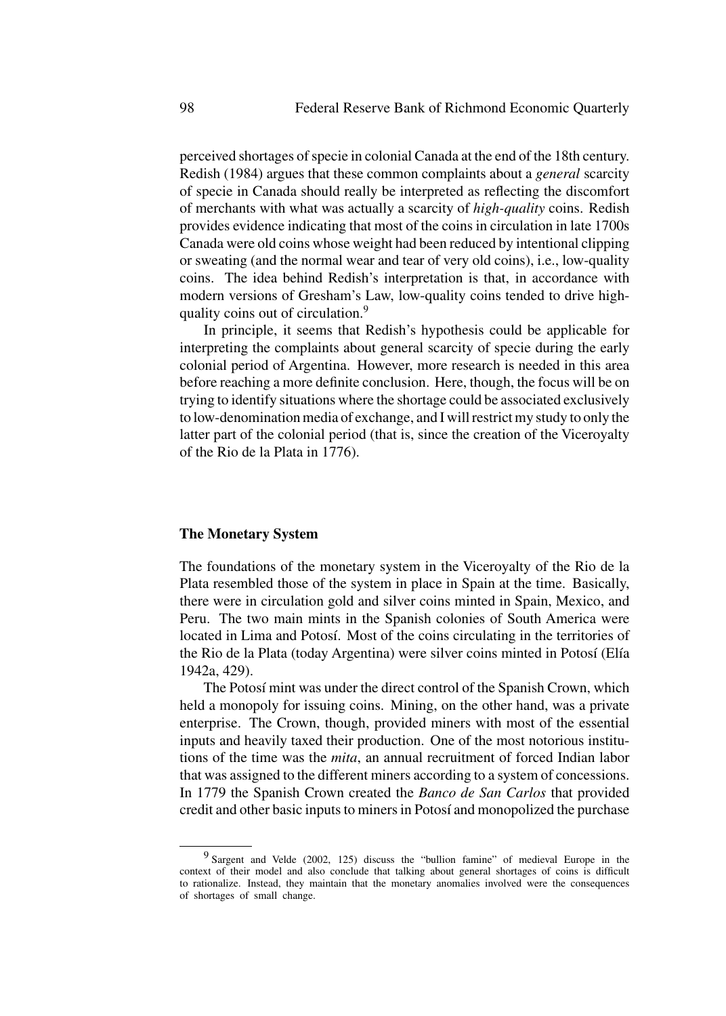perceived shortages of specie in colonial Canada at the end of the 18th century. Redish (1984) argues that these common complaints about a *general* scarcity of specie in Canada should really be interpreted as reflecting the discomfort of merchants with what was actually a scarcity of *high-quality* coins. Redish provides evidence indicating that most of the coins in circulation in late 1700s Canada were old coins whose weight had been reduced by intentional clipping or sweating (and the normal wear and tear of very old coins), i.e., low-quality coins. The idea behind Redish's interpretation is that, in accordance with modern versions of Gresham's Law, low-quality coins tended to drive highquality coins out of circulation.<sup>9</sup>

In principle, it seems that Redish's hypothesis could be applicable for interpreting the complaints about general scarcity of specie during the early colonial period of Argentina. However, more research is needed in this area before reaching a more definite conclusion. Here, though, the focus will be on trying to identify situations where the shortage could be associated exclusively to low-denomination media of exchange, and I will restrict my study to only the latter part of the colonial period (that is, since the creation of the Viceroyalty of the Rio de la Plata in 1776).

# **The Monetary System**

The foundations of the monetary system in the Viceroyalty of the Rio de la Plata resembled those of the system in place in Spain at the time. Basically, there were in circulation gold and silver coins minted in Spain, Mexico, and Peru. The two main mints in the Spanish colonies of South America were located in Lima and Potosí. Most of the coins circulating in the territories of the Rio de la Plata (today Argentina) were silver coins minted in Potosí (Elía 1942a, 429).

The Potosí mint was under the direct control of the Spanish Crown, which held a monopoly for issuing coins. Mining, on the other hand, was a private enterprise. The Crown, though, provided miners with most of the essential inputs and heavily taxed their production. One of the most notorious institutions of the time was the *mita*, an annual recruitment of forced Indian labor that was assigned to the different miners according to a system of concessions. In 1779 the Spanish Crown created the *Banco de San Carlos* that provided credit and other basic inputs to miners in Potosí and monopolized the purchase

<sup>9</sup> Sargent and Velde (2002, 125) discuss the "bullion famine" of medieval Europe in the context of their model and also conclude that talking about general shortages of coins is difficult to rationalize. Instead, they maintain that the monetary anomalies involved were the consequences of shortages of small change.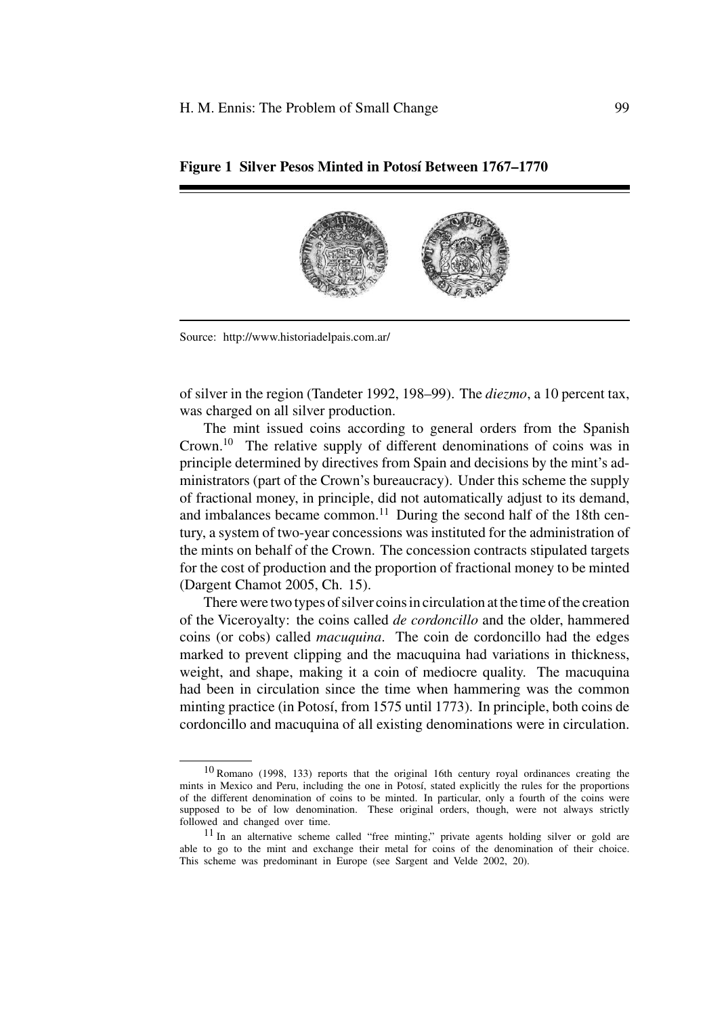

**Figure 1 Silver Pesos Minted in Potosí Between 1767–1770** 

Source: http://www.historiadelpais.com.ar/

of silver in the region (Tandeter 1992, 198–99). The *diezmo*, a 10 percent tax, was charged on all silver production.

The mint issued coins according to general orders from the Spanish Crown.10 The relative supply of different denominations of coins was in principle determined by directives from Spain and decisions by the mint's administrators (part of the Crown's bureaucracy). Under this scheme the supply of fractional money, in principle, did not automatically adjust to its demand, and imbalances became common.<sup>11</sup> During the second half of the 18th century, a system of two-year concessions was instituted for the administration of the mints on behalf of the Crown. The concession contracts stipulated targets for the cost of production and the proportion of fractional money to be minted (Dargent Chamot 2005, Ch. 15).

There were two types of silver coins in circulation at the time of the creation of the Viceroyalty: the coins called *de cordoncillo* and the older, hammered coins (or cobs) called *macuquina*. The coin de cordoncillo had the edges marked to prevent clipping and the macuquina had variations in thickness, weight, and shape, making it a coin of mediocre quality. The macuquina had been in circulation since the time when hammering was the common minting practice (in Potosí, from 1575 until 1773). In principle, both coins de cordoncillo and macuquina of all existing denominations were in circulation.

<sup>10</sup> Romano (1998, 133) reports that the original 16th century royal ordinances creating the mints in Mexico and Peru, including the one in Potosí, stated explicitly the rules for the proportions of the different denomination of coins to be minted. In particular, only a fourth of the coins were supposed to be of low denomination. These original orders, though, were not always strictly followed and changed over time.

<sup>11</sup> In an alternative scheme called "free minting," private agents holding silver or gold are able to go to the mint and exchange their metal for coins of the denomination of their choice. This scheme was predominant in Europe (see Sargent and Velde 2002, 20).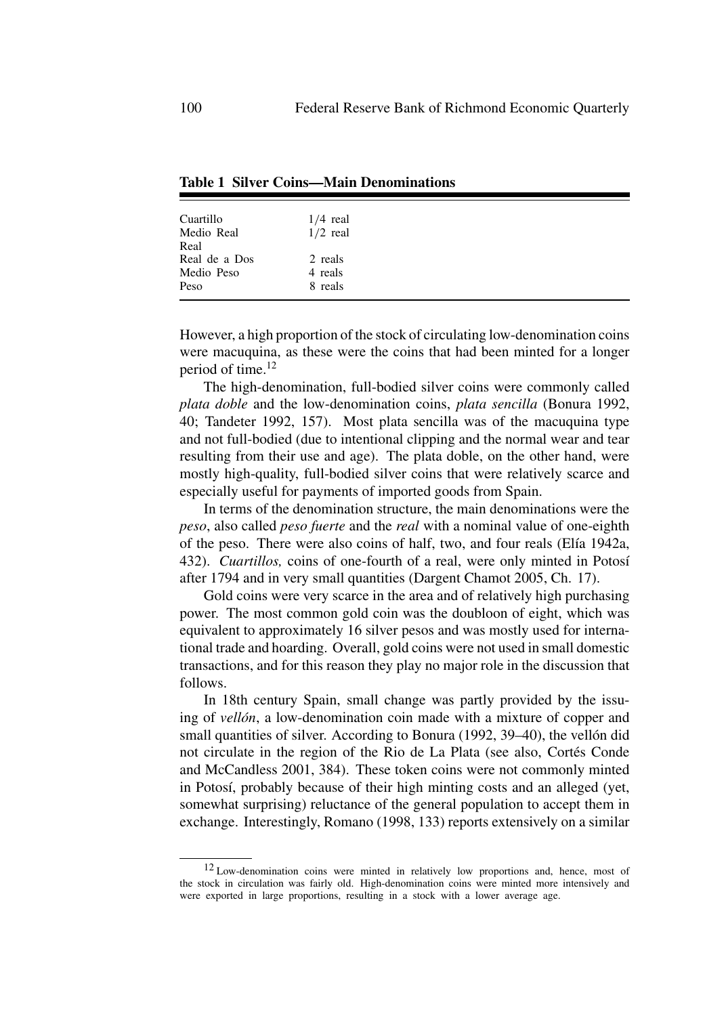| Cuartillo                   | $1/4$ real         |
|-----------------------------|--------------------|
| Medio Real<br>Real          | $1/2$ real         |
| Real de a Dos<br>Medio Peso | 2 reals<br>4 reals |
| Peso                        | 8 reals            |

**Table 1 Silver Coins—Main Denominations**

However, a high proportion of the stock of circulating low-denomination coins were macuquina, as these were the coins that had been minted for a longer period of time.<sup>12</sup>

The high-denomination, full-bodied silver coins were commonly called *plata doble* and the low-denomination coins, *plata sencilla* (Bonura 1992, 40; Tandeter 1992, 157). Most plata sencilla was of the macuquina type and not full-bodied (due to intentional clipping and the normal wear and tear resulting from their use and age). The plata doble, on the other hand, were mostly high-quality, full-bodied silver coins that were relatively scarce and especially useful for payments of imported goods from Spain.

In terms of the denomination structure, the main denominations were the *peso*, also called *peso fuerte* and the *real* with a nominal value of one-eighth of the peso. There were also coins of half, two, and four reals (Elía 1942a, 432). *Cuartillos*, coins of one-fourth of a real, were only minted in Potosí after 1794 and in very small quantities (Dargent Chamot 2005, Ch. 17).

Gold coins were very scarce in the area and of relatively high purchasing power. The most common gold coin was the doubloon of eight, which was equivalent to approximately 16 silver pesos and was mostly used for international trade and hoarding. Overall, gold coins were not used in small domestic transactions, and for this reason they play no major role in the discussion that follows.

In 18th century Spain, small change was partly provided by the issuing of *vellón*, a low-denomination coin made with a mixture of copper and small quantities of silver. According to Bonura  $(1992, 39-40)$ , the vellon did not circulate in the region of the Rio de La Plata (see also, Cortés Conde and McCandless 2001, 384). These token coins were not commonly minted in Potosí, probably because of their high minting costs and an alleged (yet, somewhat surprising) reluctance of the general population to accept them in exchange. Interestingly, Romano (1998, 133) reports extensively on a similar

<sup>&</sup>lt;sup>12</sup> Low-denomination coins were minted in relatively low proportions and, hence, most of the stock in circulation was fairly old. High-denomination coins were minted more intensively and were exported in large proportions, resulting in a stock with a lower average age.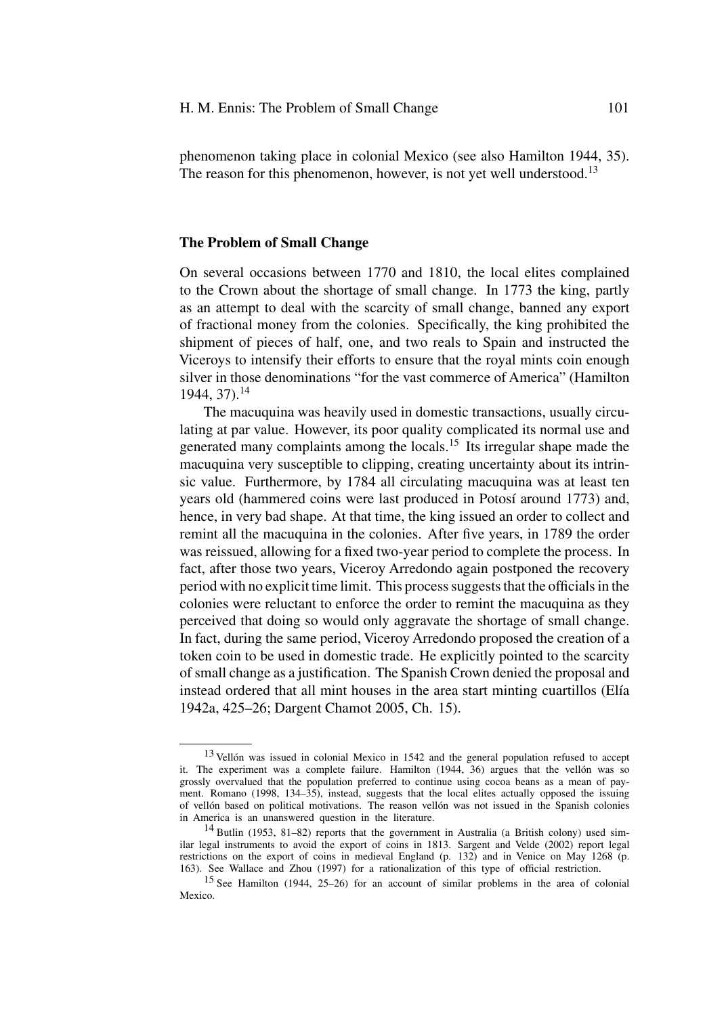phenomenon taking place in colonial Mexico (see also Hamilton 1944, 35). The reason for this phenomenon, however, is not yet well understood.<sup>13</sup>

#### **The Problem of Small Change**

On several occasions between 1770 and 1810, the local elites complained to the Crown about the shortage of small change. In 1773 the king, partly as an attempt to deal with the scarcity of small change, banned any export of fractional money from the colonies. Specifically, the king prohibited the shipment of pieces of half, one, and two reals to Spain and instructed the Viceroys to intensify their efforts to ensure that the royal mints coin enough silver in those denominations "for the vast commerce of America" (Hamilton 1944, 37).<sup>14</sup>

The macuquina was heavily used in domestic transactions, usually circulating at par value. However, its poor quality complicated its normal use and generated many complaints among the locals.<sup>15</sup> Its irregular shape made the macuquina very susceptible to clipping, creating uncertainty about its intrinsic value. Furthermore, by 1784 all circulating macuquina was at least ten years old (hammered coins were last produced in Potosí around 1773) and, hence, in very bad shape. At that time, the king issued an order to collect and remint all the macuquina in the colonies. After five years, in 1789 the order was reissued, allowing for a fixed two-year period to complete the process. In fact, after those two years, Viceroy Arredondo again postponed the recovery period with no explicit time limit. This process suggests that the officials in the colonies were reluctant to enforce the order to remint the macuquina as they perceived that doing so would only aggravate the shortage of small change. In fact, during the same period, Viceroy Arredondo proposed the creation of a token coin to be used in domestic trade. He explicitly pointed to the scarcity of small change as a justification. The Spanish Crown denied the proposal and instead ordered that all mint houses in the area start minting cuartillos (Elía 1942a, 425–26; Dargent Chamot 2005, Ch. 15).

 $13$  Vellón was issued in colonial Mexico in 1542 and the general population refused to accept it. The experiment was a complete failure. Hamilton  $(1944, 36)$  argues that the vellon was so grossly overvalued that the population preferred to continue using cocoa beans as a mean of payment. Romano (1998, 134–35), instead, suggests that the local elites actually opposed the issuing of vellón based on political motivations. The reason vellón was not issued in the Spanish colonies in America is an unanswered question in the literature.

<sup>14</sup> Butlin (1953, 81–82) reports that the government in Australia (a British colony) used similar legal instruments to avoid the export of coins in 1813. Sargent and Velde (2002) report legal restrictions on the export of coins in medieval England (p. 132) and in Venice on May 1268 (p. 163). See Wallace and Zhou (1997) for a rationalization of this type of official restriction.

<sup>15</sup> See Hamilton (1944, 25–26) for an account of similar problems in the area of colonial Mexico.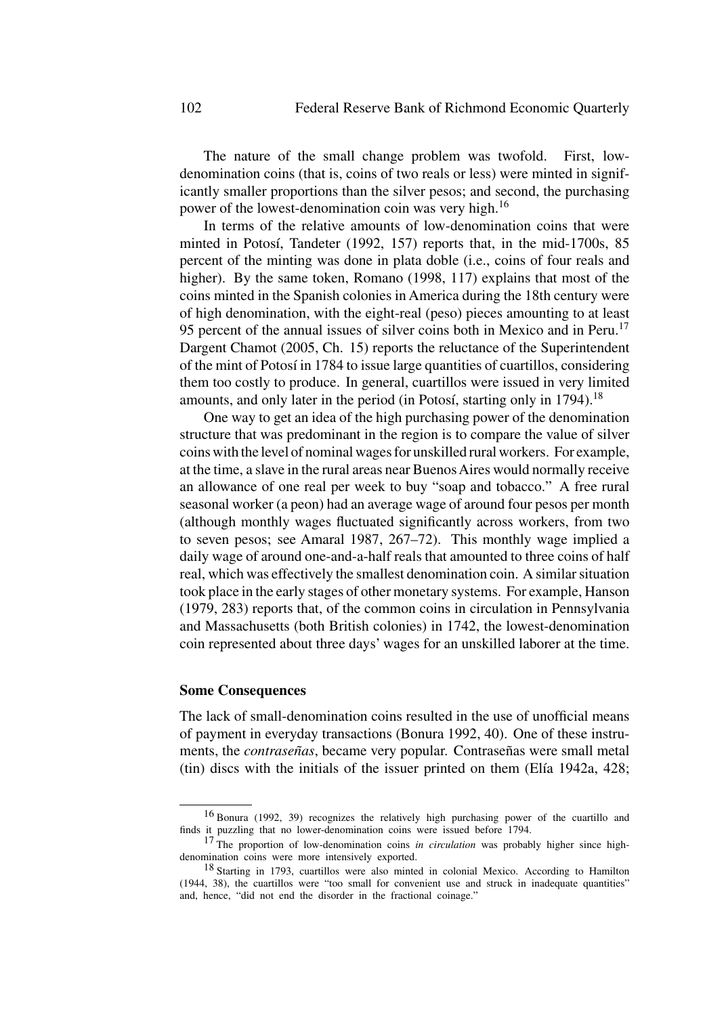The nature of the small change problem was twofold. First, lowdenomination coins (that is, coins of two reals or less) were minted in significantly smaller proportions than the silver pesos; and second, the purchasing power of the lowest-denomination coin was very high.<sup>16</sup>

In terms of the relative amounts of low-denomination coins that were minted in Potosí, Tandeter (1992, 157) reports that, in the mid-1700s, 85 percent of the minting was done in plata doble (i.e., coins of four reals and higher). By the same token, Romano (1998, 117) explains that most of the coins minted in the Spanish colonies in America during the 18th century were of high denomination, with the eight-real (peso) pieces amounting to at least 95 percent of the annual issues of silver coins both in Mexico and in Peru.<sup>17</sup> Dargent Chamot (2005, Ch. 15) reports the reluctance of the Superintendent of the mint of Potosí in 1784 to issue large quantities of cuartillos, considering them too costly to produce. In general, cuartillos were issued in very limited amounts, and only later in the period (in Potosí, starting only in  $1794$ ).<sup>18</sup>

One way to get an idea of the high purchasing power of the denomination structure that was predominant in the region is to compare the value of silver coins with the level of nominal wages for unskilled rural workers. For example, at the time, a slave in the rural areas near BuenosAires would normally receive an allowance of one real per week to buy "soap and tobacco." A free rural seasonal worker (a peon) had an average wage of around four pesos per month (although monthly wages fluctuated significantly across workers, from two to seven pesos; see Amaral 1987, 267–72). This monthly wage implied a daily wage of around one-and-a-half reals that amounted to three coins of half real, which was effectively the smallest denomination coin. A similar situation took place in the early stages of other monetary systems. For example, Hanson (1979, 283) reports that, of the common coins in circulation in Pennsylvania and Massachusetts (both British colonies) in 1742, the lowest-denomination coin represented about three days' wages for an unskilled laborer at the time.

#### **Some Consequences**

The lack of small-denomination coins resulted in the use of unofficial means of payment in everyday transactions (Bonura 1992, 40). One of these instruments, the *contraseñas*, became very popular. Contraseñas were small metal  $(tin)$  discs with the initials of the issuer printed on them (Elía 1942a, 428;

<sup>16</sup> Bonura (1992, 39) recognizes the relatively high purchasing power of the cuartillo and finds it puzzling that no lower-denomination coins were issued before 1794.

<sup>&</sup>lt;sup>17</sup> The proportion of low-denomination coins *in circulation* was probably higher since highdenomination coins were more intensively exported.

<sup>18</sup> Starting in 1793, cuartillos were also minted in colonial Mexico. According to Hamilton (1944, 38), the cuartillos were "too small for convenient use and struck in inadequate quantities" and, hence, "did not end the disorder in the fractional coinage."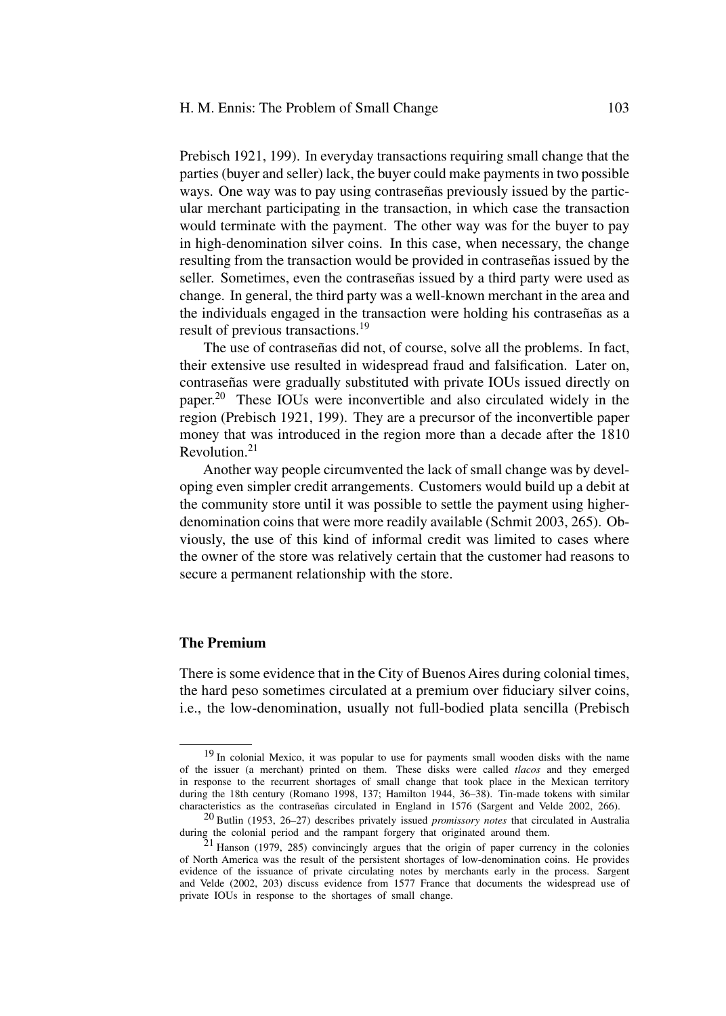Prebisch 1921, 199). In everyday transactions requiring small change that the parties (buyer and seller) lack, the buyer could make payments in two possible ways. One way was to pay using contraseñas previously issued by the particular merchant participating in the transaction, in which case the transaction would terminate with the payment. The other way was for the buyer to pay in high-denomination silver coins. In this case, when necessary, the change resulting from the transaction would be provided in contraseñas issued by the seller. Sometimes, even the contraseñas issued by a third party were used as change. In general, the third party was a well-known merchant in the area and the individuals engaged in the transaction were holding his contraseñas as a result of previous transactions.<sup>19</sup>

The use of contraseñas did not, of course, solve all the problems. In fact, their extensive use resulted in widespread fraud and falsification. Later on, contraseñas were gradually substituted with private IOUs issued directly on paper.<sup>20</sup> These IOUs were inconvertible and also circulated widely in the region (Prebisch 1921, 199). They are a precursor of the inconvertible paper money that was introduced in the region more than a decade after the 1810 Revolution.<sup>21</sup>

Another way people circumvented the lack of small change was by developing even simpler credit arrangements. Customers would build up a debit at the community store until it was possible to settle the payment using higherdenomination coins that were more readily available (Schmit 2003, 265). Obviously, the use of this kind of informal credit was limited to cases where the owner of the store was relatively certain that the customer had reasons to secure a permanent relationship with the store.

# **The Premium**

There is some evidence that in the City of Buenos Aires during colonial times, the hard peso sometimes circulated at a premium over fiduciary silver coins, i.e., the low-denomination, usually not full-bodied plata sencilla (Prebisch

<sup>&</sup>lt;sup>19</sup> In colonial Mexico, it was popular to use for payments small wooden disks with the name of the issuer (a merchant) printed on them. These disks were called *tlacos* and they emerged in response to the recurrent shortages of small change that took place in the Mexican territory during the 18th century (Romano 1998, 137; Hamilton 1944, 36–38). Tin-made tokens with similar characteristics as the contraseñas circulated in England in 1576 (Sargent and Velde 2002, 266).

<sup>20</sup> Butlin (1953, 26–27) describes privately issued *promissory notes* that circulated in Australia during the colonial period and the rampant forgery that originated around them.

 $21$  Hanson (1979, 285) convincingly argues that the origin of paper currency in the colonies of North America was the result of the persistent shortages of low-denomination coins. He provides evidence of the issuance of private circulating notes by merchants early in the process. Sargent and Velde (2002, 203) discuss evidence from 1577 France that documents the widespread use of private IOUs in response to the shortages of small change.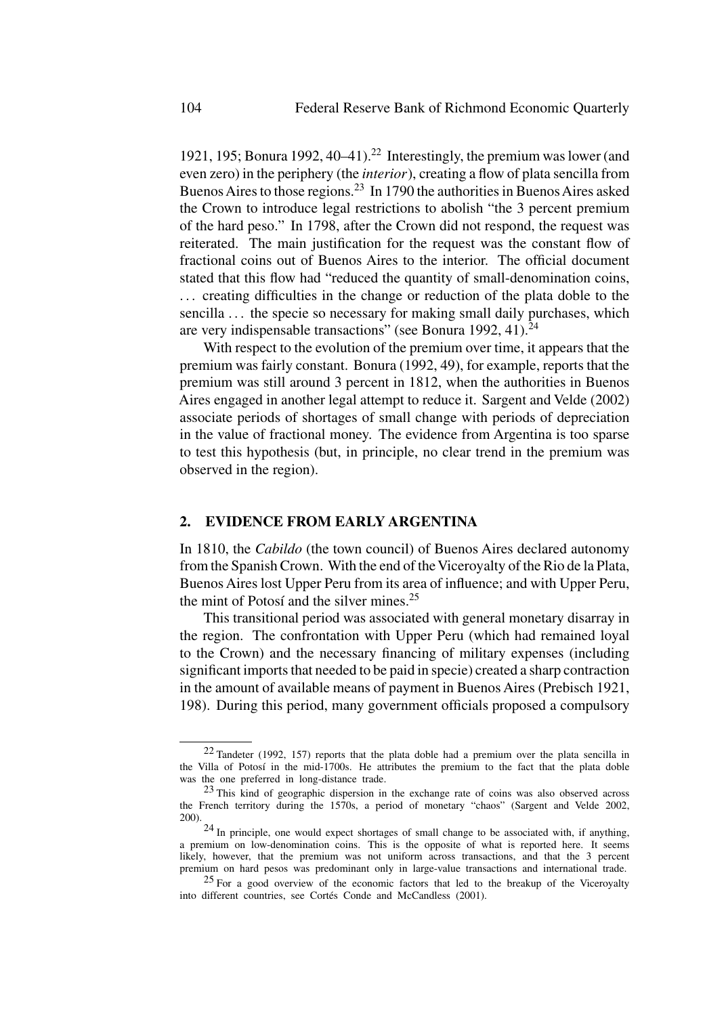1921, 195; Bonura 1992, 40–41).<sup>22</sup> Interestingly, the premium was lower (and even zero) in the periphery (the *interior*), creating a flow of plata sencilla from Buenos Aires to those regions.<sup>23</sup> In 1790 the authorities in Buenos Aires asked the Crown to introduce legal restrictions to abolish "the 3 percent premium of the hard peso." In 1798, after the Crown did not respond, the request was reiterated. The main justification for the request was the constant flow of fractional coins out of Buenos Aires to the interior. The official document stated that this flow had "reduced the quantity of small-denomination coins, ... creating difficulties in the change or reduction of the plata doble to the sencilla ... the specie so necessary for making small daily purchases, which are very indispensable transactions" (see Bonura 1992, 41). $^{24}$ 

With respect to the evolution of the premium over time, it appears that the premium was fairly constant. Bonura (1992, 49), for example, reports that the premium was still around 3 percent in 1812, when the authorities in Buenos Aires engaged in another legal attempt to reduce it. Sargent and Velde (2002) associate periods of shortages of small change with periods of depreciation in the value of fractional money. The evidence from Argentina is too sparse to test this hypothesis (but, in principle, no clear trend in the premium was observed in the region).

# **2. EVIDENCE FROM EARLY ARGENTINA**

In 1810, the *Cabildo* (the town council) of Buenos Aires declared autonomy from the Spanish Crown. With the end of the Viceroyalty of the Rio de la Plata, Buenos Aires lost Upper Peru from its area of influence; and with Upper Peru, the mint of Potosí and the silver mines. $25$ 

This transitional period was associated with general monetary disarray in the region. The confrontation with Upper Peru (which had remained loyal to the Crown) and the necessary financing of military expenses (including significant imports that needed to be paid in specie) created a sharp contraction in the amount of available means of payment in Buenos Aires (Prebisch 1921, 198). During this period, many government officials proposed a compulsory

<sup>22</sup> Tandeter (1992, 157) reports that the plata doble had a premium over the plata sencilla in the Villa of Potosí in the mid-1700s. He attributes the premium to the fact that the plata doble was the one preferred in long-distance trade.

<sup>&</sup>lt;sup>23</sup> This kind of geographic dispersion in the exchange rate of coins was also observed across the French territory during the 1570s, a period of monetary "chaos" (Sargent and Velde 2002, 200).

<sup>24</sup> In principle, one would expect shortages of small change to be associated with, if anything, a premium on low-denomination coins. This is the opposite of what is reported here. It seems likely, however, that the premium was not uniform across transactions, and that the 3 percent premium on hard pesos was predominant only in large-value transactions and international trade.

<sup>&</sup>lt;sup>25</sup> For a good overview of the economic factors that led to the breakup of the Viceroyalty into different countries, see Cortés Conde and McCandless (2001).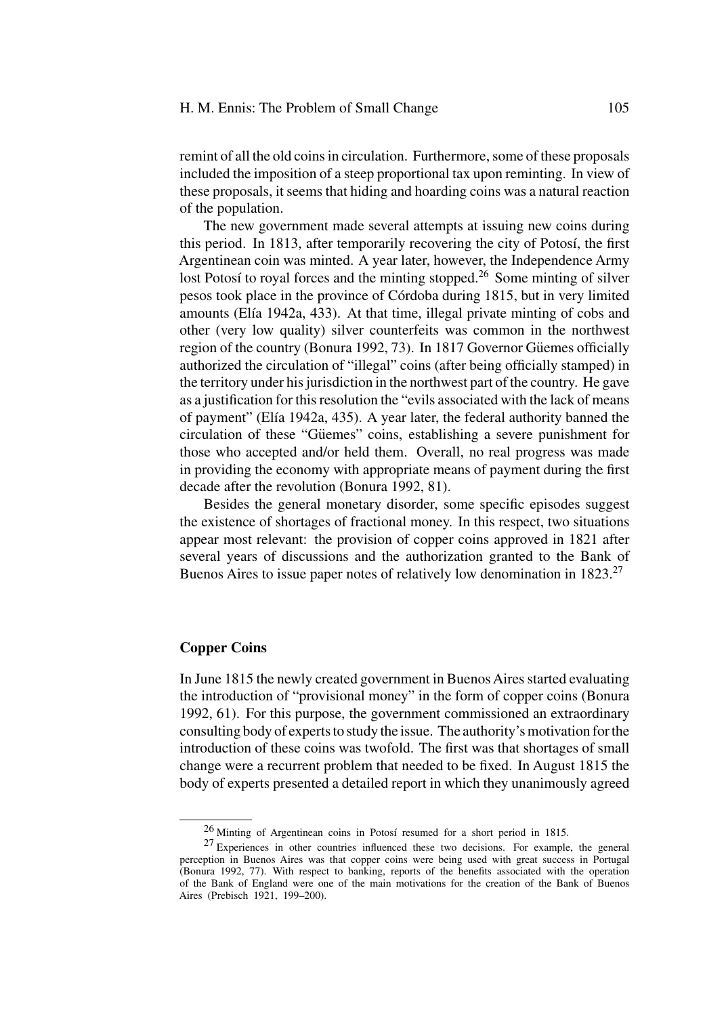remint of all the old coins in circulation. Furthermore, some of these proposals included the imposition of a steep proportional tax upon reminting. In view of these proposals, it seems that hiding and hoarding coins was a natural reaction of the population.

The new government made several attempts at issuing new coins during this period. In 1813, after temporarily recovering the city of Potosí, the first Argentinean coin was minted. A year later, however, the Independence Army lost Potosí to royal forces and the minting stopped.<sup>26</sup> Some minting of silver pesos took place in the province of C´ordoba during 1815, but in very limited amounts (Elía 1942a, 433). At that time, illegal private minting of cobs and other (very low quality) silver counterfeits was common in the northwest region of the country (Bonura 1992, 73). In 1817 Governor Güemes officially authorized the circulation of "illegal" coins (after being officially stamped) in the territory under his jurisdiction in the northwest part of the country. He gave as a justification for this resolution the "evils associated with the lack of means of payment" (Elía 1942a, 435). A year later, the federal authority banned the circulation of these "Güemes" coins, establishing a severe punishment for those who accepted and/or held them. Overall, no real progress was made in providing the economy with appropriate means of payment during the first decade after the revolution (Bonura 1992, 81).

Besides the general monetary disorder, some specific episodes suggest the existence of shortages of fractional money. In this respect, two situations appear most relevant: the provision of copper coins approved in 1821 after several years of discussions and the authorization granted to the Bank of Buenos Aires to issue paper notes of relatively low denomination in 1823.<sup>27</sup>

# **Copper Coins**

In June 1815 the newly created government in Buenos Aires started evaluating the introduction of "provisional money" in the form of copper coins (Bonura 1992, 61). For this purpose, the government commissioned an extraordinary consulting body of experts to study the issue. The authority's motivation for the introduction of these coins was twofold. The first was that shortages of small change were a recurrent problem that needed to be fixed. In August 1815 the body of experts presented a detailed report in which they unanimously agreed

 $26$  Minting of Argentinean coins in Potosí resumed for a short period in 1815.

<sup>27</sup> Experiences in other countries influenced these two decisions. For example, the general perception in Buenos Aires was that copper coins were being used with great success in Portugal (Bonura 1992, 77). With respect to banking, reports of the benefits associated with the operation of the Bank of England were one of the main motivations for the creation of the Bank of Buenos Aires (Prebisch 1921, 199–200).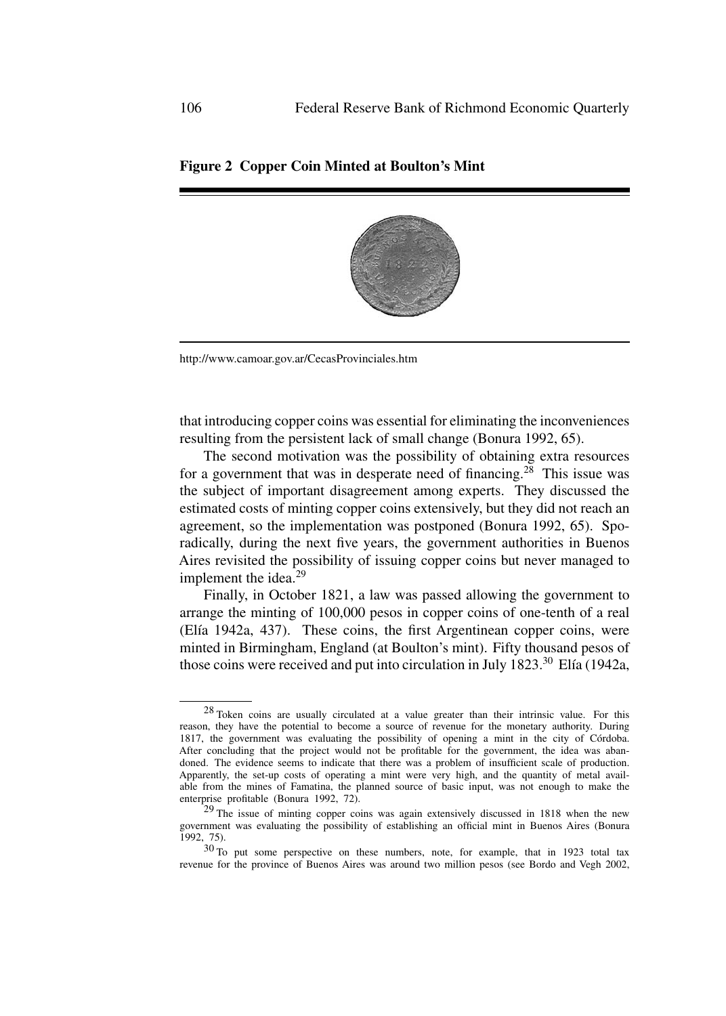# **Figure 2 Copper Coin Minted at Boulton's Mint**

http://www.camoar.gov.ar/CecasProvinciales.htm

that introducing copper coins was essential for eliminating the inconveniences resulting from the persistent lack of small change (Bonura 1992, 65).

The second motivation was the possibility of obtaining extra resources for a government that was in desperate need of financing.<sup>28</sup> This issue was the subject of important disagreement among experts. They discussed the estimated costs of minting copper coins extensively, but they did not reach an agreement, so the implementation was postponed (Bonura 1992, 65). Sporadically, during the next five years, the government authorities in Buenos Aires revisited the possibility of issuing copper coins but never managed to implement the idea. $29$ 

Finally, in October 1821, a law was passed allowing the government to arrange the minting of 100,000 pesos in copper coins of one-tenth of a real  $(E$ lía 1942a, 437). These coins, the first Argentinean copper coins, were minted in Birmingham, England (at Boulton's mint). Fifty thousand pesos of those coins were received and put into circulation in July  $1823$ <sup>30</sup> Elía (1942a,

<sup>&</sup>lt;sup>28</sup> Token coins are usually circulated at a value greater than their intrinsic value. For this reason, they have the potential to become a source of revenue for the monetary authority. During 1817, the government was evaluating the possibility of opening a mint in the city of Córdoba. After concluding that the project would not be profitable for the government, the idea was abandoned. The evidence seems to indicate that there was a problem of insufficient scale of production. Apparently, the set-up costs of operating a mint were very high, and the quantity of metal available from the mines of Famatina, the planned source of basic input, was not enough to make the enterprise profitable (Bonura 1992, 72).

<sup>&</sup>lt;sup>29</sup> The issue of minting copper coins was again extensively discussed in 1818 when the new government was evaluating the possibility of establishing an official mint in Buenos Aires (Bonura 1992, 75).

<sup>30</sup> To put some perspective on these numbers, note, for example, that in 1923 total tax revenue for the province of Buenos Aires was around two million pesos (see Bordo and Vegh 2002,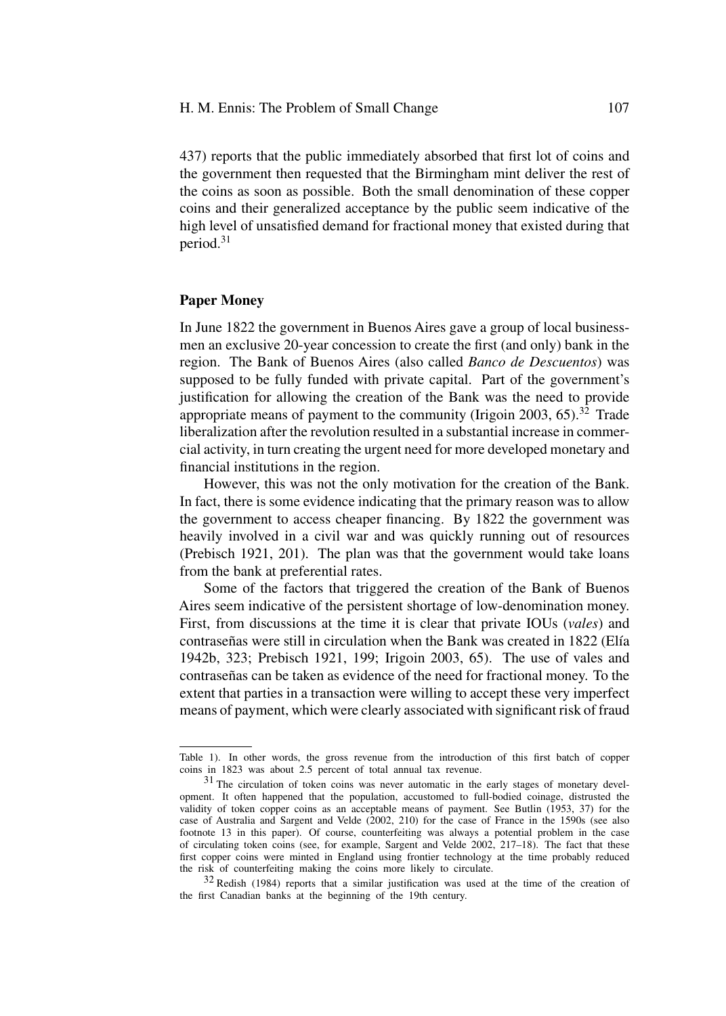437) reports that the public immediately absorbed that first lot of coins and the government then requested that the Birmingham mint deliver the rest of the coins as soon as possible. Both the small denomination of these copper coins and their generalized acceptance by the public seem indicative of the high level of unsatisfied demand for fractional money that existed during that period.<sup>31</sup>

### **Paper Money**

In June 1822 the government in Buenos Aires gave a group of local businessmen an exclusive 20-year concession to create the first (and only) bank in the region. The Bank of Buenos Aires (also called *Banco de Descuentos*) was supposed to be fully funded with private capital. Part of the government's justification for allowing the creation of the Bank was the need to provide appropriate means of payment to the community (Irigoin 2003,  $65$ ).<sup>32</sup> Trade liberalization after the revolution resulted in a substantial increase in commercial activity, in turn creating the urgent need for more developed monetary and financial institutions in the region.

However, this was not the only motivation for the creation of the Bank. In fact, there is some evidence indicating that the primary reason was to allow the government to access cheaper financing. By 1822 the government was heavily involved in a civil war and was quickly running out of resources (Prebisch 1921, 201). The plan was that the government would take loans from the bank at preferential rates.

Some of the factors that triggered the creation of the Bank of Buenos Aires seem indicative of the persistent shortage of low-denomination money. First, from discussions at the time it is clear that private IOUs (*vales*) and contraseñas were still in circulation when the Bank was created in 1822 (Elía) 1942b, 323; Prebisch 1921, 199; Irigoin 2003, 65). The use of vales and contraseñas can be taken as evidence of the need for fractional money. To the extent that parties in a transaction were willing to accept these very imperfect means of payment, which were clearly associated with significant risk of fraud

Table 1). In other words, the gross revenue from the introduction of this first batch of copper coins in 1823 was about 2.5 percent of total annual tax revenue.

<sup>31</sup> The circulation of token coins was never automatic in the early stages of monetary development. It often happened that the population, accustomed to full-bodied coinage, distrusted the validity of token copper coins as an acceptable means of payment. See Butlin (1953, 37) for the case of Australia and Sargent and Velde (2002, 210) for the case of France in the 1590s (see also footnote 13 in this paper). Of course, counterfeiting was always a potential problem in the case of circulating token coins (see, for example, Sargent and Velde 2002, 217–18). The fact that these first copper coins were minted in England using frontier technology at the time probably reduced the risk of counterfeiting making the coins more likely to circulate.

<sup>32</sup> Redish (1984) reports that a similar justification was used at the time of the creation of the first Canadian banks at the beginning of the 19th century.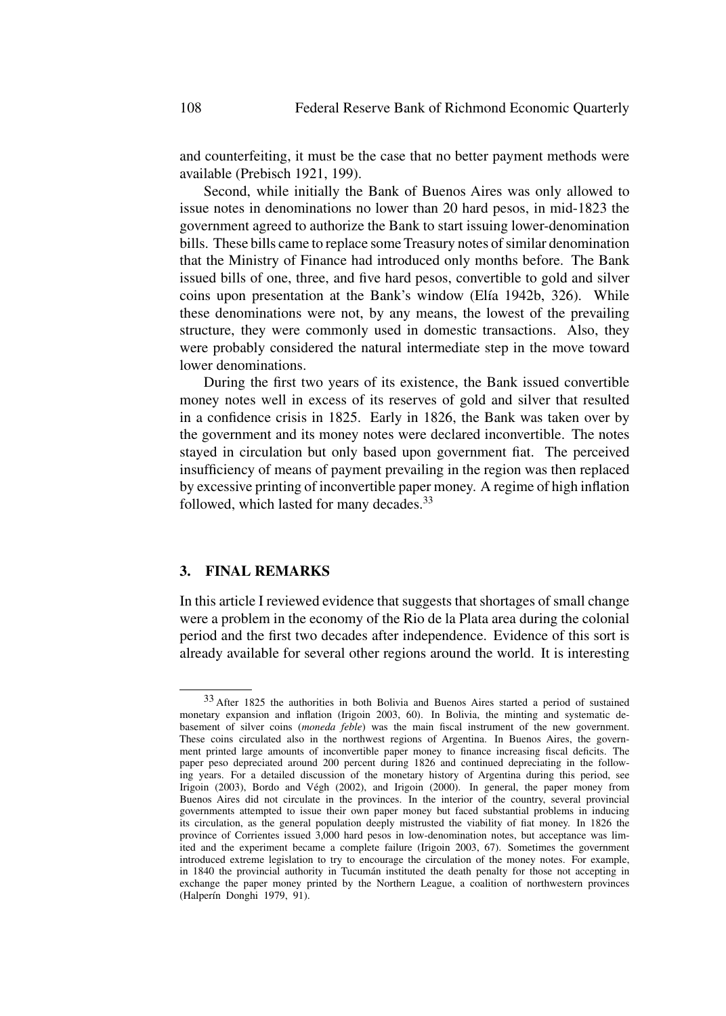and counterfeiting, it must be the case that no better payment methods were available (Prebisch 1921, 199).

Second, while initially the Bank of Buenos Aires was only allowed to issue notes in denominations no lower than 20 hard pesos, in mid-1823 the government agreed to authorize the Bank to start issuing lower-denomination bills. These bills came to replace some Treasury notes of similar denomination that the Ministry of Finance had introduced only months before. The Bank issued bills of one, three, and five hard pesos, convertible to gold and silver coins upon presentation at the Bank's window (Elía 1942b, 326). While these denominations were not, by any means, the lowest of the prevailing structure, they were commonly used in domestic transactions. Also, they were probably considered the natural intermediate step in the move toward lower denominations.

During the first two years of its existence, the Bank issued convertible money notes well in excess of its reserves of gold and silver that resulted in a confidence crisis in 1825. Early in 1826, the Bank was taken over by the government and its money notes were declared inconvertible. The notes stayed in circulation but only based upon government fiat. The perceived insufficiency of means of payment prevailing in the region was then replaced by excessive printing of inconvertible paper money. A regime of high inflation followed, which lasted for many decades.<sup>33</sup>

# **3. FINAL REMARKS**

In this article I reviewed evidence that suggests that shortages of small change were a problem in the economy of the Rio de la Plata area during the colonial period and the first two decades after independence. Evidence of this sort is already available for several other regions around the world. It is interesting

<sup>33</sup> After 1825 the authorities in both Bolivia and Buenos Aires started a period of sustained monetary expansion and inflation (Irigoin 2003, 60). In Bolivia, the minting and systematic debasement of silver coins (*moneda feble*) was the main fiscal instrument of the new government. These coins circulated also in the northwest regions of Argentina. In Buenos Aires, the government printed large amounts of inconvertible paper money to finance increasing fiscal deficits. The paper peso depreciated around 200 percent during 1826 and continued depreciating in the following years. For a detailed discussion of the monetary history of Argentina during this period, see Irigoin (2003), Bordo and Végh (2002), and Irigoin (2000). In general, the paper money from Buenos Aires did not circulate in the provinces. In the interior of the country, several provincial governments attempted to issue their own paper money but faced substantial problems in inducing its circulation, as the general population deeply mistrusted the viability of fiat money. In 1826 the province of Corrientes issued 3,000 hard pesos in low-denomination notes, but acceptance was limited and the experiment became a complete failure (Irigoin 2003, 67). Sometimes the government introduced extreme legislation to try to encourage the circulation of the money notes. For example, in 1840 the provincial authority in Tucumán instituted the death penalty for those not accepting in exchange the paper money printed by the Northern League, a coalition of northwestern provinces (Halperín Donghi 1979, 91).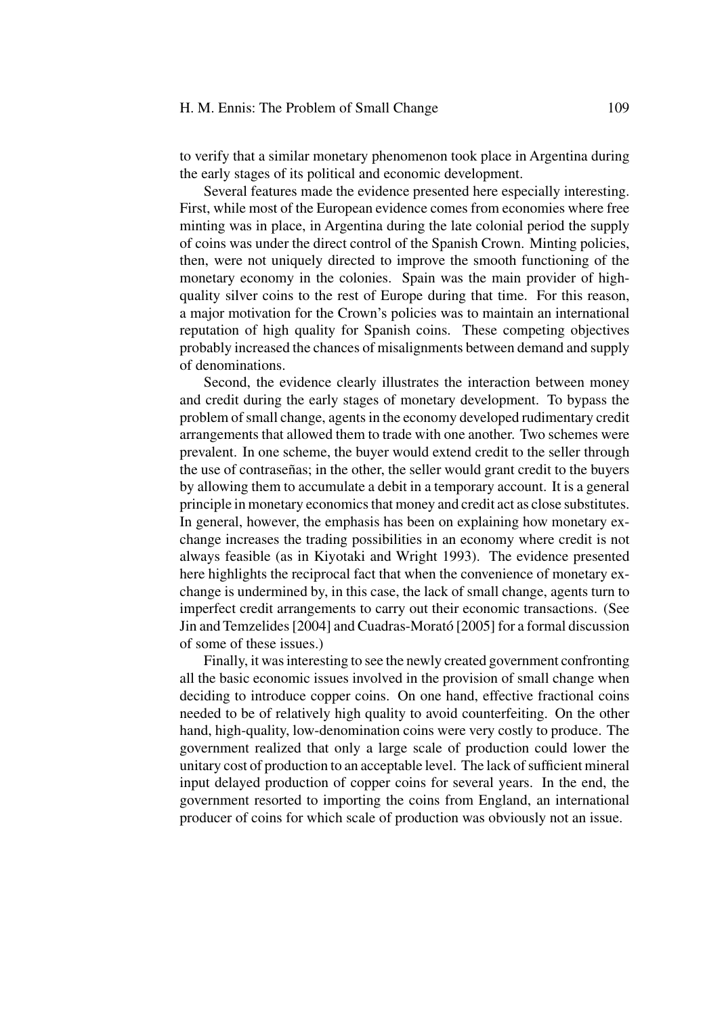#### H. M. Ennis: The Problem of Small Change 109

to verify that a similar monetary phenomenon took place in Argentina during the early stages of its political and economic development.

Several features made the evidence presented here especially interesting. First, while most of the European evidence comes from economies where free minting was in place, in Argentina during the late colonial period the supply of coins was under the direct control of the Spanish Crown. Minting policies, then, were not uniquely directed to improve the smooth functioning of the monetary economy in the colonies. Spain was the main provider of highquality silver coins to the rest of Europe during that time. For this reason, a major motivation for the Crown's policies was to maintain an international reputation of high quality for Spanish coins. These competing objectives probably increased the chances of misalignments between demand and supply of denominations.

Second, the evidence clearly illustrates the interaction between money and credit during the early stages of monetary development. To bypass the problem of small change, agents in the economy developed rudimentary credit arrangements that allowed them to trade with one another. Two schemes were prevalent. In one scheme, the buyer would extend credit to the seller through the use of contraseñas; in the other, the seller would grant credit to the buyers by allowing them to accumulate a debit in a temporary account. It is a general principle in monetary economics that money and credit act as close substitutes. In general, however, the emphasis has been on explaining how monetary exchange increases the trading possibilities in an economy where credit is not always feasible (as in Kiyotaki and Wright 1993). The evidence presented here highlights the reciprocal fact that when the convenience of monetary exchange is undermined by, in this case, the lack of small change, agents turn to imperfect credit arrangements to carry out their economic transactions. (See Jin and Temzelides [2004] and Cuadras-Morató [2005] for a formal discussion of some of these issues.)

Finally, it was interesting to see the newly created government confronting all the basic economic issues involved in the provision of small change when deciding to introduce copper coins. On one hand, effective fractional coins needed to be of relatively high quality to avoid counterfeiting. On the other hand, high-quality, low-denomination coins were very costly to produce. The government realized that only a large scale of production could lower the unitary cost of production to an acceptable level. The lack of sufficient mineral input delayed production of copper coins for several years. In the end, the government resorted to importing the coins from England, an international producer of coins for which scale of production was obviously not an issue.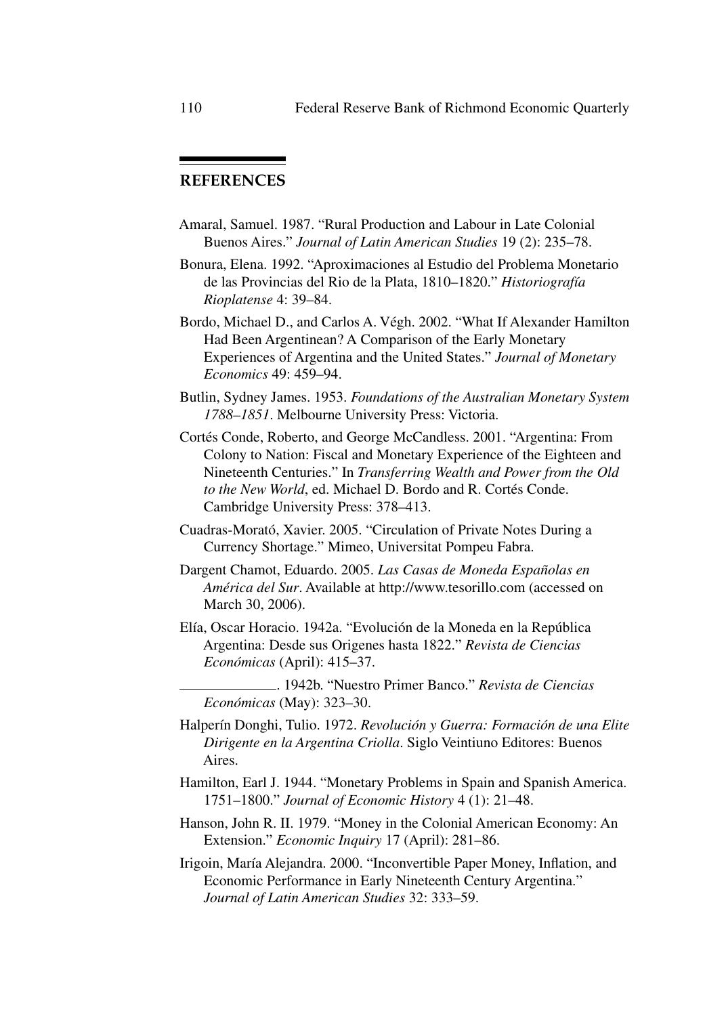# **REFERENCES**

- Amaral, Samuel. 1987. "Rural Production and Labour in Late Colonial Buenos Aires." *Journal of Latin American Studies* 19 (2): 235–78.
- Bonura, Elena. 1992. "Aproximaciones al Estudio del Problema Monetario de las Provincias del Rio de la Plata, 1810–1820." *Historiograf´ıa Rioplatense* 4: 39–84.
- Bordo, Michael D., and Carlos A. Végh. 2002. "What If Alexander Hamilton Had Been Argentinean? A Comparison of the Early Monetary Experiences of Argentina and the United States." *Journal of Monetary Economics* 49: 459–94.
- Butlin, Sydney James. 1953. *Foundations of the Australian Monetary System 1788–1851*. Melbourne University Press: Victoria.
- Cortés Conde, Roberto, and George McCandless. 2001. "Argentina: From Colony to Nation: Fiscal and Monetary Experience of the Eighteen and Nineteenth Centuries." In *Transferring Wealth and Power from the Old to the New World*, ed. Michael D. Bordo and R. Cortés Conde. Cambridge University Press: 378–413.
- Cuadras-Morató, Xavier. 2005. "Circulation of Private Notes During a Currency Shortage." Mimeo, Universitat Pompeu Fabra.
- Dargent Chamot, Eduardo. 2005. *Las Casas de Moneda Espa˜nolas en Am´erica del Sur*. Available at http://www.tesorillo.com (accessed on March 30, 2006).
- Elía, Oscar Horacio. 1942a. "Evolución de la Moneda en la República Argentina: Desde sus Origenes hasta 1822." *Revista de Ciencias Econ´omicas* (April): 415–37.
	- . 1942b. "Nuestro Primer Banco." *Revista de Ciencias Econ´omicas* (May): 323–30.
- Halperín Donghi, Tulio. 1972. *Revolución y Guerra: Formación de una Elite Dirigente en la Argentina Criolla*. Siglo Veintiuno Editores: Buenos Aires.
- Hamilton, Earl J. 1944. "Monetary Problems in Spain and Spanish America. 1751–1800." *Journal of Economic History* 4 (1): 21–48.
- Hanson, John R. II. 1979. "Money in the Colonial American Economy: An Extension." *Economic Inquiry* 17 (April): 281–86.
- Irigoin, María Alejandra. 2000. "Inconvertible Paper Money, Inflation, and Economic Performance in Early Nineteenth Century Argentina." *Journal of Latin American Studies* 32: 333–59.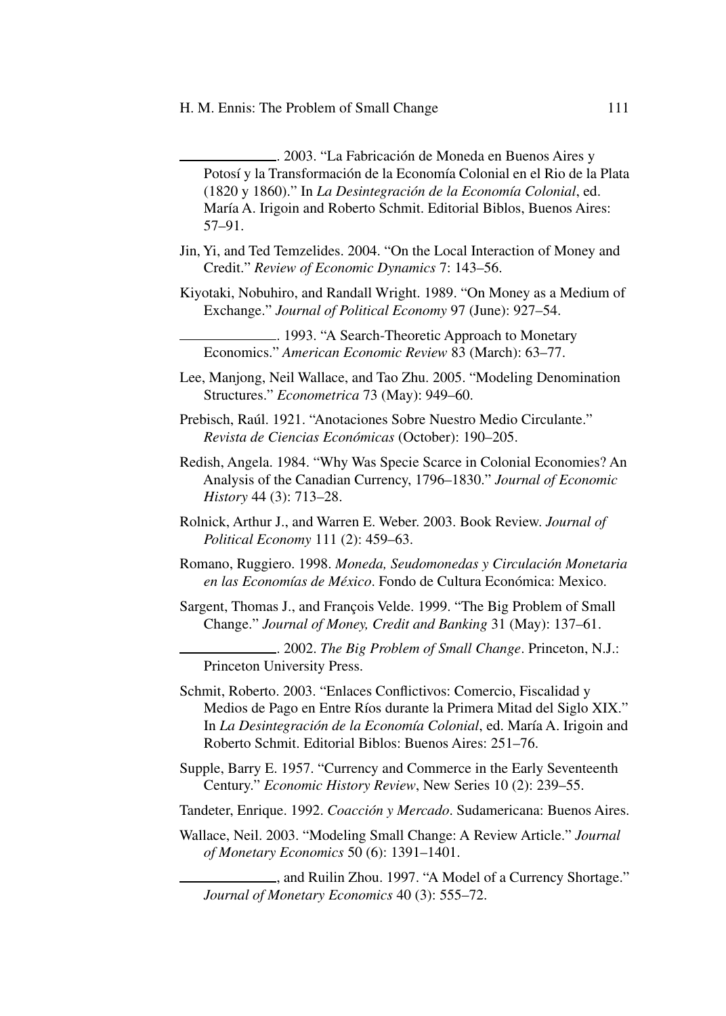.. 2003. "La Fabricación de Moneda en Buenos Aires y Potosí y la Transformación de la Economía Colonial en el Rio de la Plata (1820 y 1860)." In *La Desintegración de la Economía Colonial*, ed. María A. Irigoin and Roberto Schmit. Editorial Biblos, Buenos Aires: 57–91.

- Jin, Yi, and Ted Temzelides. 2004. "On the Local Interaction of Money and Credit." *Review of Economic Dynamics* 7: 143–56.
- Kiyotaki, Nobuhiro, and Randall Wright. 1989. "On Money as a Medium of Exchange." *Journal of Political Economy* 97 (June): 927–54.
	- . 1993. "A Search-Theoretic Approach to Monetary Economics." *American Economic Review* 83 (March): 63–77.
- Lee, Manjong, Neil Wallace, and Tao Zhu. 2005. "Modeling Denomination Structures." *Econometrica* 73 (May): 949–60.
- Prebisch, Raúl. 1921. "Anotaciones Sobre Nuestro Medio Circulante." *Revista de Ciencias Econ´omicas* (October): 190–205.
- Redish, Angela. 1984. "Why Was Specie Scarce in Colonial Economies? An Analysis of the Canadian Currency, 1796–1830." *Journal of Economic History* 44 (3): 713–28.
- Rolnick, Arthur J., and Warren E. Weber. 2003. Book Review. *Journal of Political Economy* 111 (2): 459–63.
- Romano, Ruggiero. 1998. Moneda, Seudomonedas y Circulación Monetaria en las Economías de México. Fondo de Cultura Económica: Mexico.
- Sargent, Thomas J., and François Velde. 1999. "The Big Problem of Small Change." *Journal of Money, Credit and Banking* 31 (May): 137–61.

. 2002. *The Big Problem of Small Change*. Princeton, N.J.: Princeton University Press.

- Schmit, Roberto. 2003. "Enlaces Conflictivos: Comercio, Fiscalidad y Medios de Pago en Entre Ríos durante la Primera Mitad del Siglo XIX." In *La Desintegración de la Economía Colonial*, ed. María A. Irigoin and Roberto Schmit. Editorial Biblos: Buenos Aires: 251–76.
- Supple, Barry E. 1957. "Currency and Commerce in the Early Seventeenth Century." *Economic History Review*, New Series 10 (2): 239–55.
- Tandeter, Enrique. 1992. *Coacción y Mercado*. Sudamericana: Buenos Aires.
- Wallace, Neil. 2003. "Modeling Small Change: A Review Article." *Journal of Monetary Economics* 50 (6): 1391–1401.

, and Ruilin Zhou. 1997. "A Model of a Currency Shortage." *Journal of Monetary Economics* 40 (3): 555–72.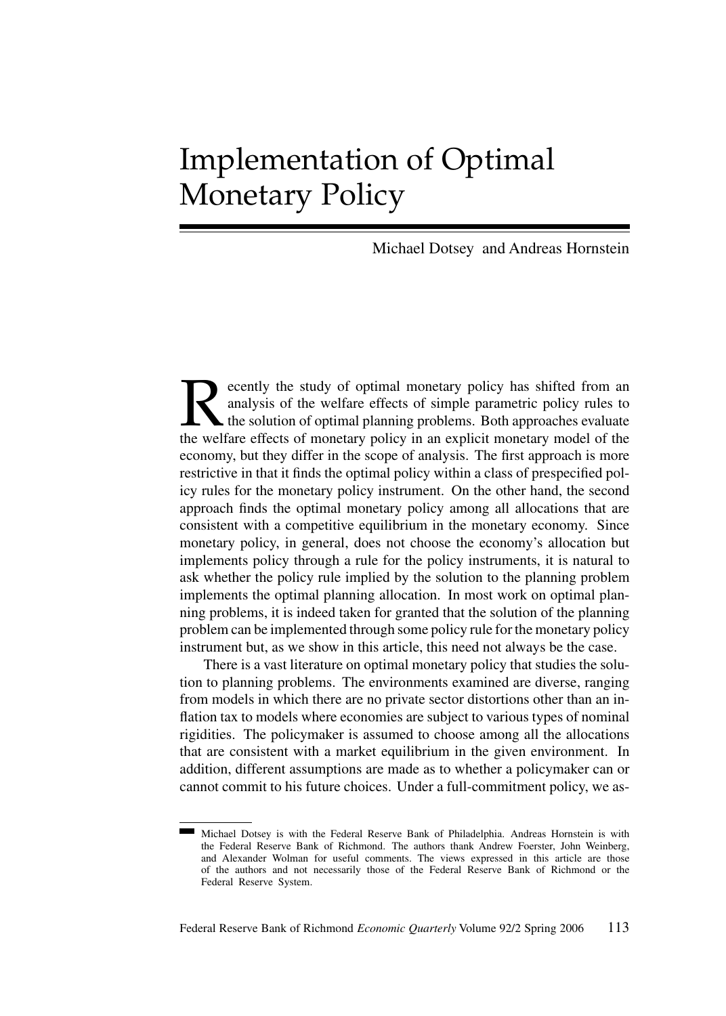# Implementation of Optimal Monetary Policy

Michael Dotsey and Andreas Hornstein

Recently the study of optimal monetary policy has shifted from an analysis of the welfare effects of simple parametric policy rules to the solution of optimal planning problems. Both approaches evaluate the welfare effects analysis of the welfare effects of simple parametric policy rules to the solution of optimal planning problems. Both approaches evaluate the welfare effects of monetary policy in an explicit monetary model of the economy, but they differ in the scope of analysis. The first approach is more restrictive in that it finds the optimal policy within a class of prespecified policy rules for the monetary policy instrument. On the other hand, the second approach finds the optimal monetary policy among all allocations that are consistent with a competitive equilibrium in the monetary economy. Since monetary policy, in general, does not choose the economy's allocation but implements policy through a rule for the policy instruments, it is natural to ask whether the policy rule implied by the solution to the planning problem implements the optimal planning allocation. In most work on optimal planning problems, it is indeed taken for granted that the solution of the planning problem can be implemented through some policy rule for the monetary policy instrument but, as we show in this article, this need not always be the case.

There is a vast literature on optimal monetary policy that studies the solution to planning problems. The environments examined are diverse, ranging from models in which there are no private sector distortions other than an inflation tax to models where economies are subject to various types of nominal rigidities. The policymaker is assumed to choose among all the allocations that are consistent with a market equilibrium in the given environment. In addition, different assumptions are made as to whether a policymaker can or cannot commit to his future choices. Under a full-commitment policy, we as-

Michael Dotsey is with the Federal Reserve Bank of Philadelphia. Andreas Hornstein is with the Federal Reserve Bank of Richmond. The authors thank Andrew Foerster, John Weinberg, and Alexander Wolman for useful comments. The views expressed in this article are those of the authors and not necessarily those of the Federal Reserve Bank of Richmond or the Federal Reserve System.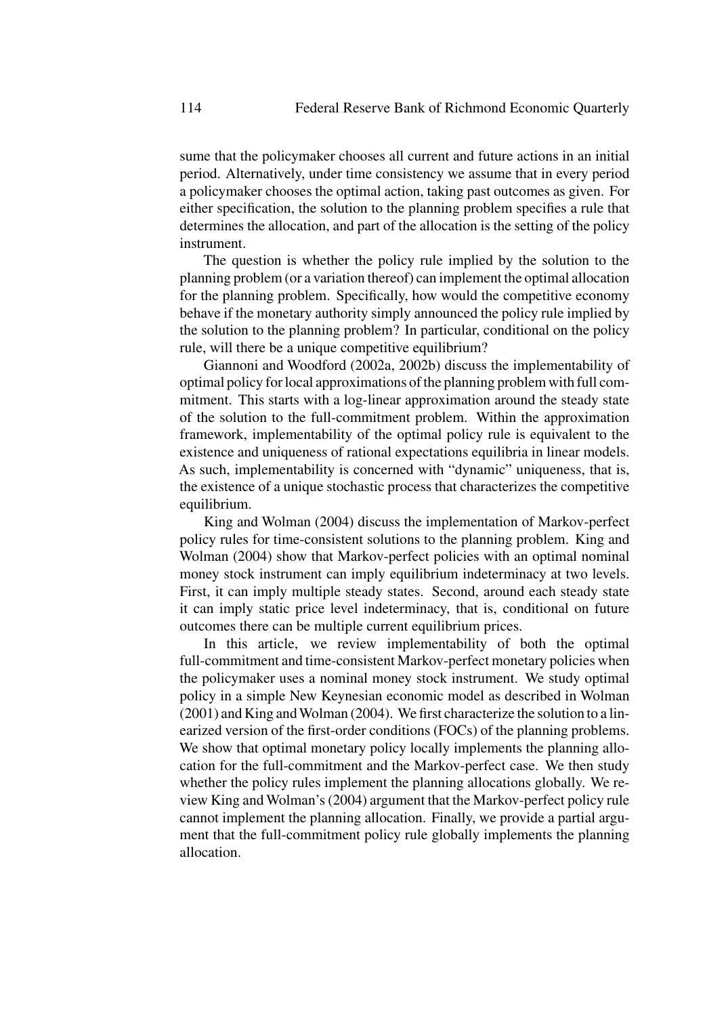sume that the policymaker chooses all current and future actions in an initial period. Alternatively, under time consistency we assume that in every period a policymaker chooses the optimal action, taking past outcomes as given. For either specification, the solution to the planning problem specifies a rule that determines the allocation, and part of the allocation is the setting of the policy instrument.

The question is whether the policy rule implied by the solution to the planning problem (or a variation thereof) can implement the optimal allocation for the planning problem. Specifically, how would the competitive economy behave if the monetary authority simply announced the policy rule implied by the solution to the planning problem? In particular, conditional on the policy rule, will there be a unique competitive equilibrium?

Giannoni and Woodford (2002a, 2002b) discuss the implementability of optimal policy for local approximations of the planning problem with full commitment. This starts with a log-linear approximation around the steady state of the solution to the full-commitment problem. Within the approximation framework, implementability of the optimal policy rule is equivalent to the existence and uniqueness of rational expectations equilibria in linear models. As such, implementability is concerned with "dynamic" uniqueness, that is, the existence of a unique stochastic process that characterizes the competitive equilibrium.

King and Wolman (2004) discuss the implementation of Markov-perfect policy rules for time-consistent solutions to the planning problem. King and Wolman (2004) show that Markov-perfect policies with an optimal nominal money stock instrument can imply equilibrium indeterminacy at two levels. First, it can imply multiple steady states. Second, around each steady state it can imply static price level indeterminacy, that is, conditional on future outcomes there can be multiple current equilibrium prices.

In this article, we review implementability of both the optimal full-commitment and time-consistent Markov-perfect monetary policies when the policymaker uses a nominal money stock instrument. We study optimal policy in a simple New Keynesian economic model as described in Wolman (2001) and King andWolman (2004). We first characterize the solution to a linearized version of the first-order conditions (FOCs) of the planning problems. We show that optimal monetary policy locally implements the planning allocation for the full-commitment and the Markov-perfect case. We then study whether the policy rules implement the planning allocations globally. We review King and Wolman's (2004) argument that the Markov-perfect policy rule cannot implement the planning allocation. Finally, we provide a partial argument that the full-commitment policy rule globally implements the planning allocation.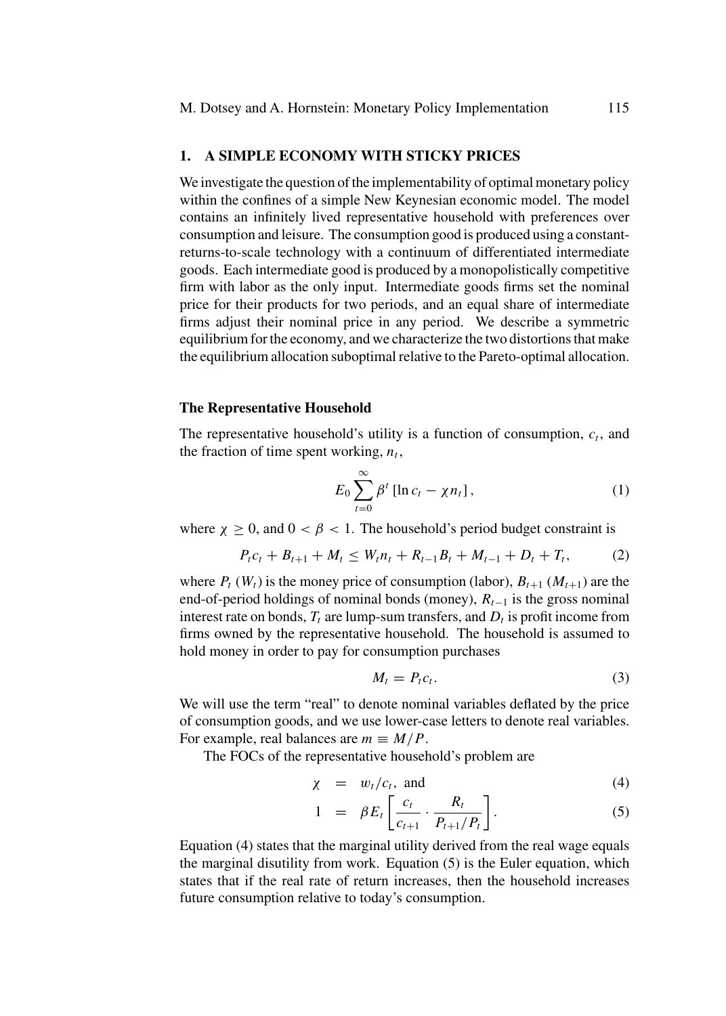# **1. A SIMPLE ECONOMY WITH STICKY PRICES**

We investigate the question of the implementability of optimal monetary policy within the confines of a simple New Keynesian economic model. The model contains an infinitely lived representative household with preferences over consumption and leisure. The consumption good is produced using a constantreturns-to-scale technology with a continuum of differentiated intermediate goods. Each intermediate good is produced by a monopolistically competitive firm with labor as the only input. Intermediate goods firms set the nominal price for their products for two periods, and an equal share of intermediate firms adjust their nominal price in any period. We describe a symmetric equilibrium for the economy, and we characterize the two distortions that make the equilibrium allocation suboptimal relative to the Pareto-optimal allocation.

#### **The Representative Household**

The representative household's utility is a function of consumption,  $c_t$ , and the fraction of time spent working,  $n_t$ ,

$$
E_0 \sum_{t=0}^{\infty} \beta^t \left[ \ln c_t - \chi n_t \right], \tag{1}
$$

where  $\chi \ge 0$ , and  $0 < \beta < 1$ . The household's period budget constraint is

$$
P_{t}c_{t} + B_{t+1} + M_{t} \le W_{t}n_{t} + R_{t-1}B_{t} + M_{t-1} + D_{t} + T_{t}, \qquad (2)
$$

where  $P_t(W_t)$  is the money price of consumption (labor),  $B_{t+1}(M_{t+1})$  are the end-of-period holdings of nominal bonds (money),  $R_{t-1}$  is the gross nominal interest rate on bonds,  $T_t$  are lump-sum transfers, and  $D_t$  is profit income from firms owned by the representative household. The household is assumed to hold money in order to pay for consumption purchases

$$
M_t = P_t c_t. \tag{3}
$$

We will use the term "real" to denote nominal variables deflated by the price of consumption goods, and we use lower-case letters to denote real variables. For example, real balances are  $m \equiv M/P$ .

The FOCs of the representative household's problem are

$$
\chi = w_t/c_t, \text{ and } (4)
$$

$$
1 = \beta E_t \left[ \frac{c_t}{c_{t+1}} \cdot \frac{R_t}{P_{t+1}/P_t} \right]. \tag{5}
$$

Equation (4) states that the marginal utility derived from the real wage equals the marginal disutility from work. Equation (5) is the Euler equation, which states that if the real rate of return increases, then the household increases future consumption relative to today's consumption.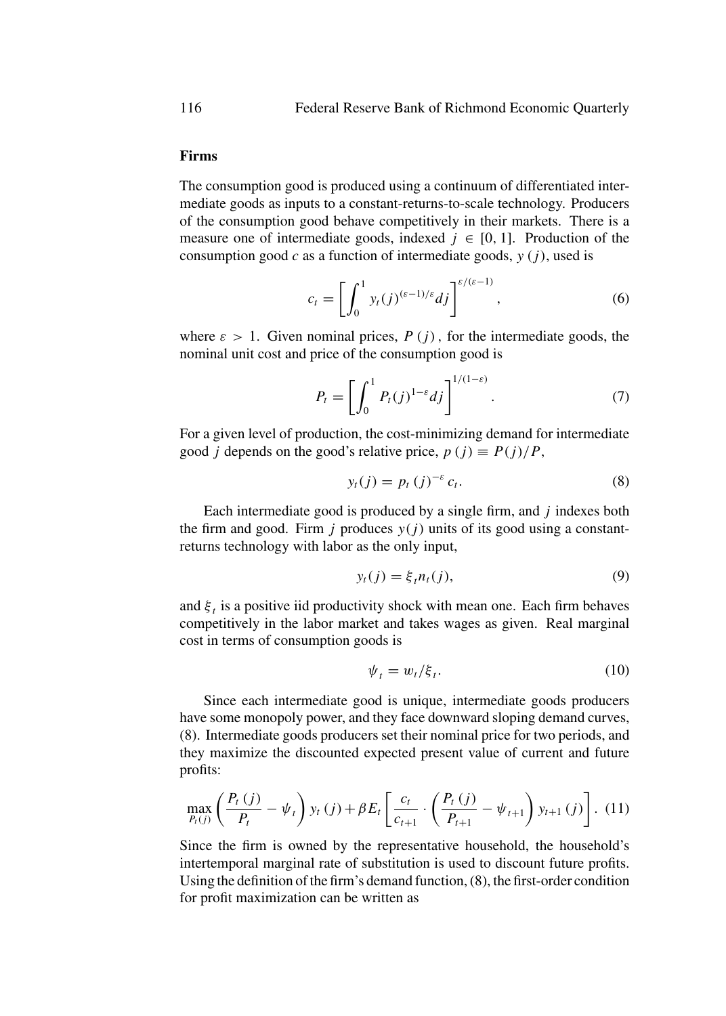# **Firms**

The consumption good is produced using a continuum of differentiated intermediate goods as inputs to a constant-returns-to-scale technology. Producers of the consumption good behave competitively in their markets. There is a measure one of intermediate goods, indexed  $j \in [0, 1]$ . Production of the consumption good c as a function of intermediate goods,  $y(i)$ , used is

$$
c_t = \left[\int_0^1 y_t(j)^{(\varepsilon - 1)/\varepsilon} dj\right]^{\varepsilon/(\varepsilon - 1)},\tag{6}
$$

where  $\varepsilon > 1$ . Given nominal prices,  $P(j)$ , for the intermediate goods, the nominal unit cost and price of the consumption good is

$$
P_t = \left[ \int_0^1 P_t(j)^{1-\varepsilon} dj \right]^{1/(1-\varepsilon)}.
$$
 (7)

For a given level of production, the cost-minimizing demand for intermediate good *j* depends on the good's relative price,  $p(j) \equiv P(j)/P$ ,

$$
y_t(j) = p_t(j)^{-\varepsilon} c_t.
$$
 (8)

Each intermediate good is produced by a single firm, and  $j$  indexes both the firm and good. Firm *j* produces  $y(j)$  units of its good using a constantreturns technology with labor as the only input,

$$
y_t(j) = \xi_t n_t(j), \tag{9}
$$

and  $\xi_t$  is a positive iid productivity shock with mean one. Each firm behaves competitively in the labor market and takes wages as given. Real marginal cost in terms of consumption goods is

$$
\psi_t = w_t / \xi_t. \tag{10}
$$

Since each intermediate good is unique, intermediate goods producers have some monopoly power, and they face downward sloping demand curves, (8). Intermediate goods producers set their nominal price for two periods, and they maximize the discounted expected present value of current and future profits:

$$
\max_{P_t(j)} \left( \frac{P_t(j)}{P_t} - \psi_t \right) y_t(j) + \beta E_t \left[ \frac{c_t}{c_{t+1}} \cdot \left( \frac{P_t(j)}{P_{t+1}} - \psi_{t+1} \right) y_{t+1}(j) \right]. (11)
$$

Since the firm is owned by the representative household, the household's intertemporal marginal rate of substitution is used to discount future profits. Using the definition of the firm's demand function, (8), the first-order condition for profit maximization can be written as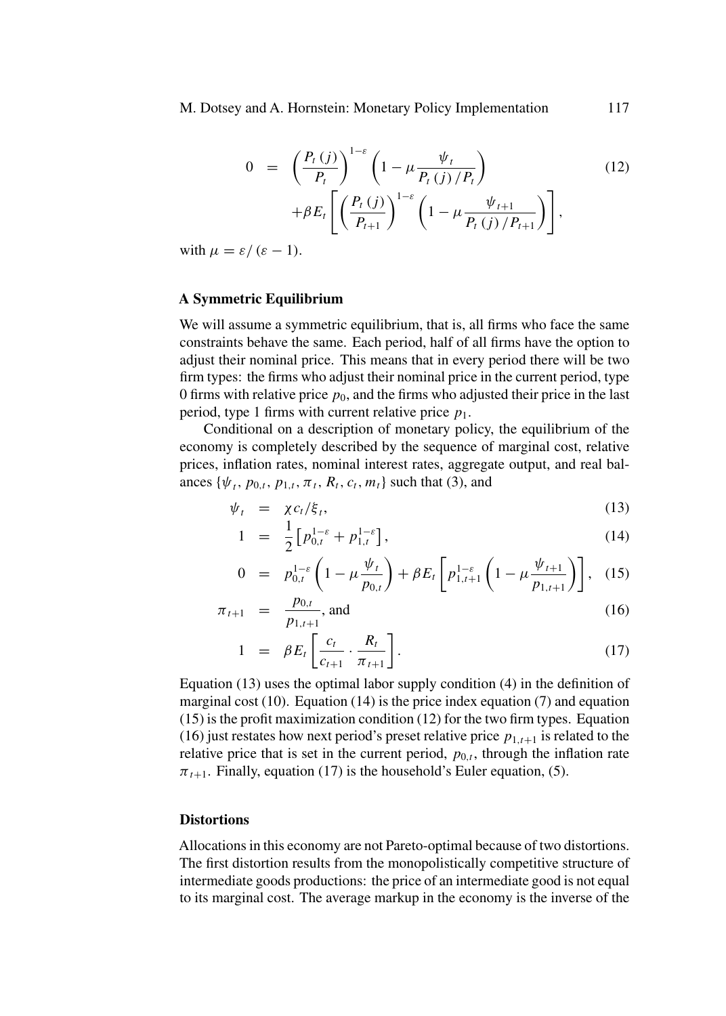M. Dotsey and A. Hornstein: Monetary Policy Implementation 117

$$
0 = \left(\frac{P_t(j)}{P_t}\right)^{1-\varepsilon} \left(1 - \mu \frac{\psi_t}{P_t(j)/P_t}\right) + \beta E_t \left[\left(\frac{P_t(j)}{P_{t+1}}\right)^{1-\varepsilon} \left(1 - \mu \frac{\psi_{t+1}}{P_t(j)/P_{t+1}}\right)\right],
$$
\n(12)

with  $\mu = \varepsilon / (\varepsilon - 1)$ .

# **A Symmetric Equilibrium**

We will assume a symmetric equilibrium, that is, all firms who face the same constraints behave the same. Each period, half of all firms have the option to adjust their nominal price. This means that in every period there will be two firm types: the firms who adjust their nominal price in the current period, type 0 firms with relative price  $p_0$ , and the firms who adjusted their price in the last period, type 1 firms with current relative price  $p_1$ .

Conditional on a description of monetary policy, the equilibrium of the economy is completely described by the sequence of marginal cost, relative prices, inflation rates, nominal interest rates, aggregate output, and real balances { $\psi_t$ ,  $p_{0,t}$ ,  $p_{1,t}$ ,  $\pi_t$ ,  $R_t$ ,  $c_t$ ,  $m_t$ } such that (3), and

$$
\psi_t = \chi c_t / \xi_t, \tag{13}
$$

$$
1 = \frac{1}{2} \left[ p_{0,t}^{1-\varepsilon} + p_{1,t}^{1-\varepsilon} \right], \tag{14}
$$

$$
0 = p_{0,t}^{1-\varepsilon} \left( 1 - \mu \frac{\psi_t}{p_{0,t}} \right) + \beta E_t \left[ p_{1,t+1}^{1-\varepsilon} \left( 1 - \mu \frac{\psi_{t+1}}{p_{1,t+1}} \right) \right], \quad (15)
$$

$$
\pi_{t+1} = \frac{p_{0,t}}{p_{1,t+1}}, \text{ and } (16)
$$

$$
1 = \beta E_t \left[ \frac{c_t}{c_{t+1}} \cdot \frac{R_t}{\pi_{t+1}} \right]. \tag{17}
$$

Equation (13) uses the optimal labor supply condition (4) in the definition of marginal cost  $(10)$ . Equation  $(14)$  is the price index equation  $(7)$  and equation (15) is the profit maximization condition (12) for the two firm types. Equation (16) just restates how next period's preset relative price  $p_{1,t+1}$  is related to the relative price that is set in the current period,  $p_{0,t}$ , through the inflation rate  $\pi_{t+1}$ . Finally, equation (17) is the household's Euler equation, (5).

# **Distortions**

Allocations in this economy are not Pareto-optimal because of two distortions. The first distortion results from the monopolistically competitive structure of intermediate goods productions: the price of an intermediate good is not equal to its marginal cost. The average markup in the economy is the inverse of the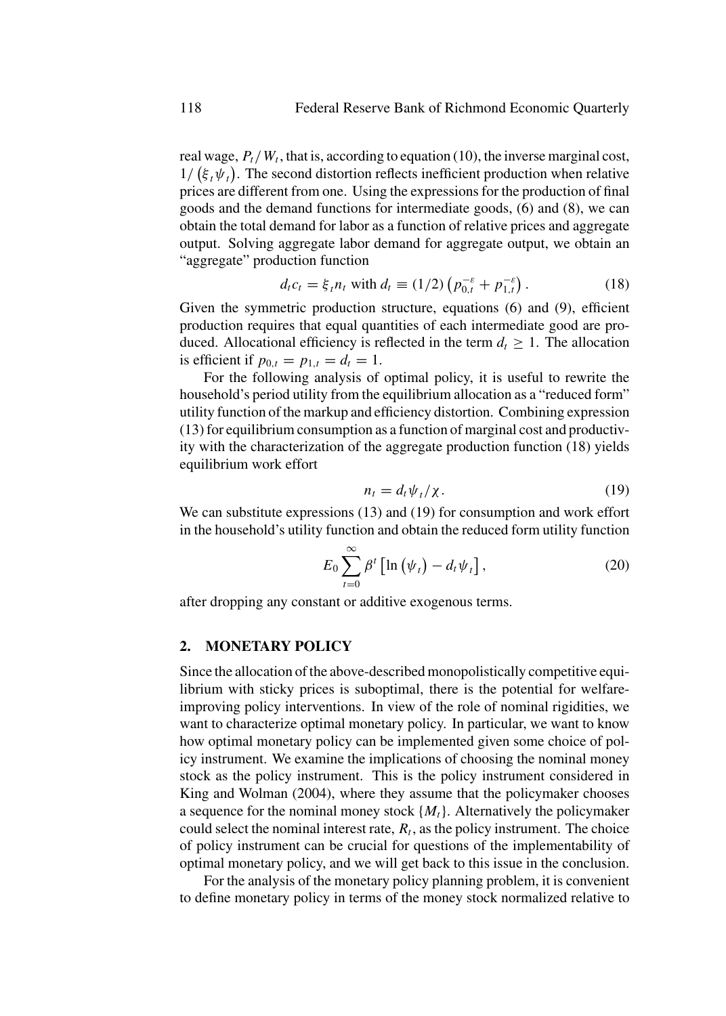real wage,  $P_t/W_t$ , that is, according to equation (10), the inverse marginal cost,  $1/\left(\xi_t\psi_t\right)$ . The second distortion reflects inefficient production when relative prices are different from one. Using the expressions for the production of final goods and the demand functions for intermediate goods, (6) and (8), we can obtain the total demand for labor as a function of relative prices and aggregate output. Solving aggregate labor demand for aggregate output, we obtain an "aggregate" production function

$$
d_t c_t = \xi_t n_t \text{ with } d_t \equiv (1/2) \left( p_{0,t}^{-\varepsilon} + p_{1,t}^{-\varepsilon} \right). \tag{18}
$$

Given the symmetric production structure, equations (6) and (9), efficient production requires that equal quantities of each intermediate good are produced. Allocational efficiency is reflected in the term  $d_t \geq 1$ . The allocation is efficient if  $p_{0,t} = p_{1,t} = d_t = 1$ .

For the following analysis of optimal policy, it is useful to rewrite the household's period utility from the equilibrium allocation as a "reduced form" utility function of the markup and efficiency distortion. Combining expression (13) for equilibrium consumption as a function of marginal cost and productivity with the characterization of the aggregate production function (18) yields equilibrium work effort

$$
n_t = d_t \psi_t / \chi. \tag{19}
$$

We can substitute expressions (13) and (19) for consumption and work effort in the household's utility function and obtain the reduced form utility function

$$
E_0 \sum_{t=0}^{\infty} \beta^t \left[ \ln \left( \psi_t \right) - d_t \psi_t \right], \tag{20}
$$

after dropping any constant or additive exogenous terms.

#### **2. MONETARY POLICY**

Since the allocation of the above-described monopolistically competitive equilibrium with sticky prices is suboptimal, there is the potential for welfareimproving policy interventions. In view of the role of nominal rigidities, we want to characterize optimal monetary policy. In particular, we want to know how optimal monetary policy can be implemented given some choice of policy instrument. We examine the implications of choosing the nominal money stock as the policy instrument. This is the policy instrument considered in King and Wolman (2004), where they assume that the policymaker chooses a sequence for the nominal money stock  $\{M_t\}$ . Alternatively the policymaker could select the nominal interest rate,  $R_t$ , as the policy instrument. The choice of policy instrument can be crucial for questions of the implementability of optimal monetary policy, and we will get back to this issue in the conclusion.

For the analysis of the monetary policy planning problem, it is convenient to define monetary policy in terms of the money stock normalized relative to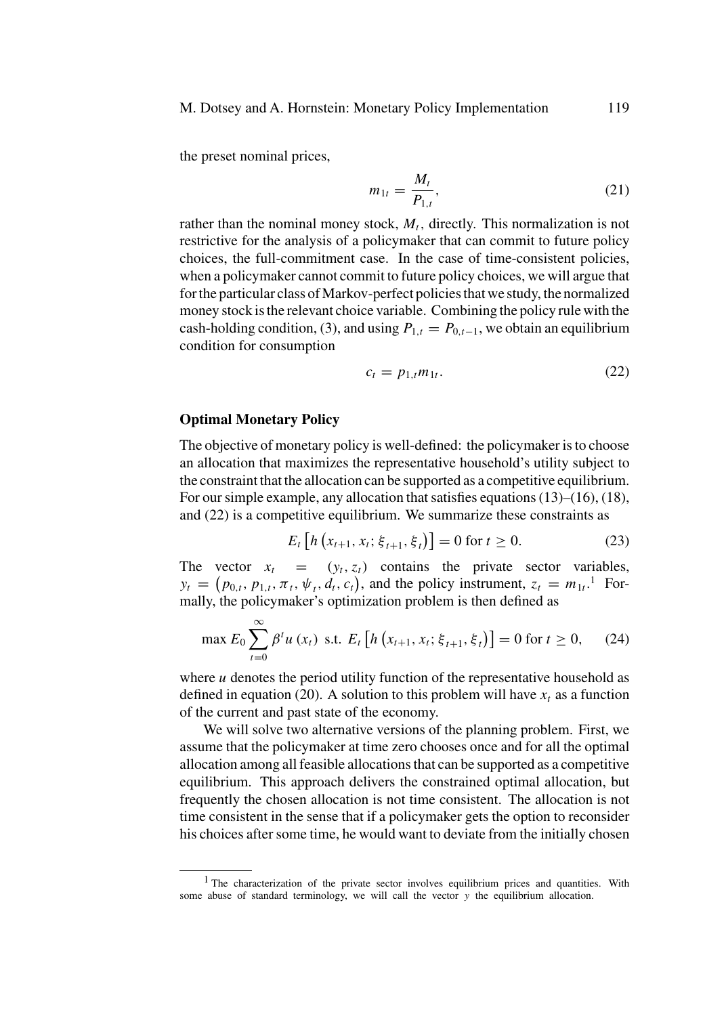M. Dotsey and A. Hornstein: Monetary Policy Implementation 119

the preset nominal prices,

$$
m_{1t} = \frac{M_t}{P_{1,t}},\tag{21}
$$

rather than the nominal money stock,  $M_t$ , directly. This normalization is not restrictive for the analysis of a policymaker that can commit to future policy choices, the full-commitment case. In the case of time-consistent policies, when a policymaker cannot commit to future policy choices, we will argue that for the particular class of Markov-perfect policies that we study, the normalized money stock is the relevant choice variable. Combining the policy rule with the cash-holding condition, (3), and using  $P_{1,t} = P_{0,t-1}$ , we obtain an equilibrium condition for consumption

$$
c_t = p_{1,t} m_{1t}.\tag{22}
$$

# **Optimal Monetary Policy**

The objective of monetary policy is well-defined: the policymaker is to choose an allocation that maximizes the representative household's utility subject to the constraint that the allocation can be supported as a competitive equilibrium. For our simple example, any allocation that satisfies equations (13)–(16), (18), and (22) is a competitive equilibrium. We summarize these constraints as

$$
E_t \left[ h \left( x_{t+1}, x_t; \xi_{t+1}, \xi_t \right) \right] = 0 \text{ for } t \ge 0. \tag{23}
$$

The vector  $x_t = (y_t, z_t)$  contains the private sector variables,  $y_t = (p_{0,t}, p_{1,t}, \pi_t, \psi_t, d_t, c_t)$ , and the policy instrument,  $z_t = m_{1t}$ .<sup>1</sup> Formally, the policymaker's optimization problem is then defined as

$$
\max E_0 \sum_{t=0}^{\infty} \beta^t u(x_t) \text{ s.t. } E_t \left[ h\left(x_{t+1}, x_t; \xi_{t+1}, \xi_t\right) \right] = 0 \text{ for } t \ge 0, \quad (24)
$$

where  $u$  denotes the period utility function of the representative household as defined in equation (20). A solution to this problem will have  $x_t$  as a function of the current and past state of the economy.

We will solve two alternative versions of the planning problem. First, we assume that the policymaker at time zero chooses once and for all the optimal allocation among all feasible allocations that can be supported as a competitive equilibrium. This approach delivers the constrained optimal allocation, but frequently the chosen allocation is not time consistent. The allocation is not time consistent in the sense that if a policymaker gets the option to reconsider his choices after some time, he would want to deviate from the initially chosen

<sup>&</sup>lt;sup>1</sup> The characterization of the private sector involves equilibrium prices and quantities. With some abuse of standard terminology, we will call the vector y the equilibrium allocation.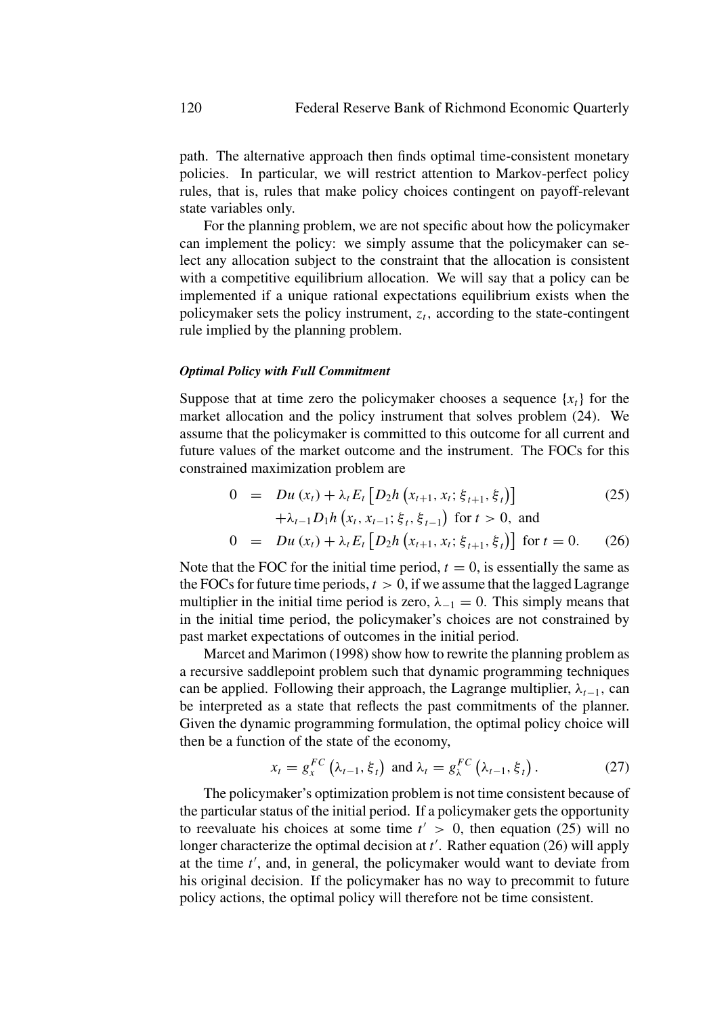path. The alternative approach then finds optimal time-consistent monetary policies. In particular, we will restrict attention to Markov-perfect policy rules, that is, rules that make policy choices contingent on payoff-relevant state variables only.

For the planning problem, we are not specific about how the policymaker can implement the policy: we simply assume that the policymaker can select any allocation subject to the constraint that the allocation is consistent with a competitive equilibrium allocation. We will say that a policy can be implemented if a unique rational expectations equilibrium exists when the policymaker sets the policy instrument,  $z_t$ , according to the state-contingent rule implied by the planning problem.

#### *Optimal Policy with Full Commitment*

Suppose that at time zero the policymaker chooses a sequence  $\{x_t\}$  for the market allocation and the policy instrument that solves problem (24). We assume that the policymaker is committed to this outcome for all current and future values of the market outcome and the instrument. The FOCs for this constrained maximization problem are

$$
0 = Du(x_t) + \lambda_t E_t [D_2 h(x_{t+1}, x_t; \xi_{t+1}, \xi_t)]
$$
\n
$$
+ \lambda_{t-1} D_1 h(x_t, x_{t-1}; \xi_t, \xi_{t-1}) \text{ for } t > 0, \text{ and}
$$
\n
$$
0 = Du(x_t) + \lambda_t E_t [D_2 h(x_{t+1}, x_t; \xi_{t+1}, \xi_t)] \text{ for } t = 0.
$$
\n(26)

Note that the FOC for the initial time period,  $t = 0$ , is essentially the same as the FOCs for future time periods,  $t > 0$ , if we assume that the lagged Lagrange multiplier in the initial time period is zero,  $\lambda_{-1} = 0$ . This simply means that in the initial time period, the policymaker's choices are not constrained by past market expectations of outcomes in the initial period.

Marcet and Marimon (1998) show how to rewrite the planning problem as a recursive saddlepoint problem such that dynamic programming techniques can be applied. Following their approach, the Lagrange multiplier,  $\lambda_{t-1}$ , can be interpreted as a state that reflects the past commitments of the planner. Given the dynamic programming formulation, the optimal policy choice will then be a function of the state of the economy,

$$
x_t = g_x^{FC} \left( \lambda_{t-1}, \xi_t \right) \text{ and } \lambda_t = g_x^{FC} \left( \lambda_{t-1}, \xi_t \right). \tag{27}
$$

The policymaker's optimization problem is not time consistent because of the particular status of the initial period. If a policymaker gets the opportunity to reevaluate his choices at some time  $t' > 0$ , then equation (25) will no longer characterize the optimal decision at  $t'$ . Rather equation (26) will apply at the time  $t'$ , and, in general, the policymaker would want to deviate from his original decision. If the policymaker has no way to precommit to future policy actions, the optimal policy will therefore not be time consistent.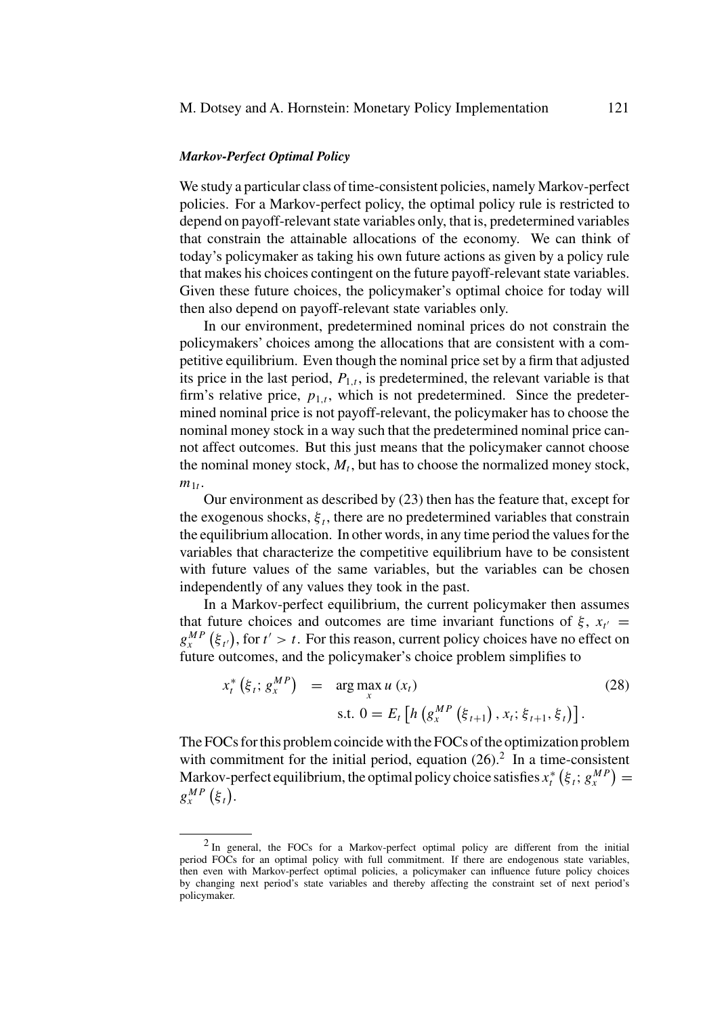#### *Markov-Perfect Optimal Policy*

We study a particular class of time-consistent policies, namely Markov-perfect policies. For a Markov-perfect policy, the optimal policy rule is restricted to depend on payoff-relevant state variables only, that is, predetermined variables that constrain the attainable allocations of the economy. We can think of today's policymaker as taking his own future actions as given by a policy rule that makes his choices contingent on the future payoff-relevant state variables. Given these future choices, the policymaker's optimal choice for today will then also depend on payoff-relevant state variables only.

In our environment, predetermined nominal prices do not constrain the policymakers' choices among the allocations that are consistent with a competitive equilibrium. Even though the nominal price set by a firm that adjusted its price in the last period,  $P_{1,t}$ , is predetermined, the relevant variable is that firm's relative price,  $p_{1,t}$ , which is not predetermined. Since the predetermined nominal price is not payoff-relevant, the policymaker has to choose the nominal money stock in a way such that the predetermined nominal price cannot affect outcomes. But this just means that the policymaker cannot choose the nominal money stock,  $M_t$ , but has to choose the normalized money stock,  $m_{1t}$ .

Our environment as described by (23) then has the feature that, except for the exogenous shocks,  $\xi_t$ , there are no predetermined variables that constrain the equilibrium allocation. In other words, in any time period the values for the variables that characterize the competitive equilibrium have to be consistent with future values of the same variables, but the variables can be chosen independently of any values they took in the past.

In a Markov-perfect equilibrium, the current policymaker then assumes that future choices and outcomes are time invariant functions of  $\xi$ ,  $x_{t'} =$  $g_x^{MP}(\xi_t)$ , for  $t' > t$ . For this reason, current policy choices have no effect on future outcomes, and the policymaker's choice problem simplifies to

$$
x_t^* (\xi_t; g_x^{MP}) = \arg \max_x u (x_t)
$$
  
s.t. 
$$
0 = E_t [h (g_x^{MP} (\xi_{t+1}), x_t; \xi_{t+1}, \xi_t)].
$$
 (28)

The FOCs for this problem coincide with the FOCs of the optimization problem with commitment for the initial period, equation  $(26)$ .<sup>2</sup> In a time-consistent Markov-perfect equilibrium, the optimal policy choice satisfies  $x_t^* (\xi_t; g_x^{MP}) =$  $g_{x}^{MP}(\xi_t)$ .

<sup>2</sup> In general, the FOCs for a Markov-perfect optimal policy are different from the initial period FOCs for an optimal policy with full commitment. If there are endogenous state variables, then even with Markov-perfect optimal policies, a policymaker can influence future policy choices by changing next period's state variables and thereby affecting the constraint set of next period's policymaker.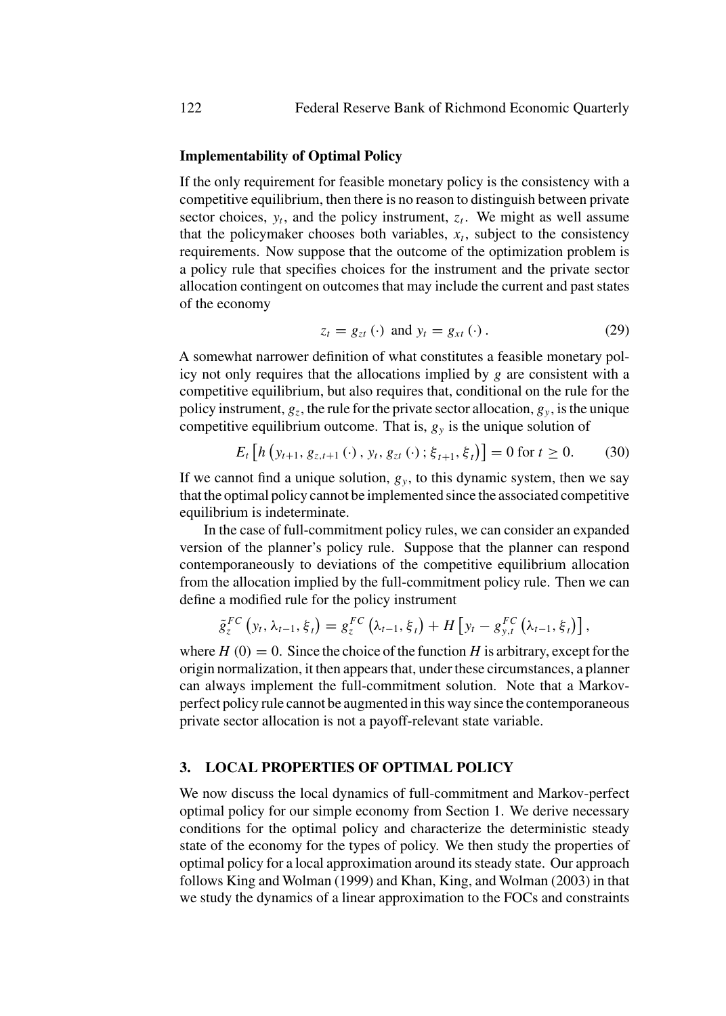# **Implementability of Optimal Policy**

If the only requirement for feasible monetary policy is the consistency with a competitive equilibrium, then there is no reason to distinguish between private sector choices,  $y_t$ , and the policy instrument,  $z_t$ . We might as well assume that the policymaker chooses both variables,  $x_t$ , subject to the consistency requirements. Now suppose that the outcome of the optimization problem is a policy rule that specifies choices for the instrument and the private sector allocation contingent on outcomes that may include the current and past states of the economy

$$
z_t = g_{zt}(\cdot) \text{ and } y_t = g_{xt}(\cdot). \tag{29}
$$

A somewhat narrower definition of what constitutes a feasible monetary policy not only requires that the allocations implied by  $g$  are consistent with a competitive equilibrium, but also requires that, conditional on the rule for the policy instrument,  $g_z$ , the rule for the private sector allocation,  $g_y$ , is the unique competitive equilibrium outcome. That is,  $g_y$  is the unique solution of

$$
E_t \left[ h \left( y_{t+1}, g_{z,t+1} \left( \cdot \right), y_t, g_{zt} \left( \cdot \right); \xi_{t+1}, \xi_t \right) \right] = 0 \text{ for } t \ge 0. \tag{30}
$$

If we cannot find a unique solution,  $g_y$ , to this dynamic system, then we say that the optimal policy cannot be implemented since the associated competitive equilibrium is indeterminate.

In the case of full-commitment policy rules, we can consider an expanded version of the planner's policy rule. Suppose that the planner can respond contemporaneously to deviations of the competitive equilibrium allocation from the allocation implied by the full-commitment policy rule. Then we can define a modified rule for the policy instrument

$$
\tilde{g}_{z}^{FC}\left(y_{t}, \lambda_{t-1}, \xi_{t}\right) = g_{z}^{FC}\left(\lambda_{t-1}, \xi_{t}\right) + H\left[y_{t} - g_{y,t}^{FC}\left(\lambda_{t-1}, \xi_{t}\right)\right],
$$

where  $H(0) = 0$ . Since the choice of the function H is arbitrary, except for the origin normalization, it then appears that, under these circumstances, a planner can always implement the full-commitment solution. Note that a Markovperfect policy rule cannot be augmented in this way since the contemporaneous private sector allocation is not a payoff-relevant state variable.

# **3. LOCAL PROPERTIES OF OPTIMAL POLICY**

We now discuss the local dynamics of full-commitment and Markov-perfect optimal policy for our simple economy from Section 1. We derive necessary conditions for the optimal policy and characterize the deterministic steady state of the economy for the types of policy. We then study the properties of optimal policy for a local approximation around its steady state. Our approach follows King and Wolman (1999) and Khan, King, and Wolman (2003) in that we study the dynamics of a linear approximation to the FOCs and constraints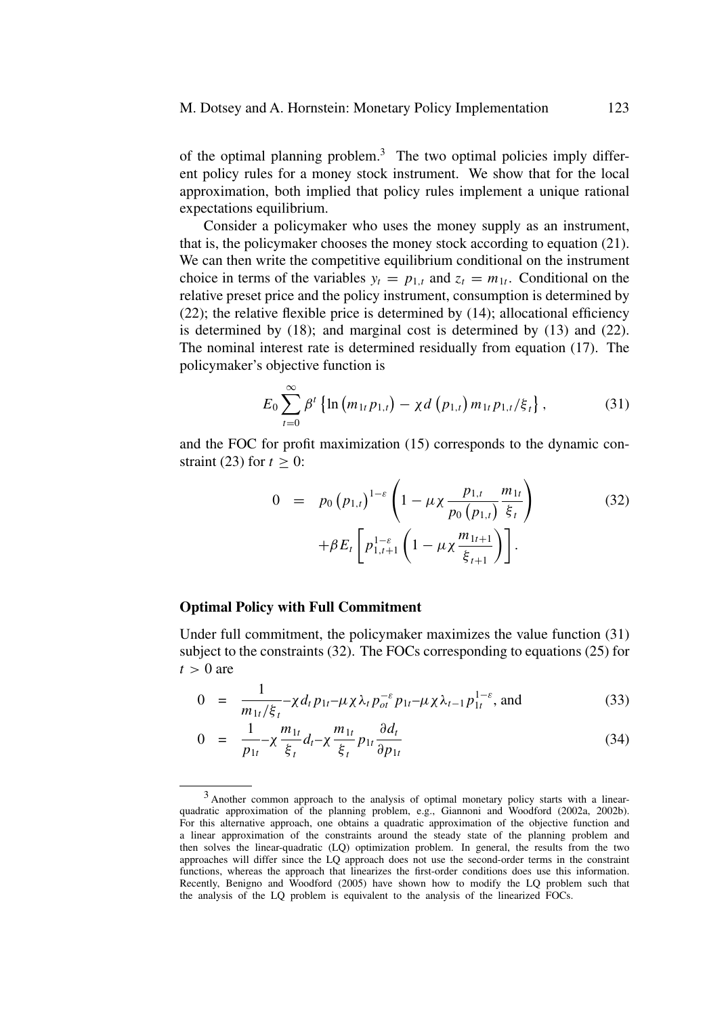of the optimal planning problem.<sup>3</sup> The two optimal policies imply different policy rules for a money stock instrument. We show that for the local approximation, both implied that policy rules implement a unique rational expectations equilibrium.

Consider a policymaker who uses the money supply as an instrument, that is, the policymaker chooses the money stock according to equation (21). We can then write the competitive equilibrium conditional on the instrument choice in terms of the variables  $y_t = p_{1,t}$  and  $z_t = m_{1t}$ . Conditional on the relative preset price and the policy instrument, consumption is determined by (22); the relative flexible price is determined by (14); allocational efficiency is determined by (18); and marginal cost is determined by (13) and (22). The nominal interest rate is determined residually from equation (17). The policymaker's objective function is

$$
E_0 \sum_{t=0}^{\infty} \beta^t \left\{ \ln \left( m_{1t} p_{1,t} \right) - \chi d \left( p_{1,t} \right) m_{1t} p_{1,t} / \xi_t \right\},\tag{31}
$$

and the FOC for profit maximization (15) corresponds to the dynamic constraint (23) for  $t > 0$ :

$$
0 = p_0 (p_{1,t})^{1-\varepsilon} \left( 1 - \mu \chi \frac{p_{1,t}}{p_0 (p_{1,t})} \frac{m_{1t}}{\xi_t} \right)
$$
  
+ $\beta E_t \left[ p_{1,t+1}^{1-\varepsilon} \left( 1 - \mu \chi \frac{m_{1t+1}}{\xi_{t+1}} \right) \right].$  (32)

# **Optimal Policy with Full Commitment**

Under full commitment, the policymaker maximizes the value function (31) subject to the constraints (32). The FOCs corresponding to equations (25) for  $t > 0$  are

$$
0 = \frac{1}{m_{1t}/\xi_t} - \chi d_t p_{1t} - \mu \chi \lambda_t p_{ot}^{-\varepsilon} p_{1t} - \mu \chi \lambda_{t-1} p_{1t}^{1-\varepsilon}, \text{ and}
$$
 (33)

$$
0 = \frac{1}{p_{1t}} - \chi \frac{m_{1t}}{\xi_t} d_t - \chi \frac{m_{1t}}{\xi_t} p_{1t} \frac{\partial d_t}{\partial p_{1t}}
$$
(34)

<sup>3</sup> Another common approach to the analysis of optimal monetary policy starts with a linearquadratic approximation of the planning problem, e.g., Giannoni and Woodford (2002a, 2002b). For this alternative approach, one obtains a quadratic approximation of the objective function and a linear approximation of the constraints around the steady state of the planning problem and then solves the linear-quadratic (LQ) optimization problem. In general, the results from the two approaches will differ since the LQ approach does not use the second-order terms in the constraint functions, whereas the approach that linearizes the first-order conditions does use this information. Recently, Benigno and Woodford (2005) have shown how to modify the LQ problem such that the analysis of the LQ problem is equivalent to the analysis of the linearized FOCs.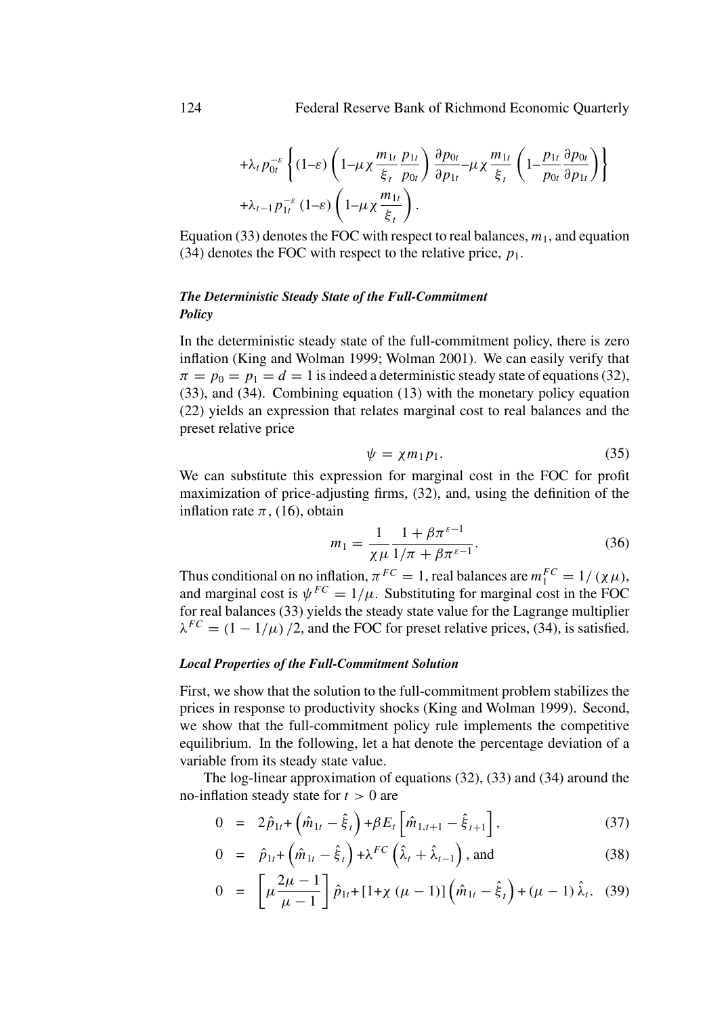$$
+ \lambda_t p_{0t}^{-\varepsilon} \left\{ (1-\varepsilon) \left( 1 - \mu \chi \frac{m_{1t}}{\xi_t} \frac{p_{1t}}{p_{0t}} \right) \frac{\partial p_{0t}}{\partial p_{1t}} - \mu \chi \frac{m_{1t}}{\xi_t} \left( 1 - \frac{p_{1t}}{p_{0t}} \frac{\partial p_{0t}}{\partial p_{1t}} \right) \right\}
$$
  
+  $\lambda_{t-1} p_{1t}^{-\varepsilon} (1-\varepsilon) \left( 1 - \mu \chi \frac{m_{1t}}{\xi_t} \right).$ 

Equation (33) denotes the FOC with respect to real balances,  $m_1$ , and equation (34) denotes the FOC with respect to the relative price,  $p_1$ .

# *The Deterministic Steady State of the Full-Commitment Policy*

In the deterministic steady state of the full-commitment policy, there is zero inflation (King and Wolman 1999; Wolman 2001). We can easily verify that  $\pi = p_0 = p_1 = d = 1$  is indeed a deterministic steady state of equations (32), (33), and (34). Combining equation (13) with the monetary policy equation (22) yields an expression that relates marginal cost to real balances and the preset relative price

$$
\psi = \chi m_1 p_1. \tag{35}
$$

We can substitute this expression for marginal cost in the FOC for profit maximization of price-adjusting firms, (32), and, using the definition of the inflation rate  $\pi$ , (16), obtain

$$
m_1 = \frac{1}{\chi\mu} \frac{1 + \beta \pi^{\varepsilon - 1}}{1/\pi + \beta \pi^{\varepsilon - 1}}.
$$
 (36)

Thus conditional on no inflation,  $\pi^{FC} = 1$ , real balances are  $m_1^{FC} = 1/(\chi\mu)$ , and marginal cost is  $\psi^{FC} = 1/\mu$ . Substituting for marginal cost in the FOC for real balances (33) yields the steady state value for the Lagrange multiplier  $\lambda^{FC} = (1 - 1/\mu)/2$ , and the FOC for preset relative prices, (34), is satisfied.

#### *Local Properties of the Full-Commitment Solution*

First, we show that the solution to the full-commitment problem stabilizes the prices in response to productivity shocks (King and Wolman 1999). Second, we show that the full-commitment policy rule implements the competitive equilibrium. In the following, let a hat denote the percentage deviation of a variable from its steady state value.

The log-linear approximation of equations (32), (33) and (34) around the no-inflation steady state for  $t > 0$  are

$$
0 = 2\hat{p}_{1t} + \left(\hat{m}_{1t} - \hat{\xi}_t\right) + \beta E_t \left[\hat{m}_{1,t+1} - \hat{\xi}_{t+1}\right],\tag{37}
$$

$$
0 = \hat{p}_{1t} + \left(\hat{m}_{1t} - \hat{\xi}_t\right) + \lambda^{FC}\left(\hat{\lambda}_t + \hat{\lambda}_{t-1}\right), \text{ and}
$$
 (38)

$$
0 = \left[ \mu \frac{2\mu - 1}{\mu - 1} \right] \hat{p}_{1t} + [1 + \chi (\mu - 1)] \left( \hat{m}_{1t} - \hat{\xi}_t \right) + (\mu - 1) \hat{\lambda}_t. \tag{39}
$$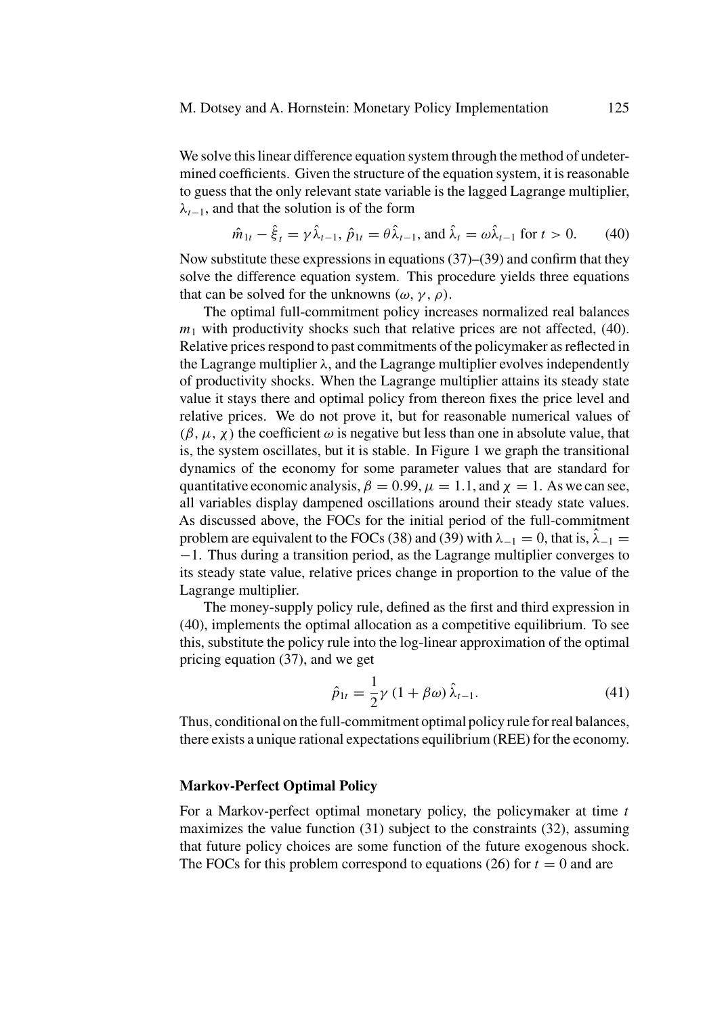We solve this linear difference equation system through the method of undetermined coefficients. Given the structure of the equation system, it is reasonable to guess that the only relevant state variable is the lagged Lagrange multiplier,  $\lambda_{t-1}$ , and that the solution is of the form

$$
\hat{m}_{1t} - \hat{\xi}_t = \gamma \hat{\lambda}_{t-1}, \ \hat{p}_{1t} = \theta \hat{\lambda}_{t-1}, \text{ and } \hat{\lambda}_t = \omega \hat{\lambda}_{t-1} \text{ for } t > 0. \tag{40}
$$

Now substitute these expressions in equations  $(37)$ – $(39)$  and confirm that they solve the difference equation system. This procedure yields three equations that can be solved for the unknowns  $(\omega, \gamma, \rho)$ .

The optimal full-commitment policy increases normalized real balances  $m_1$  with productivity shocks such that relative prices are not affected, (40). Relative prices respond to past commitments of the policymaker as reflected in the Lagrange multiplier  $\lambda$ , and the Lagrange multiplier evolves independently of productivity shocks. When the Lagrange multiplier attains its steady state value it stays there and optimal policy from thereon fixes the price level and relative prices. We do not prove it, but for reasonable numerical values of  $(\beta, \mu, \chi)$  the coefficient  $\omega$  is negative but less than one in absolute value, that is, the system oscillates, but it is stable. In Figure 1 we graph the transitional dynamics of the economy for some parameter values that are standard for quantitative economic analysis,  $\beta = 0.99$ ,  $\mu = 1.1$ , and  $\chi = 1$ . As we can see, all variables display dampened oscillations around their steady state values. As discussed above, the FOCs for the initial period of the full-commitment problem are equivalent to the FOCs (38) and (39) with  $\lambda_{-1} = 0$ , that is,  $\hat{\lambda}_{-1} =$ −1. Thus during a transition period, as the Lagrange multiplier converges to its steady state value, relative prices change in proportion to the value of the Lagrange multiplier.

The money-supply policy rule, defined as the first and third expression in (40), implements the optimal allocation as a competitive equilibrium. To see this, substitute the policy rule into the log-linear approximation of the optimal pricing equation (37), and we get

$$
\hat{p}_{1t} = \frac{1}{2}\gamma (1 + \beta \omega) \hat{\lambda}_{t-1}.
$$
\n(41)

Thus, conditional on the full-commitment optimal policy rule for real balances, there exists a unique rational expectations equilibrium (REE) for the economy.

# **Markov-Perfect Optimal Policy**

For a Markov-perfect optimal monetary policy, the policymaker at time  $t$ maximizes the value function (31) subject to the constraints (32), assuming that future policy choices are some function of the future exogenous shock. The FOCs for this problem correspond to equations (26) for  $t = 0$  and are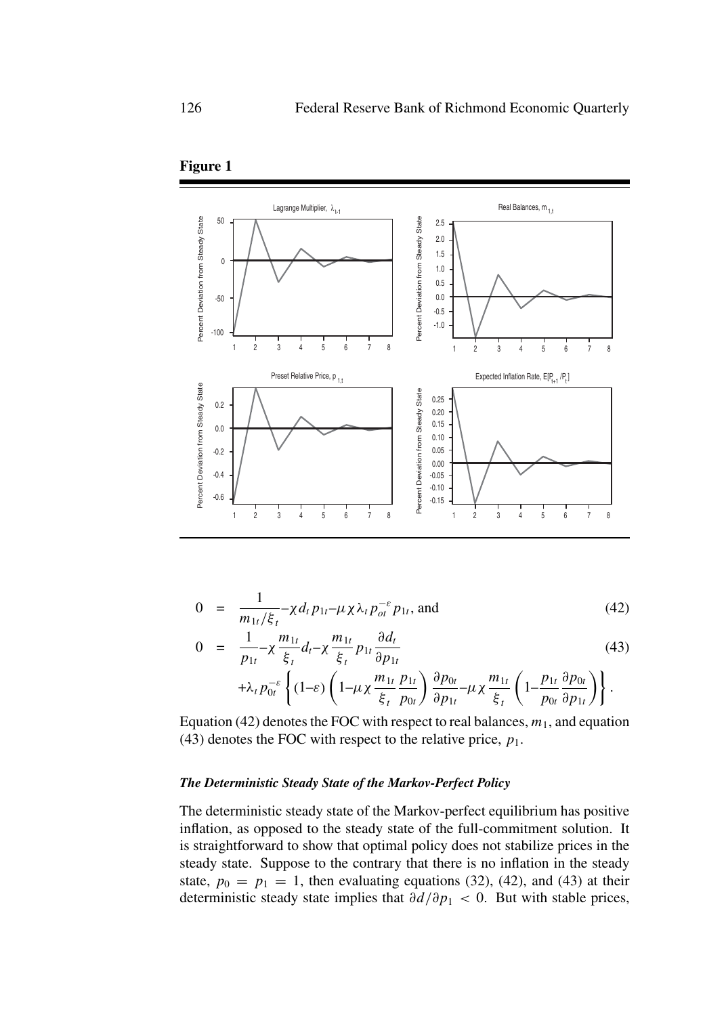

**Figure 1**

$$
0 = \frac{1}{m_{1t}/\xi_t} - \chi d_t p_{1t} - \mu \chi \lambda_t p_{ot}^{-\varepsilon} p_{1t}, \text{ and}
$$
 (42)

$$
0 = \frac{1}{p_{1t}} - \chi \frac{m_{1t}}{\xi_t} d_t - \chi \frac{m_{1t}}{\xi_t} p_{1t} \frac{\partial d_t}{\partial p_{1t}}
$$
(43)

$$
+ \lambda_t p_{0t}^{-\varepsilon} \left\{ (1-\varepsilon) \left(1-\mu\chi \frac{m_{1t}}{\xi_t} \frac{p_{1t}}{p_{0t}} \right) \frac{\partial p_{0t}}{\partial p_{1t}} - \mu\chi \frac{m_{1t}}{\xi_t} \left(1-\frac{p_{1t}}{p_{0t}} \frac{\partial p_{0t}}{\partial p_{1t}} \right) \right\}.
$$

Equation (42) denotes the FOC with respect to real balances,  $m_1$ , and equation (43) denotes the FOC with respect to the relative price,  $p_1$ .

#### *The Deterministic Steady State of the Markov-Perfect Policy*

The deterministic steady state of the Markov-perfect equilibrium has positive inflation, as opposed to the steady state of the full-commitment solution. It is straightforward to show that optimal policy does not stabilize prices in the steady state. Suppose to the contrary that there is no inflation in the steady state,  $p_0 = p_1 = 1$ , then evaluating equations (32), (42), and (43) at their deterministic steady state implies that  $\partial d/\partial p_1 < 0$ . But with stable prices,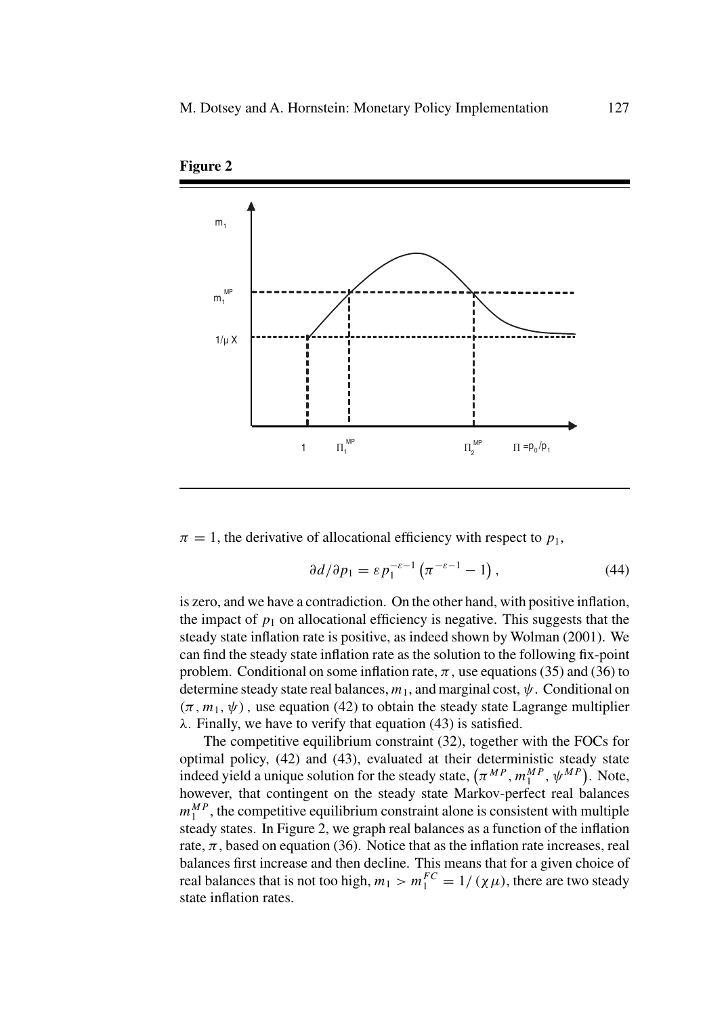

**Figure 2**

 $\pi = 1$ , the derivative of allocational efficiency with respect to  $p_1$ ,

$$
\frac{\partial d}{\partial p_1} = \varepsilon p_1^{-\varepsilon - 1} \left( \pi^{-\varepsilon - 1} - 1 \right),\tag{44}
$$

is zero, and we have a contradiction. On the other hand, with positive inflation, the impact of  $p_1$  on allocational efficiency is negative. This suggests that the steady state inflation rate is positive, as indeed shown by Wolman (2001). We can find the steady state inflation rate as the solution to the following fix-point problem. Conditional on some inflation rate,  $\pi$ , use equations (35) and (36) to determine steady state real balances,  $m_1$ , and marginal cost,  $\psi$ . Conditional on  $(\pi, m_1, \psi)$ , use equation (42) to obtain the steady state Lagrange multiplier  $\lambda$ . Finally, we have to verify that equation (43) is satisfied.

The competitive equilibrium constraint (32), together with the FOCs for optimal policy, (42) and (43), evaluated at their deterministic steady state indeed yield a unique solution for the steady state,  $(\pi^{MP}, m_1^{MP}, \psi^{MP})$ . Note, however, that contingent on the steady state Markov-perfect real balances  $m_1^{MP}$ , the competitive equilibrium constraint alone is consistent with multiple steady states. In Figure 2, we graph real balances as a function of the inflation rate,  $\pi$ , based on equation (36). Notice that as the inflation rate increases, real balances first increase and then decline. This means that for a given choice of real balances that is not too high,  $m_1 > m_1^{FC} = 1/( \chi \mu)$ , there are two steady state inflation rates.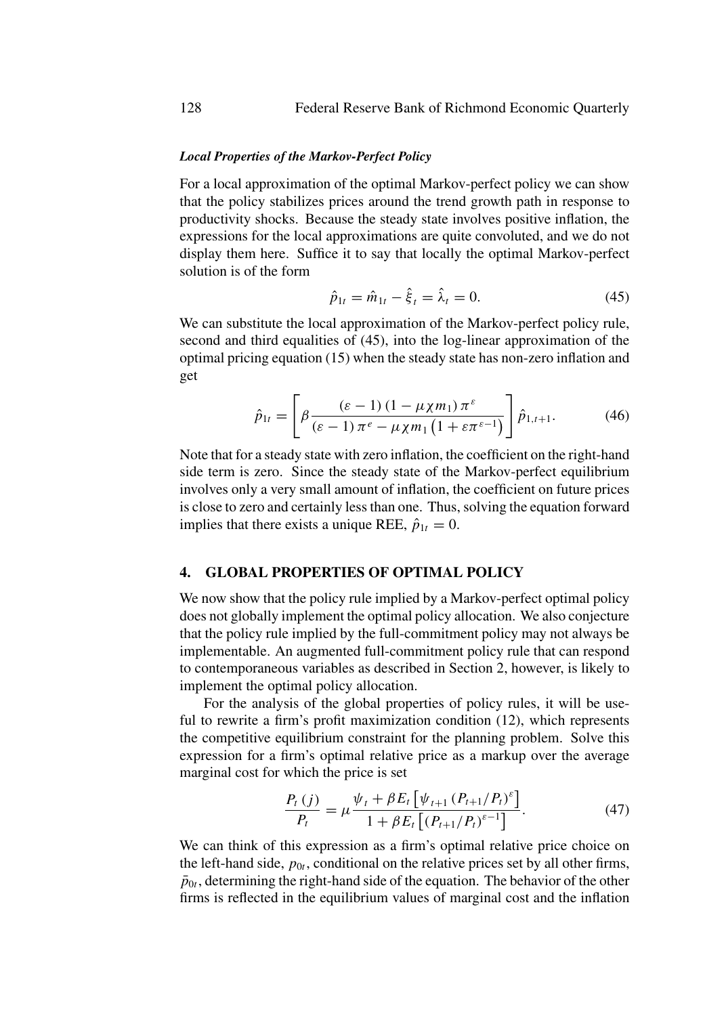# *Local Properties of the Markov-Perfect Policy*

For a local approximation of the optimal Markov-perfect policy we can show that the policy stabilizes prices around the trend growth path in response to productivity shocks. Because the steady state involves positive inflation, the expressions for the local approximations are quite convoluted, and we do not display them here. Suffice it to say that locally the optimal Markov-perfect solution is of the form

$$
\hat{p}_{1t} = \hat{m}_{1t} - \hat{\xi}_t = \hat{\lambda}_t = 0.
$$
\n(45)

We can substitute the local approximation of the Markov-perfect policy rule, second and third equalities of (45), into the log-linear approximation of the optimal pricing equation (15) when the steady state has non-zero inflation and get

$$
\hat{p}_{1t} = \left[ \beta \frac{\left(\varepsilon - 1\right) \left(1 - \mu \chi m_1\right) \pi^{\varepsilon}}{\left(\varepsilon - 1\right) \pi^{\varepsilon} - \mu \chi m_1 \left(1 + \varepsilon \pi^{\varepsilon - 1}\right)} \right] \hat{p}_{1,t+1}.
$$
\n(46)

Note that for a steady state with zero inflation, the coefficient on the right-hand side term is zero. Since the steady state of the Markov-perfect equilibrium involves only a very small amount of inflation, the coefficient on future prices is close to zero and certainly less than one. Thus, solving the equation forward implies that there exists a unique REE,  $\hat{p}_{1t} = 0$ .

# **4. GLOBAL PROPERTIES OF OPTIMAL POLICY**

We now show that the policy rule implied by a Markov-perfect optimal policy does not globally implement the optimal policy allocation. We also conjecture that the policy rule implied by the full-commitment policy may not always be implementable. An augmented full-commitment policy rule that can respond to contemporaneous variables as described in Section 2, however, is likely to implement the optimal policy allocation.

For the analysis of the global properties of policy rules, it will be useful to rewrite a firm's profit maximization condition (12), which represents the competitive equilibrium constraint for the planning problem. Solve this expression for a firm's optimal relative price as a markup over the average marginal cost for which the price is set

$$
\frac{P_t(j)}{P_t} = \mu \frac{\psi_t + \beta E_t \left[ \psi_{t+1} \left( P_{t+1} / P_t \right)^{\varepsilon} \right]}{1 + \beta E_t \left[ \left( P_{t+1} / P_t \right)^{\varepsilon - 1} \right]}.
$$
\n(47)

We can think of this expression as a firm's optimal relative price choice on the left-hand side,  $p_{0t}$ , conditional on the relative prices set by all other firms,  $\bar{p}_{0t}$ , determining the right-hand side of the equation. The behavior of the other firms is reflected in the equilibrium values of marginal cost and the inflation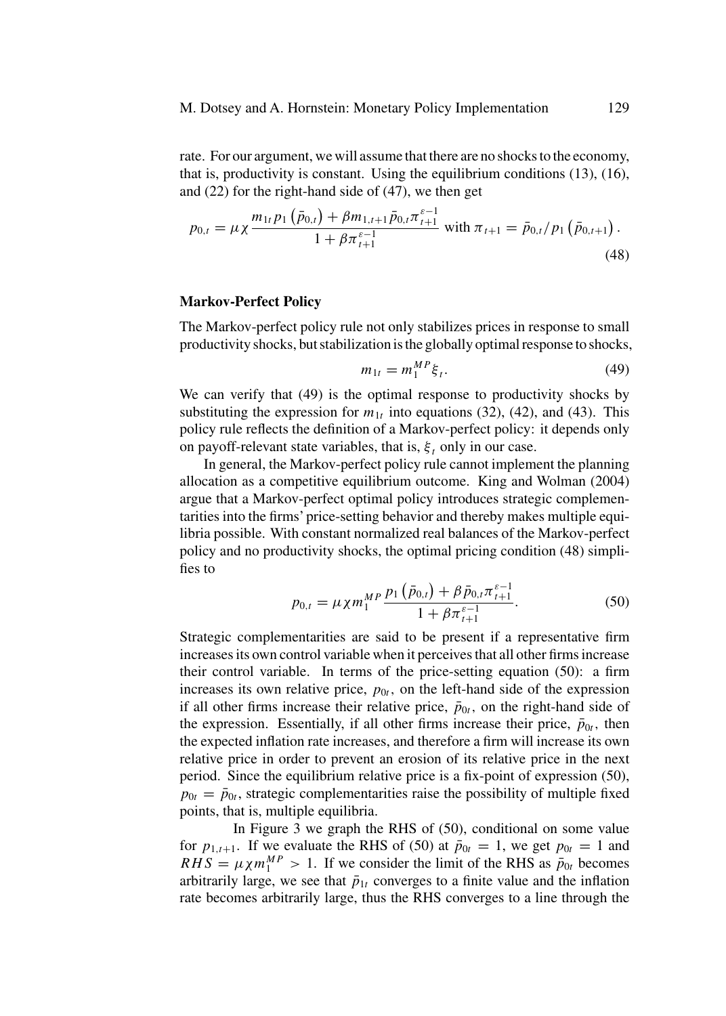rate. For our argument, we will assume that there are no shocks to the economy, that is, productivity is constant. Using the equilibrium conditions (13), (16), and (22) for the right-hand side of (47), we then get

$$
p_{0,t} = \mu \chi \frac{m_{1t} p_1 \left( \bar{p}_{0,t} \right) + \beta m_{1,t+1} \bar{p}_{0,t} \pi_{t+1}^{\varepsilon - 1}}{1 + \beta \pi_{t+1}^{\varepsilon - 1}} \text{ with } \pi_{t+1} = \bar{p}_{0,t} / p_1 \left( \bar{p}_{0,t+1} \right). \tag{48}
$$

#### **Markov-Perfect Policy**

The Markov-perfect policy rule not only stabilizes prices in response to small productivity shocks, but stabilization is the globally optimal response to shocks,

$$
m_{1t} = m_1^{MP} \xi_t.
$$
 (49)

We can verify that (49) is the optimal response to productivity shocks by substituting the expression for  $m_{1t}$  into equations (32), (42), and (43). This policy rule reflects the definition of a Markov-perfect policy: it depends only on payoff-relevant state variables, that is,  $\xi_t$  only in our case.

In general, the Markov-perfect policy rule cannot implement the planning allocation as a competitive equilibrium outcome. King and Wolman (2004) argue that a Markov-perfect optimal policy introduces strategic complementarities into the firms' price-setting behavior and thereby makes multiple equilibria possible. With constant normalized real balances of the Markov-perfect policy and no productivity shocks, the optimal pricing condition (48) simplifies to

$$
p_{0,t} = \mu \chi m_1^{MP} \frac{p_1(\bar{p}_{0,t}) + \beta \bar{p}_{0,t} \pi_{t+1}^{\varepsilon-1}}{1 + \beta \pi_{t+1}^{\varepsilon-1}}.
$$
 (50)

Strategic complementarities are said to be present if a representative firm increases its own control variable when it perceives that all other firms increase their control variable. In terms of the price-setting equation (50): a firm increases its own relative price,  $p_{0t}$ , on the left-hand side of the expression if all other firms increase their relative price,  $\bar{p}_{0t}$ , on the right-hand side of the expression. Essentially, if all other firms increase their price,  $\bar{p}_{0t}$ , then the expected inflation rate increases, and therefore a firm will increase its own relative price in order to prevent an erosion of its relative price in the next period. Since the equilibrium relative price is a fix-point of expression (50),  $p_{0t} = \bar{p}_{0t}$ , strategic complementarities raise the possibility of multiple fixed points, that is, multiple equilibria.

In Figure 3 we graph the RHS of (50), conditional on some value for  $p_{1,t+1}$ . If we evaluate the RHS of (50) at  $\bar{p}_{0t} = 1$ , we get  $p_{0t} = 1$  and  $RHS = \mu \chi m_1^{MP} > 1$ . If we consider the limit of the RHS as  $\bar{p}_{0t}$  becomes arbitrarily large, we see that  $\bar{p}_{1t}$  converges to a finite value and the inflation rate becomes arbitrarily large, thus the RHS converges to a line through the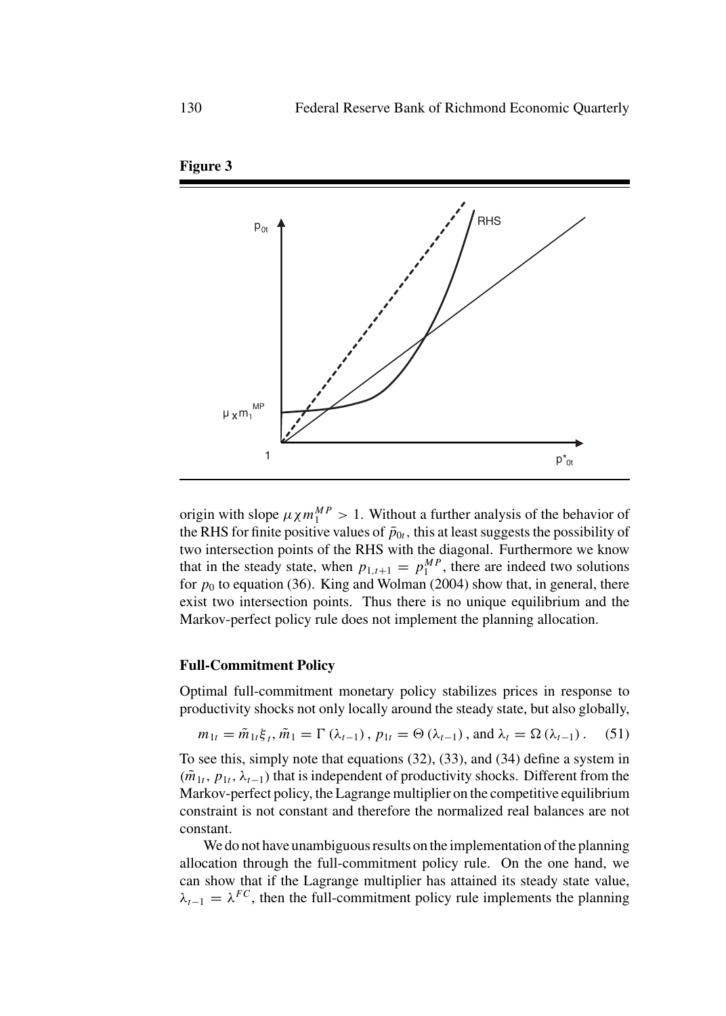

**Figure 3**

origin with slope  $\mu \chi m_1^{MP} > 1$ . Without a further analysis of the behavior of the RHS for finite positive values of  $\bar{p}_{0t}$ , this at least suggests the possibility of two intersection points of the RHS with the diagonal. Furthermore we know that in the steady state, when  $p_{1,t+1} = p_1^{MP}$ , there are indeed two solutions for  $p_0$  to equation (36). King and Wolman (2004) show that, in general, there exist two intersection points. Thus there is no unique equilibrium and the Markov-perfect policy rule does not implement the planning allocation.

## **Full-Commitment Policy**

Optimal full-commitment monetary policy stabilizes prices in response to productivity shocks not only locally around the steady state, but also globally,

$$
m_{1t} = \tilde{m}_{1t}\xi_t, \tilde{m}_1 = \Gamma(\lambda_{t-1}), p_{1t} = \Theta(\lambda_{t-1}), \text{ and } \lambda_t = \Omega(\lambda_{t-1}).
$$
 (51)

To see this, simply note that equations (32), (33), and (34) define a system in  $(\tilde{m}_{1t}, p_{1t}, \lambda_{t-1})$  that is independent of productivity shocks. Different from the Markov-perfect policy, the Lagrange multiplier on the competitive equilibrium constraint is not constant and therefore the normalized real balances are not constant.

We do not have unambiguous results on the implementation of the planning allocation through the full-commitment policy rule. On the one hand, we can show that if the Lagrange multiplier has attained its steady state value,  $\lambda_{t-1} = \lambda^{FC}$ , then the full-commitment policy rule implements the planning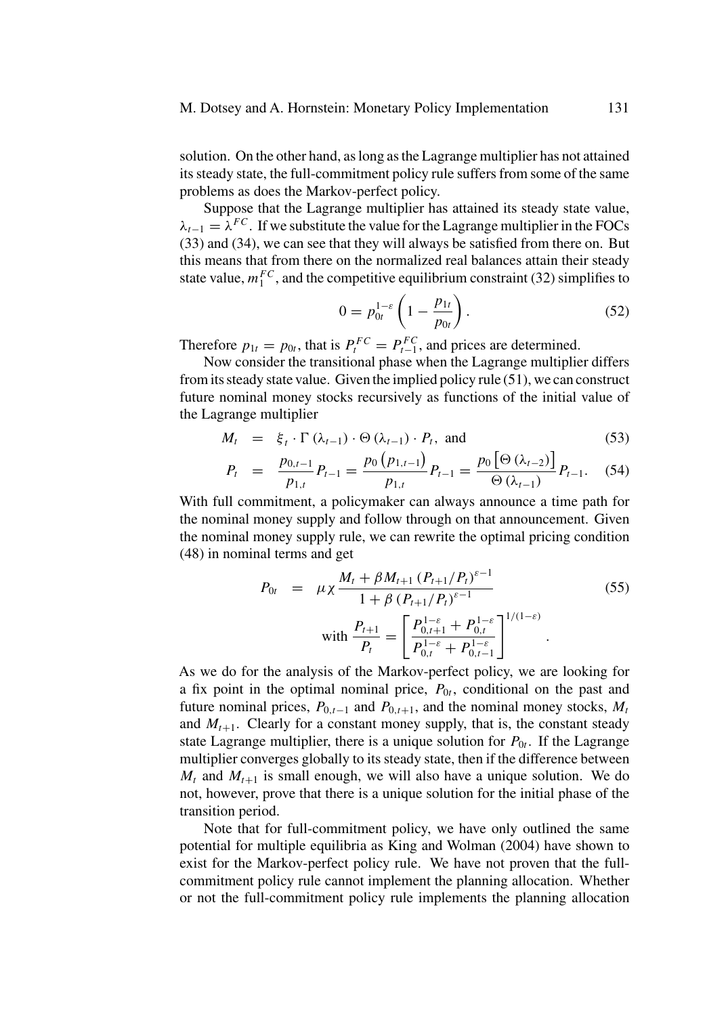solution. On the other hand, as long as the Lagrange multiplier has not attained its steady state, the full-commitment policy rule suffers from some of the same problems as does the Markov-perfect policy.

Suppose that the Lagrange multiplier has attained its steady state value,  $\lambda_{t-1} = \lambda^{FC}$ . If we substitute the value for the Lagrange multiplier in the FOCs (33) and (34), we can see that they will always be satisfied from there on. But this means that from there on the normalized real balances attain their steady state value,  $m_1^{FC}$ , and the competitive equilibrium constraint (32) simplifies to

$$
0 = p_{0t}^{1-\varepsilon} \left( 1 - \frac{p_{1t}}{p_{0t}} \right). \tag{52}
$$

Therefore  $p_{1t} = p_{0t}$ , that is  $P_t^{FC} = P_{t-1}^{FC}$ , and prices are determined.

Now consider the transitional phase when the Lagrange multiplier differs from its steady state value. Given the implied policy rule (51), we can construct future nominal money stocks recursively as functions of the initial value of the Lagrange multiplier

$$
M_t = \xi_t \cdot \Gamma(\lambda_{t-1}) \cdot \Theta(\lambda_{t-1}) \cdot P_t, \text{ and } (53)
$$

$$
P_{t} = \frac{p_{0,t-1}}{p_{1,t}} P_{t-1} = \frac{p_0(p_{1,t-1})}{p_{1,t}} P_{t-1} = \frac{p_0 [\Theta (\lambda_{t-2})]}{\Theta (\lambda_{t-1})} P_{t-1}.
$$
 (54)

With full commitment, a policymaker can always announce a time path for the nominal money supply and follow through on that announcement. Given the nominal money supply rule, we can rewrite the optimal pricing condition (48) in nominal terms and get

$$
P_{0t} = \mu \chi \frac{M_t + \beta M_{t+1} (P_{t+1}/P_t)^{\varepsilon - 1}}{1 + \beta (P_{t+1}/P_t)^{\varepsilon - 1}}
$$
(55)  
with 
$$
\frac{P_{t+1}}{P_t} = \left[ \frac{P_{0,t+1}^{1-\varepsilon} + P_{0,t}^{1-\varepsilon}}{P_{0,t}^{1-\varepsilon} + P_{0,t-1}^{1-\varepsilon}} \right]^{1/(1-\varepsilon)}
$$

As we do for the analysis of the Markov-perfect policy, we are looking for a fix point in the optimal nominal price,  $P_{0t}$ , conditional on the past and future nominal prices,  $P_{0,t-1}$  and  $P_{0,t+1}$ , and the nominal money stocks,  $M_t$ and  $M_{t+1}$ . Clearly for a constant money supply, that is, the constant steady state Lagrange multiplier, there is a unique solution for  $P_{0t}$ . If the Lagrange multiplier converges globally to its steady state, then if the difference between  $M_t$  and  $M_{t+1}$  is small enough, we will also have a unique solution. We do not, however, prove that there is a unique solution for the initial phase of the transition period.

Note that for full-commitment policy, we have only outlined the same potential for multiple equilibria as King and Wolman (2004) have shown to exist for the Markov-perfect policy rule. We have not proven that the fullcommitment policy rule cannot implement the planning allocation. Whether or not the full-commitment policy rule implements the planning allocation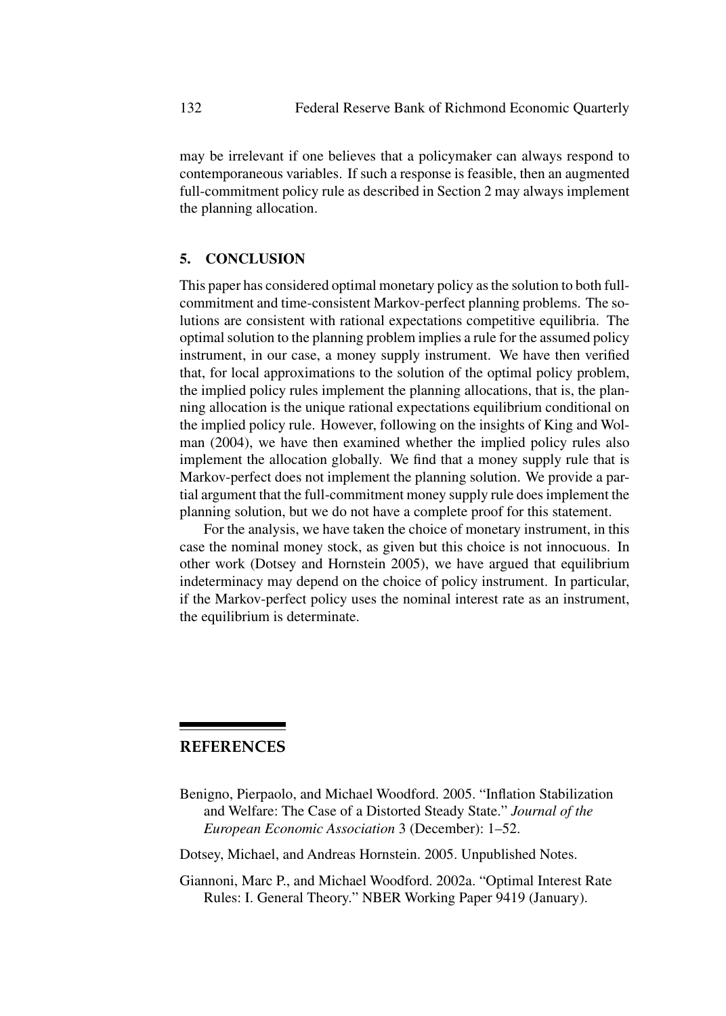may be irrelevant if one believes that a policymaker can always respond to contemporaneous variables. If such a response is feasible, then an augmented full-commitment policy rule as described in Section 2 may always implement the planning allocation.

## **5. CONCLUSION**

This paper has considered optimal monetary policy as the solution to both fullcommitment and time-consistent Markov-perfect planning problems. The solutions are consistent with rational expectations competitive equilibria. The optimal solution to the planning problem implies a rule for the assumed policy instrument, in our case, a money supply instrument. We have then verified that, for local approximations to the solution of the optimal policy problem, the implied policy rules implement the planning allocations, that is, the planning allocation is the unique rational expectations equilibrium conditional on the implied policy rule. However, following on the insights of King and Wolman (2004), we have then examined whether the implied policy rules also implement the allocation globally. We find that a money supply rule that is Markov-perfect does not implement the planning solution. We provide a partial argument that the full-commitment money supply rule does implement the planning solution, but we do not have a complete proof for this statement.

For the analysis, we have taken the choice of monetary instrument, in this case the nominal money stock, as given but this choice is not innocuous. In other work (Dotsey and Hornstein 2005), we have argued that equilibrium indeterminacy may depend on the choice of policy instrument. In particular, if the Markov-perfect policy uses the nominal interest rate as an instrument, the equilibrium is determinate.

## **REFERENCES**

Benigno, Pierpaolo, and Michael Woodford. 2005. "Inflation Stabilization and Welfare: The Case of a Distorted Steady State." *Journal of the European Economic Association* 3 (December): 1–52.

Dotsey, Michael, and Andreas Hornstein. 2005. Unpublished Notes.

Giannoni, Marc P., and Michael Woodford. 2002a. "Optimal Interest Rate Rules: I. General Theory." NBER Working Paper 9419 (January).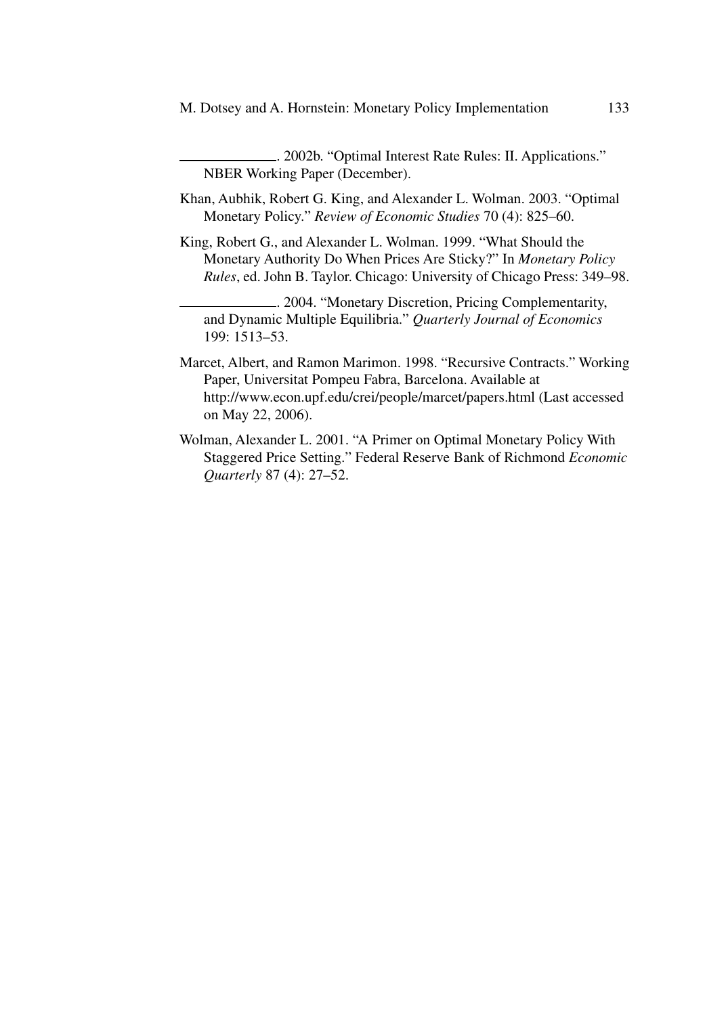. 2002b. "Optimal Interest Rate Rules: II. Applications." NBER Working Paper (December).

- Khan, Aubhik, Robert G. King, and Alexander L. Wolman. 2003. "Optimal Monetary Policy." *Review of Economic Studies* 70 (4): 825–60.
- King, Robert G., and Alexander L. Wolman. 1999. "What Should the Monetary Authority Do When Prices Are Sticky?" In *Monetary Policy Rules*, ed. John B. Taylor. Chicago: University of Chicago Press: 349–98.

. 2004. "Monetary Discretion, Pricing Complementarity, and Dynamic Multiple Equilibria." *Quarterly Journal of Economics* 199: 1513–53.

- Marcet, Albert, and Ramon Marimon. 1998. "Recursive Contracts." Working Paper, Universitat Pompeu Fabra, Barcelona. Available at http://www.econ.upf.edu/crei/people/marcet/papers.html (Last accessed on May 22, 2006).
- Wolman, Alexander L. 2001. "A Primer on Optimal Monetary Policy With Staggered Price Setting." Federal Reserve Bank of Richmond *Economic Quarterly* 87 (4): 27–52.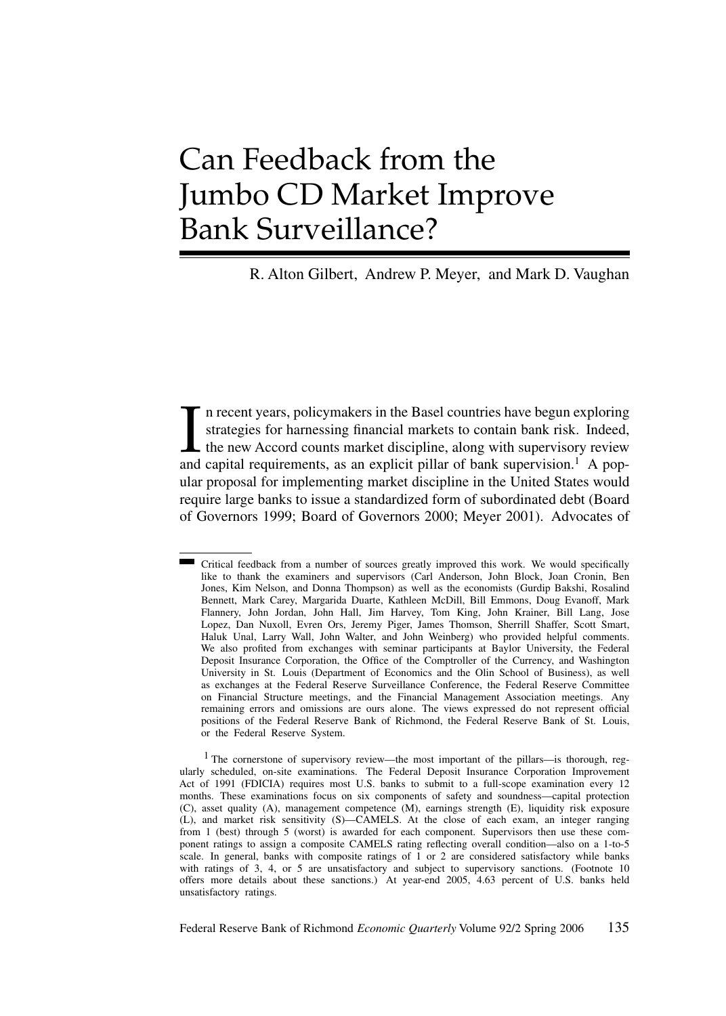# Can Feedback from the Jumbo CD Market Improve Bank Surveillance?

R. Alton Gilbert, Andrew P. Meyer, and Mark D. Vaughan

In recent years, policymakers in the Basel countries have begun exploring strategies for harnessing financial markets to contain bank risk. Indeed, the new Accord counts market discipline, along with supervisory review and n recent years, policymakers in the Basel countries have begun exploring strategies for harnessing financial markets to contain bank risk. Indeed, the new Accord counts market discipline, along with supervisory review ular proposal for implementing market discipline in the United States would require large banks to issue a standardized form of subordinated debt (Board of Governors 1999; Board of Governors 2000; Meyer 2001). Advocates of

<sup>1</sup> The cornerstone of supervisory review—the most important of the pillars—is thorough, regularly scheduled, on-site examinations. The Federal Deposit Insurance Corporation Improvement Act of 1991 (FDICIA) requires most U.S. banks to submit to a full-scope examination every 12 months. These examinations focus on six components of safety and soundness—capital protection (C), asset quality (A), management competence (M), earnings strength (E), liquidity risk exposure (L), and market risk sensitivity (S)—CAMELS. At the close of each exam, an integer ranging from 1 (best) through 5 (worst) is awarded for each component. Supervisors then use these component ratings to assign a composite CAMELS rating reflecting overall condition—also on a 1-to-5 scale. In general, banks with composite ratings of 1 or 2 are considered satisfactory while banks with ratings of 3, 4, or 5 are unsatisfactory and subject to supervisory sanctions. (Footnote 10 offers more details about these sanctions.) At year-end 2005, 4.63 percent of U.S. banks held unsatisfactory ratings.

Federal Reserve Bank of Richmond *Economic Quarterly* Volume 92/2 Spring 2006 135

Critical feedback from a number of sources greatly improved this work. We would specifically like to thank the examiners and supervisors (Carl Anderson, John Block, Joan Cronin, Ben Jones, Kim Nelson, and Donna Thompson) as well as the economists (Gurdip Bakshi, Rosalind Bennett, Mark Carey, Margarida Duarte, Kathleen McDill, Bill Emmons, Doug Evanoff, Mark Flannery, John Jordan, John Hall, Jim Harvey, Tom King, John Krainer, Bill Lang, Jose Lopez, Dan Nuxoll, Evren Ors, Jeremy Piger, James Thomson, Sherrill Shaffer, Scott Smart, Haluk Unal, Larry Wall, John Walter, and John Weinberg) who provided helpful comments. We also profited from exchanges with seminar participants at Baylor University, the Federal Deposit Insurance Corporation, the Office of the Comptroller of the Currency, and Washington University in St. Louis (Department of Economics and the Olin School of Business), as well as exchanges at the Federal Reserve Surveillance Conference, the Federal Reserve Committee on Financial Structure meetings, and the Financial Management Association meetings. Any remaining errors and omissions are ours alone. The views expressed do not represent official positions of the Federal Reserve Bank of Richmond, the Federal Reserve Bank of St. Louis, or the Federal Reserve System.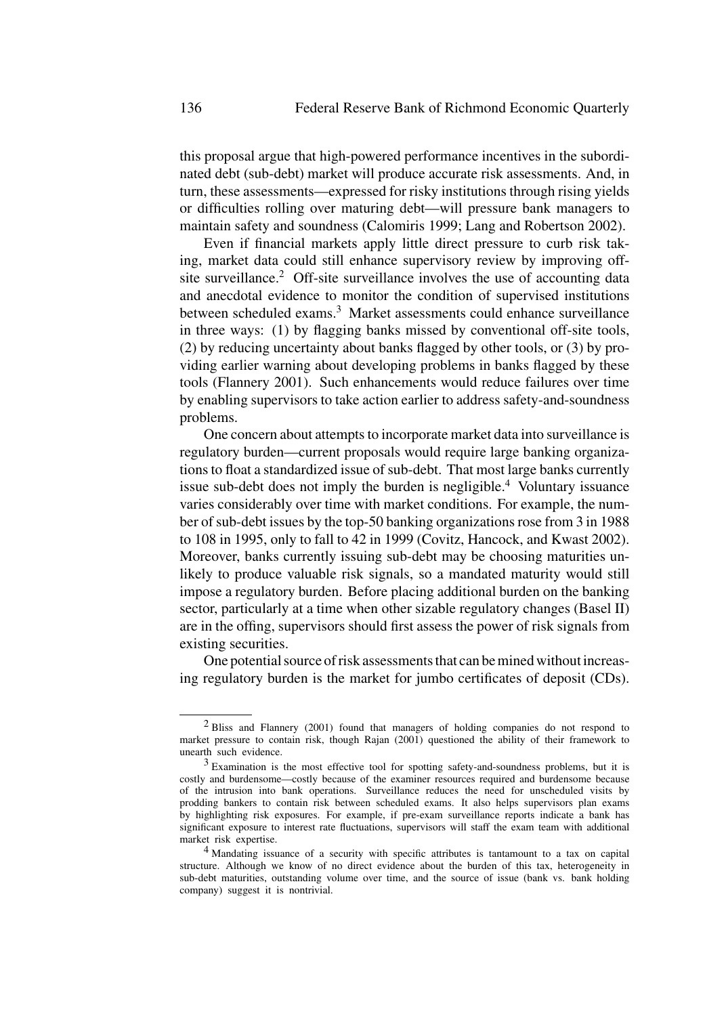this proposal argue that high-powered performance incentives in the subordinated debt (sub-debt) market will produce accurate risk assessments. And, in turn, these assessments—expressed for risky institutions through rising yields or difficulties rolling over maturing debt—will pressure bank managers to maintain safety and soundness (Calomiris 1999; Lang and Robertson 2002).

Even if financial markets apply little direct pressure to curb risk taking, market data could still enhance supervisory review by improving offsite surveillance.<sup>2</sup> Off-site surveillance involves the use of accounting data and anecdotal evidence to monitor the condition of supervised institutions between scheduled exams.<sup>3</sup> Market assessments could enhance surveillance in three ways: (1) by flagging banks missed by conventional off-site tools, (2) by reducing uncertainty about banks flagged by other tools, or (3) by providing earlier warning about developing problems in banks flagged by these tools (Flannery 2001). Such enhancements would reduce failures over time by enabling supervisors to take action earlier to address safety-and-soundness problems.

One concern about attempts to incorporate market data into surveillance is regulatory burden—current proposals would require large banking organizations to float a standardized issue of sub-debt. That most large banks currently issue sub-debt does not imply the burden is negligible.<sup>4</sup> Voluntary issuance varies considerably over time with market conditions. For example, the number of sub-debt issues by the top-50 banking organizations rose from 3 in 1988 to 108 in 1995, only to fall to 42 in 1999 (Covitz, Hancock, and Kwast 2002). Moreover, banks currently issuing sub-debt may be choosing maturities unlikely to produce valuable risk signals, so a mandated maturity would still impose a regulatory burden. Before placing additional burden on the banking sector, particularly at a time when other sizable regulatory changes (Basel II) are in the offing, supervisors should first assess the power of risk signals from existing securities.

One potential source of risk assessments that can be mined without increasing regulatory burden is the market for jumbo certificates of deposit (CDs).

<sup>2</sup> Bliss and Flannery (2001) found that managers of holding companies do not respond to market pressure to contain risk, though Rajan (2001) questioned the ability of their framework to unearth such evidence.

 $3$  Examination is the most effective tool for spotting safety-and-soundness problems, but it is costly and burdensome—costly because of the examiner resources required and burdensome because of the intrusion into bank operations. Surveillance reduces the need for unscheduled visits by prodding bankers to contain risk between scheduled exams. It also helps supervisors plan exams by highlighting risk exposures. For example, if pre-exam surveillance reports indicate a bank has significant exposure to interest rate fluctuations, supervisors will staff the exam team with additional market risk expertise.

<sup>4</sup> Mandating issuance of a security with specific attributes is tantamount to a tax on capital structure. Although we know of no direct evidence about the burden of this tax, heterogeneity in sub-debt maturities, outstanding volume over time, and the source of issue (bank vs. bank holding company) suggest it is nontrivial.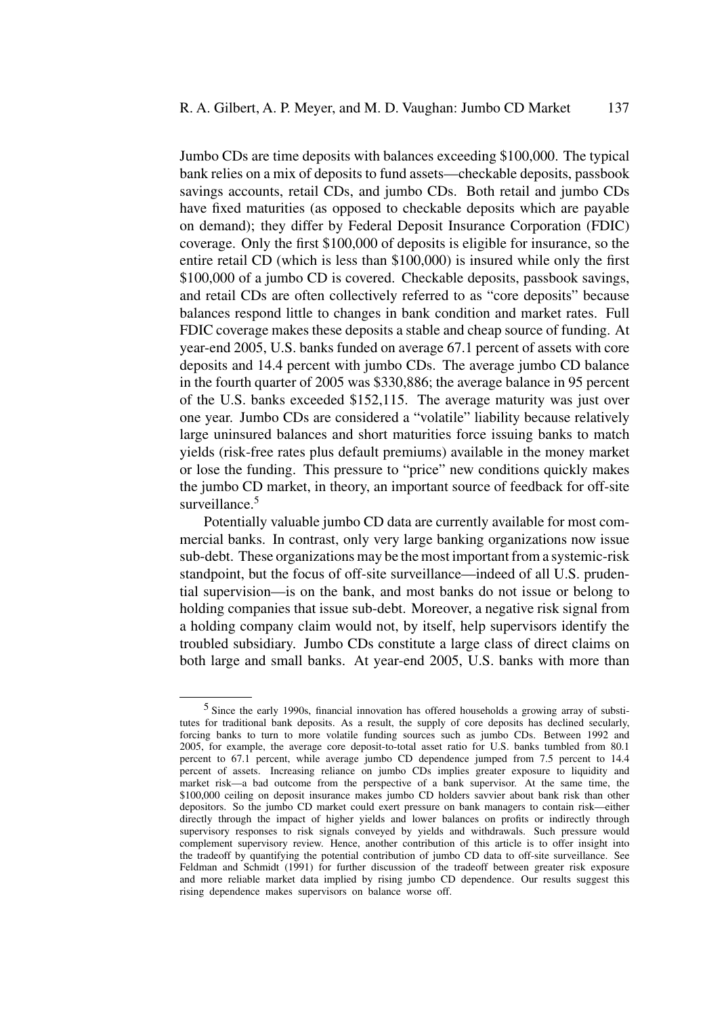Jumbo CDs are time deposits with balances exceeding \$100,000. The typical bank relies on a mix of deposits to fund assets—checkable deposits, passbook savings accounts, retail CDs, and jumbo CDs. Both retail and jumbo CDs have fixed maturities (as opposed to checkable deposits which are payable on demand); they differ by Federal Deposit Insurance Corporation (FDIC) coverage. Only the first \$100,000 of deposits is eligible for insurance, so the entire retail CD (which is less than \$100,000) is insured while only the first \$100,000 of a jumbo CD is covered. Checkable deposits, passbook savings, and retail CDs are often collectively referred to as "core deposits" because balances respond little to changes in bank condition and market rates. Full FDIC coverage makes these deposits a stable and cheap source of funding. At year-end 2005, U.S. banks funded on average 67.1 percent of assets with core deposits and 14.4 percent with jumbo CDs. The average jumbo CD balance in the fourth quarter of 2005 was \$330,886; the average balance in 95 percent of the U.S. banks exceeded \$152,115. The average maturity was just over one year. Jumbo CDs are considered a "volatile" liability because relatively large uninsured balances and short maturities force issuing banks to match yields (risk-free rates plus default premiums) available in the money market or lose the funding. This pressure to "price" new conditions quickly makes the jumbo CD market, in theory, an important source of feedback for off-site surveillance.<sup>5</sup>

Potentially valuable jumbo CD data are currently available for most commercial banks. In contrast, only very large banking organizations now issue sub-debt. These organizations may be the most important from a systemic-risk standpoint, but the focus of off-site surveillance—indeed of all U.S. prudential supervision—is on the bank, and most banks do not issue or belong to holding companies that issue sub-debt. Moreover, a negative risk signal from a holding company claim would not, by itself, help supervisors identify the troubled subsidiary. Jumbo CDs constitute a large class of direct claims on both large and small banks. At year-end 2005, U.S. banks with more than

<sup>5</sup> Since the early 1990s, financial innovation has offered households a growing array of substitutes for traditional bank deposits. As a result, the supply of core deposits has declined secularly, forcing banks to turn to more volatile funding sources such as jumbo CDs. Between 1992 and 2005, for example, the average core deposit-to-total asset ratio for U.S. banks tumbled from 80.1 percent to 67.1 percent, while average jumbo CD dependence jumped from 7.5 percent to 14.4 percent of assets. Increasing reliance on jumbo CDs implies greater exposure to liquidity and market risk—a bad outcome from the perspective of a bank supervisor. At the same time, the \$100,000 ceiling on deposit insurance makes jumbo CD holders savvier about bank risk than other depositors. So the jumbo CD market could exert pressure on bank managers to contain risk—either directly through the impact of higher yields and lower balances on profits or indirectly through supervisory responses to risk signals conveyed by yields and withdrawals. Such pressure would complement supervisory review. Hence, another contribution of this article is to offer insight into the tradeoff by quantifying the potential contribution of jumbo CD data to off-site surveillance. See Feldman and Schmidt (1991) for further discussion of the tradeoff between greater risk exposure and more reliable market data implied by rising jumbo CD dependence. Our results suggest this rising dependence makes supervisors on balance worse off.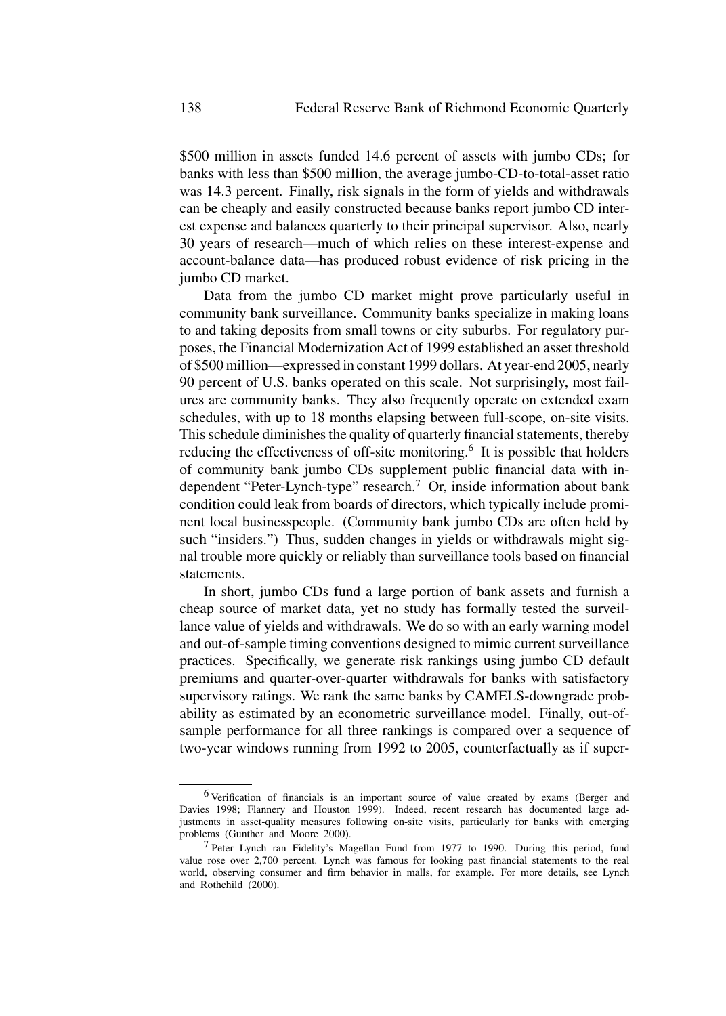\$500 million in assets funded 14.6 percent of assets with jumbo CDs; for banks with less than \$500 million, the average jumbo-CD-to-total-asset ratio was 14.3 percent. Finally, risk signals in the form of yields and withdrawals can be cheaply and easily constructed because banks report jumbo CD interest expense and balances quarterly to their principal supervisor. Also, nearly 30 years of research—much of which relies on these interest-expense and account-balance data—has produced robust evidence of risk pricing in the jumbo CD market.

Data from the jumbo CD market might prove particularly useful in community bank surveillance. Community banks specialize in making loans to and taking deposits from small towns or city suburbs. For regulatory purposes, the Financial Modernization Act of 1999 established an asset threshold of \$500 million—expressed in constant 1999 dollars. At year-end 2005, nearly 90 percent of U.S. banks operated on this scale. Not surprisingly, most failures are community banks. They also frequently operate on extended exam schedules, with up to 18 months elapsing between full-scope, on-site visits. This schedule diminishes the quality of quarterly financial statements, thereby reducing the effectiveness of off-site monitoring.<sup>6</sup> It is possible that holders of community bank jumbo CDs supplement public financial data with independent "Peter-Lynch-type" research.<sup>7</sup> Or, inside information about bank condition could leak from boards of directors, which typically include prominent local businesspeople. (Community bank jumbo CDs are often held by such "insiders.") Thus, sudden changes in yields or withdrawals might signal trouble more quickly or reliably than surveillance tools based on financial statements.

In short, jumbo CDs fund a large portion of bank assets and furnish a cheap source of market data, yet no study has formally tested the surveillance value of yields and withdrawals. We do so with an early warning model and out-of-sample timing conventions designed to mimic current surveillance practices. Specifically, we generate risk rankings using jumbo CD default premiums and quarter-over-quarter withdrawals for banks with satisfactory supervisory ratings. We rank the same banks by CAMELS-downgrade probability as estimated by an econometric surveillance model. Finally, out-ofsample performance for all three rankings is compared over a sequence of two-year windows running from 1992 to 2005, counterfactually as if super-

<sup>6</sup> Verification of financials is an important source of value created by exams (Berger and Davies 1998; Flannery and Houston 1999). Indeed, recent research has documented large adjustments in asset-quality measures following on-site visits, particularly for banks with emerging problems (Gunther and Moore 2000).

<sup>7</sup> Peter Lynch ran Fidelity's Magellan Fund from 1977 to 1990. During this period, fund value rose over 2,700 percent. Lynch was famous for looking past financial statements to the real world, observing consumer and firm behavior in malls, for example. For more details, see Lynch and Rothchild (2000).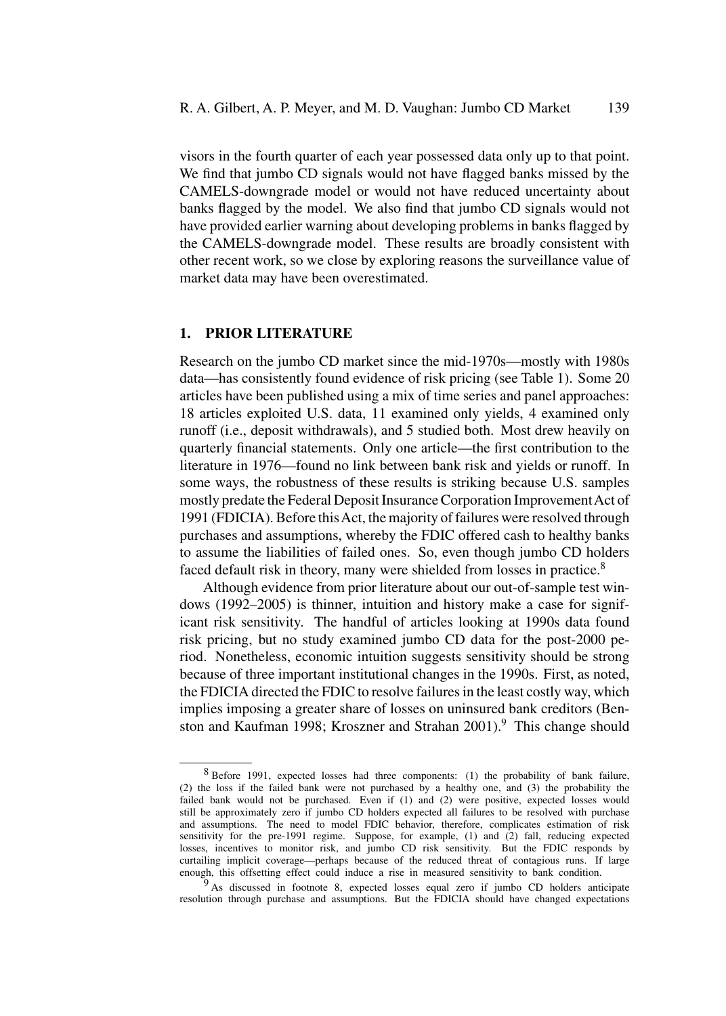visors in the fourth quarter of each year possessed data only up to that point. We find that jumbo CD signals would not have flagged banks missed by the CAMELS-downgrade model or would not have reduced uncertainty about banks flagged by the model. We also find that jumbo CD signals would not have provided earlier warning about developing problems in banks flagged by the CAMELS-downgrade model. These results are broadly consistent with other recent work, so we close by exploring reasons the surveillance value of market data may have been overestimated.

## **1. PRIOR LITERATURE**

Research on the jumbo CD market since the mid-1970s—mostly with 1980s data—has consistently found evidence of risk pricing (see Table 1). Some 20 articles have been published using a mix of time series and panel approaches: 18 articles exploited U.S. data, 11 examined only yields, 4 examined only runoff (i.e., deposit withdrawals), and 5 studied both. Most drew heavily on quarterly financial statements. Only one article—the first contribution to the literature in 1976—found no link between bank risk and yields or runoff. In some ways, the robustness of these results is striking because U.S. samples mostly predate the Federal Deposit Insurance Corporation ImprovementAct of 1991 (FDICIA). Before thisAct, the majority of failures were resolved through purchases and assumptions, whereby the FDIC offered cash to healthy banks to assume the liabilities of failed ones. So, even though jumbo CD holders faced default risk in theory, many were shielded from losses in practice.<sup>8</sup>

Although evidence from prior literature about our out-of-sample test windows (1992–2005) is thinner, intuition and history make a case for significant risk sensitivity. The handful of articles looking at 1990s data found risk pricing, but no study examined jumbo CD data for the post-2000 period. Nonetheless, economic intuition suggests sensitivity should be strong because of three important institutional changes in the 1990s. First, as noted, the FDICIA directed the FDIC to resolve failures in the least costly way, which implies imposing a greater share of losses on uninsured bank creditors (Benston and Kaufman 1998; Kroszner and Strahan 2001).<sup>9</sup> This change should

<sup>8</sup> Before 1991, expected losses had three components: (1) the probability of bank failure, (2) the loss if the failed bank were not purchased by a healthy one, and (3) the probability the failed bank would not be purchased. Even if (1) and (2) were positive, expected losses would still be approximately zero if jumbo CD holders expected all failures to be resolved with purchase and assumptions. The need to model FDIC behavior, therefore, complicates estimation of risk sensitivity for the pre-1991 regime. Suppose, for example, (1) and (2) fall, reducing expected losses, incentives to monitor risk, and jumbo CD risk sensitivity. But the FDIC responds by curtailing implicit coverage—perhaps because of the reduced threat of contagious runs. If large enough, this offsetting effect could induce a rise in measured sensitivity to bank condition.

<sup>&</sup>lt;sup>9</sup> As discussed in footnote 8, expected losses equal zero if jumbo CD holders anticipate resolution through purchase and assumptions. But the FDICIA should have changed expectations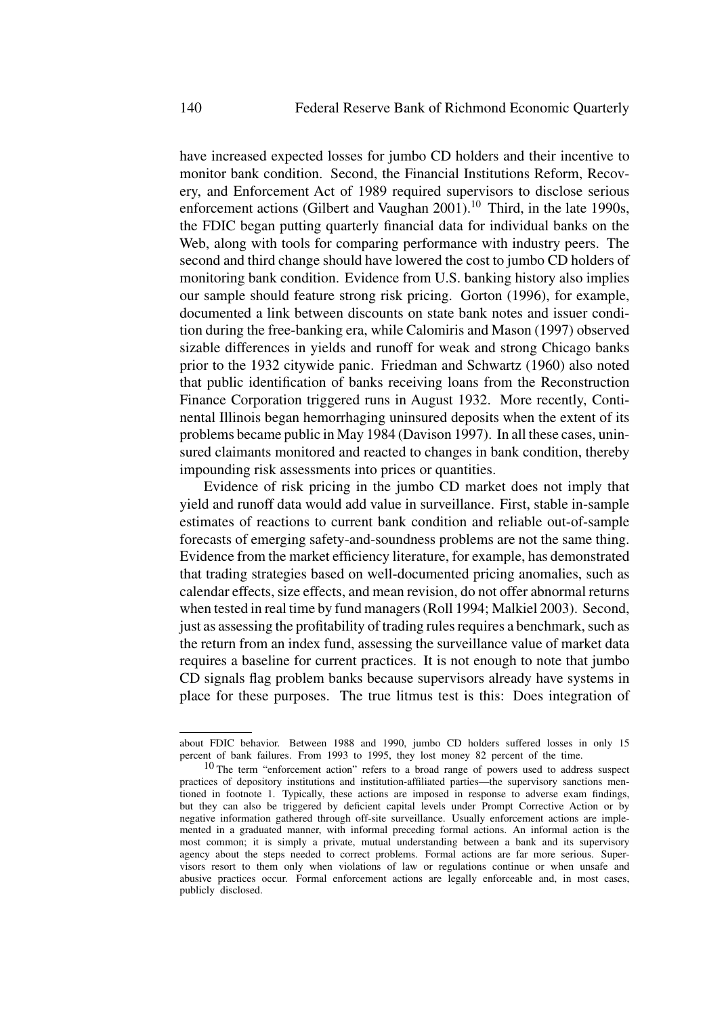have increased expected losses for jumbo CD holders and their incentive to monitor bank condition. Second, the Financial Institutions Reform, Recovery, and Enforcement Act of 1989 required supervisors to disclose serious enforcement actions (Gilbert and Vaughan 2001).<sup>10</sup> Third, in the late 1990s, the FDIC began putting quarterly financial data for individual banks on the Web, along with tools for comparing performance with industry peers. The second and third change should have lowered the cost to jumbo CD holders of monitoring bank condition. Evidence from U.S. banking history also implies our sample should feature strong risk pricing. Gorton (1996), for example, documented a link between discounts on state bank notes and issuer condition during the free-banking era, while Calomiris and Mason (1997) observed sizable differences in yields and runoff for weak and strong Chicago banks prior to the 1932 citywide panic. Friedman and Schwartz (1960) also noted that public identification of banks receiving loans from the Reconstruction Finance Corporation triggered runs in August 1932. More recently, Continental Illinois began hemorrhaging uninsured deposits when the extent of its problems became public in May 1984 (Davison 1997). In all these cases, uninsured claimants monitored and reacted to changes in bank condition, thereby impounding risk assessments into prices or quantities.

Evidence of risk pricing in the jumbo CD market does not imply that yield and runoff data would add value in surveillance. First, stable in-sample estimates of reactions to current bank condition and reliable out-of-sample forecasts of emerging safety-and-soundness problems are not the same thing. Evidence from the market efficiency literature, for example, has demonstrated that trading strategies based on well-documented pricing anomalies, such as calendar effects, size effects, and mean revision, do not offer abnormal returns when tested in real time by fund managers (Roll 1994; Malkiel 2003). Second, just as assessing the profitability of trading rules requires a benchmark, such as the return from an index fund, assessing the surveillance value of market data requires a baseline for current practices. It is not enough to note that jumbo CD signals flag problem banks because supervisors already have systems in place for these purposes. The true litmus test is this: Does integration of

about FDIC behavior. Between 1988 and 1990, jumbo CD holders suffered losses in only 15 percent of bank failures. From 1993 to 1995, they lost money 82 percent of the time.

 $10$  The term "enforcement action" refers to a broad range of powers used to address suspect practices of depository institutions and institution-affiliated parties—the supervisory sanctions mentioned in footnote 1. Typically, these actions are imposed in response to adverse exam findings, but they can also be triggered by deficient capital levels under Prompt Corrective Action or by negative information gathered through off-site surveillance. Usually enforcement actions are implemented in a graduated manner, with informal preceding formal actions. An informal action is the most common; it is simply a private, mutual understanding between a bank and its supervisory agency about the steps needed to correct problems. Formal actions are far more serious. Supervisors resort to them only when violations of law or regulations continue or when unsafe and abusive practices occur. Formal enforcement actions are legally enforceable and, in most cases, publicly disclosed.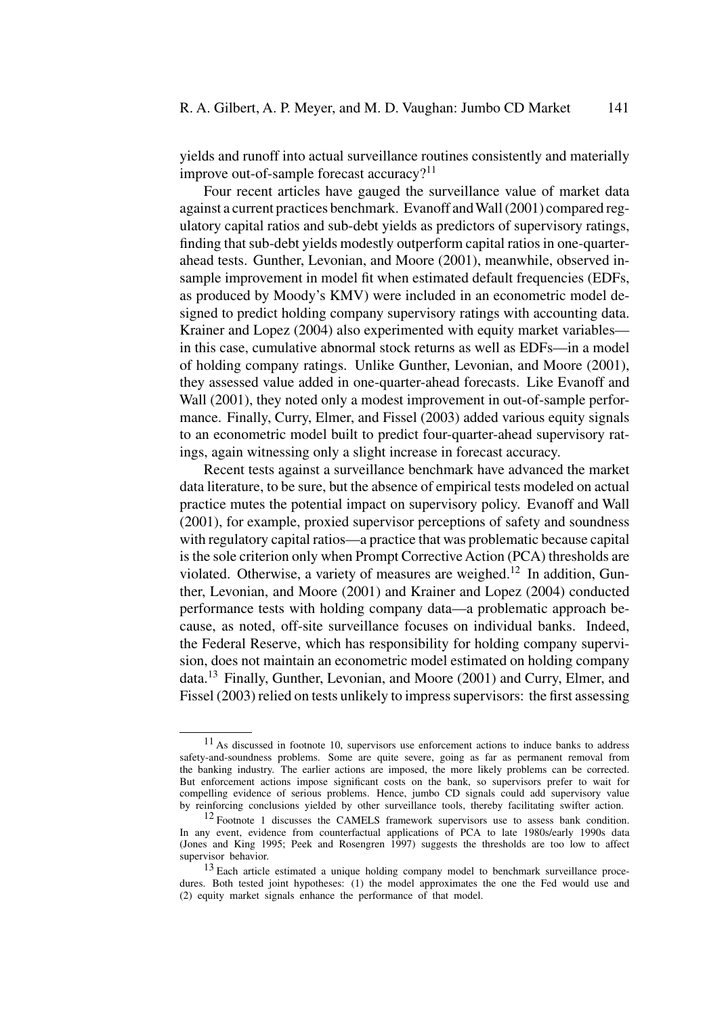yields and runoff into actual surveillance routines consistently and materially improve out-of-sample forecast accuracy? $11$ 

Four recent articles have gauged the surveillance value of market data against a current practices benchmark. Evanoff andWall (2001) compared regulatory capital ratios and sub-debt yields as predictors of supervisory ratings, finding that sub-debt yields modestly outperform capital ratios in one-quarterahead tests. Gunther, Levonian, and Moore (2001), meanwhile, observed insample improvement in model fit when estimated default frequencies (EDFs, as produced by Moody's KMV) were included in an econometric model designed to predict holding company supervisory ratings with accounting data. Krainer and Lopez (2004) also experimented with equity market variables in this case, cumulative abnormal stock returns as well as EDFs—in a model of holding company ratings. Unlike Gunther, Levonian, and Moore (2001), they assessed value added in one-quarter-ahead forecasts. Like Evanoff and Wall (2001), they noted only a modest improvement in out-of-sample performance. Finally, Curry, Elmer, and Fissel (2003) added various equity signals to an econometric model built to predict four-quarter-ahead supervisory ratings, again witnessing only a slight increase in forecast accuracy.

Recent tests against a surveillance benchmark have advanced the market data literature, to be sure, but the absence of empirical tests modeled on actual practice mutes the potential impact on supervisory policy. Evanoff and Wall (2001), for example, proxied supervisor perceptions of safety and soundness with regulatory capital ratios—a practice that was problematic because capital is the sole criterion only when Prompt Corrective Action (PCA) thresholds are violated. Otherwise, a variety of measures are weighed.<sup>12</sup> In addition, Gunther, Levonian, and Moore (2001) and Krainer and Lopez (2004) conducted performance tests with holding company data—a problematic approach because, as noted, off-site surveillance focuses on individual banks. Indeed, the Federal Reserve, which has responsibility for holding company supervision, does not maintain an econometric model estimated on holding company data.<sup>13</sup> Finally, Gunther, Levonian, and Moore (2001) and Curry, Elmer, and Fissel (2003) relied on tests unlikely to impress supervisors: the first assessing

 $11$  As discussed in footnote 10, supervisors use enforcement actions to induce banks to address safety-and-soundness problems. Some are quite severe, going as far as permanent removal from the banking industry. The earlier actions are imposed, the more likely problems can be corrected. But enforcement actions impose significant costs on the bank, so supervisors prefer to wait for compelling evidence of serious problems. Hence, jumbo CD signals could add supervisory value by reinforcing conclusions yielded by other surveillance tools, thereby facilitating swifter action.

<sup>&</sup>lt;sup>12</sup> Footnote 1 discusses the CAMELS framework supervisors use to assess bank condition. In any event, evidence from counterfactual applications of PCA to late 1980s/early 1990s data (Jones and King 1995; Peek and Rosengren 1997) suggests the thresholds are too low to affect supervisor behavior.

<sup>&</sup>lt;sup>13</sup> Each article estimated a unique holding company model to benchmark surveillance procedures. Both tested joint hypotheses: (1) the model approximates the one the Fed would use and (2) equity market signals enhance the performance of that model.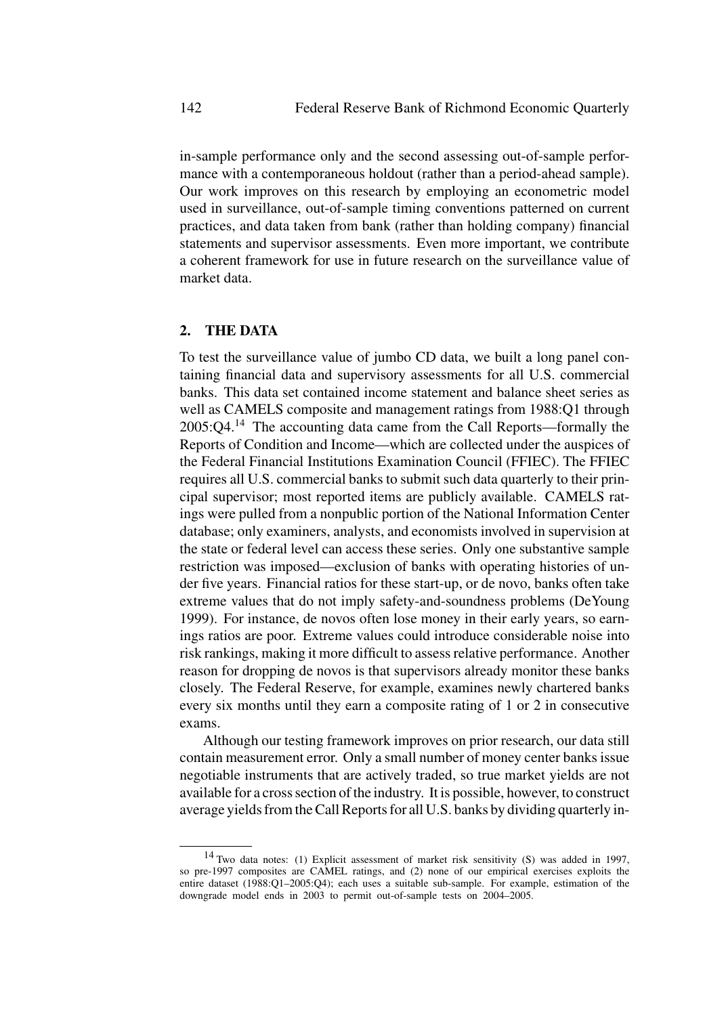in-sample performance only and the second assessing out-of-sample performance with a contemporaneous holdout (rather than a period-ahead sample). Our work improves on this research by employing an econometric model used in surveillance, out-of-sample timing conventions patterned on current practices, and data taken from bank (rather than holding company) financial statements and supervisor assessments. Even more important, we contribute a coherent framework for use in future research on the surveillance value of market data.

# **2. THE DATA**

To test the surveillance value of jumbo CD data, we built a long panel containing financial data and supervisory assessments for all U.S. commercial banks. This data set contained income statement and balance sheet series as well as CAMELS composite and management ratings from 1988:Q1 through  $2005:Q4<sup>14</sup>$  The accounting data came from the Call Reports—formally the Reports of Condition and Income—which are collected under the auspices of the Federal Financial Institutions Examination Council (FFIEC). The FFIEC requires all U.S. commercial banks to submit such data quarterly to their principal supervisor; most reported items are publicly available. CAMELS ratings were pulled from a nonpublic portion of the National Information Center database; only examiners, analysts, and economists involved in supervision at the state or federal level can access these series. Only one substantive sample restriction was imposed—exclusion of banks with operating histories of under five years. Financial ratios for these start-up, or de novo, banks often take extreme values that do not imply safety-and-soundness problems (DeYoung 1999). For instance, de novos often lose money in their early years, so earnings ratios are poor. Extreme values could introduce considerable noise into risk rankings, making it more difficult to assess relative performance. Another reason for dropping de novos is that supervisors already monitor these banks closely. The Federal Reserve, for example, examines newly chartered banks every six months until they earn a composite rating of 1 or 2 in consecutive exams.

Although our testing framework improves on prior research, our data still contain measurement error. Only a small number of money center banks issue negotiable instruments that are actively traded, so true market yields are not available for a cross section of the industry. It is possible, however, to construct average yields from the Call Reports for all U.S. banks by dividing quarterly in-

<sup>14</sup> Two data notes: (1) Explicit assessment of market risk sensitivity (S) was added in 1997, so pre-1997 composites are CAMEL ratings, and (2) none of our empirical exercises exploits the entire dataset (1988:Q1–2005:Q4); each uses a suitable sub-sample. For example, estimation of the downgrade model ends in 2003 to permit out-of-sample tests on 2004–2005.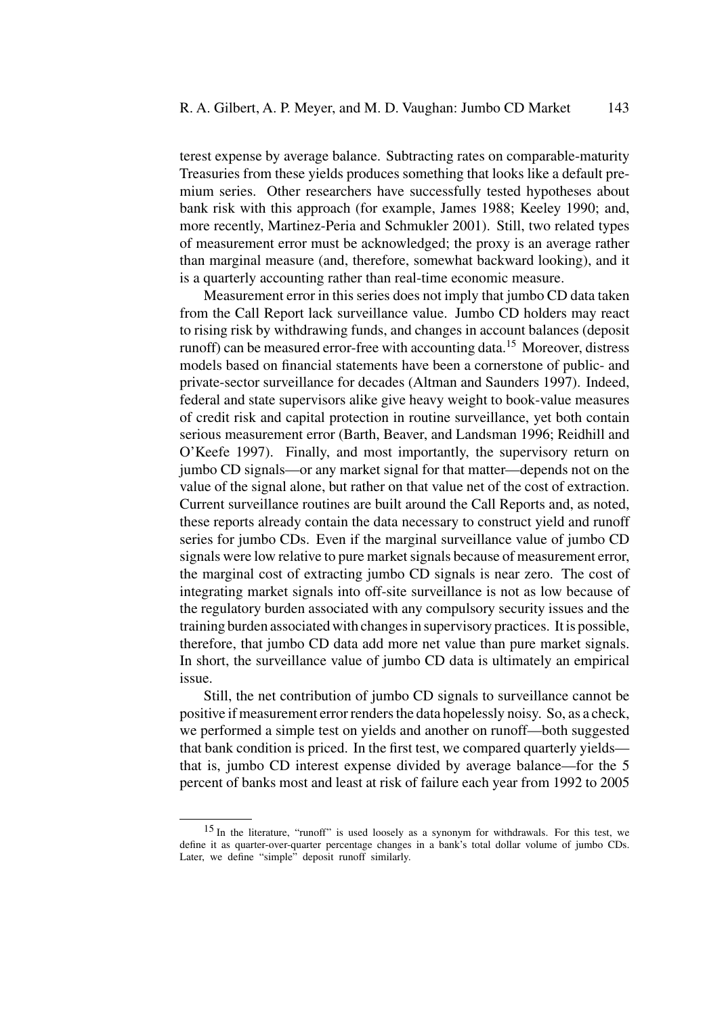terest expense by average balance. Subtracting rates on comparable-maturity Treasuries from these yields produces something that looks like a default premium series. Other researchers have successfully tested hypotheses about bank risk with this approach (for example, James 1988; Keeley 1990; and, more recently, Martinez-Peria and Schmukler 2001). Still, two related types of measurement error must be acknowledged; the proxy is an average rather than marginal measure (and, therefore, somewhat backward looking), and it is a quarterly accounting rather than real-time economic measure.

Measurement error in this series does not imply that jumbo CD data taken from the Call Report lack surveillance value. Jumbo CD holders may react to rising risk by withdrawing funds, and changes in account balances (deposit runoff) can be measured error-free with accounting data.<sup>15</sup> Moreover, distress models based on financial statements have been a cornerstone of public- and private-sector surveillance for decades (Altman and Saunders 1997). Indeed, federal and state supervisors alike give heavy weight to book-value measures of credit risk and capital protection in routine surveillance, yet both contain serious measurement error (Barth, Beaver, and Landsman 1996; Reidhill and O'Keefe 1997). Finally, and most importantly, the supervisory return on jumbo CD signals—or any market signal for that matter—depends not on the value of the signal alone, but rather on that value net of the cost of extraction. Current surveillance routines are built around the Call Reports and, as noted, these reports already contain the data necessary to construct yield and runoff series for jumbo CDs. Even if the marginal surveillance value of jumbo CD signals were low relative to pure market signals because of measurement error, the marginal cost of extracting jumbo CD signals is near zero. The cost of integrating market signals into off-site surveillance is not as low because of the regulatory burden associated with any compulsory security issues and the training burden associated with changes in supervisory practices. It is possible, therefore, that jumbo CD data add more net value than pure market signals. In short, the surveillance value of jumbo CD data is ultimately an empirical issue.

Still, the net contribution of jumbo CD signals to surveillance cannot be positive if measurement error renders the data hopelessly noisy. So, as a check, we performed a simple test on yields and another on runoff—both suggested that bank condition is priced. In the first test, we compared quarterly yields that is, jumbo CD interest expense divided by average balance—for the 5 percent of banks most and least at risk of failure each year from 1992 to 2005

<sup>15</sup> In the literature, "runoff" is used loosely as a synonym for withdrawals. For this test, we define it as quarter-over-quarter percentage changes in a bank's total dollar volume of jumbo CDs. Later, we define "simple" deposit runoff similarly.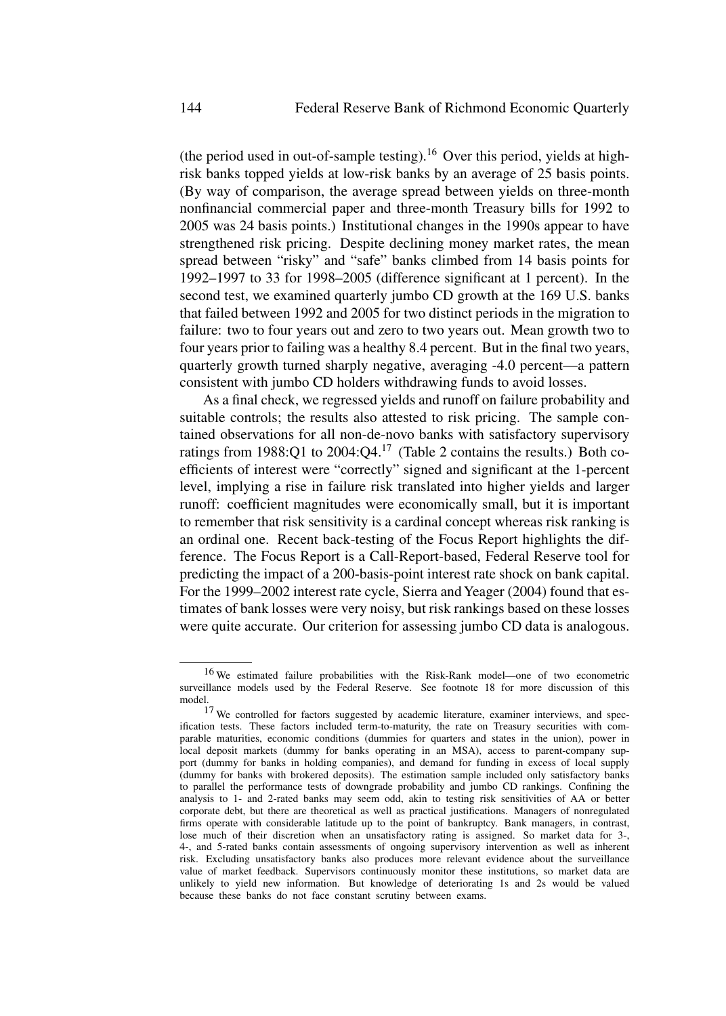(the period used in out-of-sample testing).<sup>16</sup> Over this period, yields at highrisk banks topped yields at low-risk banks by an average of 25 basis points. (By way of comparison, the average spread between yields on three-month nonfinancial commercial paper and three-month Treasury bills for 1992 to 2005 was 24 basis points.) Institutional changes in the 1990s appear to have strengthened risk pricing. Despite declining money market rates, the mean spread between "risky" and "safe" banks climbed from 14 basis points for 1992–1997 to 33 for 1998–2005 (difference significant at 1 percent). In the second test, we examined quarterly jumbo CD growth at the 169 U.S. banks that failed between 1992 and 2005 for two distinct periods in the migration to failure: two to four years out and zero to two years out. Mean growth two to four years prior to failing was a healthy 8.4 percent. But in the final two years, quarterly growth turned sharply negative, averaging -4.0 percent—a pattern consistent with jumbo CD holders withdrawing funds to avoid losses.

As a final check, we regressed yields and runoff on failure probability and suitable controls; the results also attested to risk pricing. The sample contained observations for all non-de-novo banks with satisfactory supervisory ratings from  $1988:Q1$  to  $2004:Q4.<sup>17</sup>$  (Table 2 contains the results.) Both coefficients of interest were "correctly" signed and significant at the 1-percent level, implying a rise in failure risk translated into higher yields and larger runoff: coefficient magnitudes were economically small, but it is important to remember that risk sensitivity is a cardinal concept whereas risk ranking is an ordinal one. Recent back-testing of the Focus Report highlights the difference. The Focus Report is a Call-Report-based, Federal Reserve tool for predicting the impact of a 200-basis-point interest rate shock on bank capital. For the 1999–2002 interest rate cycle, Sierra and Yeager (2004) found that estimates of bank losses were very noisy, but risk rankings based on these losses were quite accurate. Our criterion for assessing jumbo CD data is analogous.

<sup>16</sup> We estimated failure probabilities with the Risk-Rank model—one of two econometric surveillance models used by the Federal Reserve. See footnote 18 for more discussion of this model.

<sup>&</sup>lt;sup>17</sup> We controlled for factors suggested by academic literature, examiner interviews, and specification tests. These factors included term-to-maturity, the rate on Treasury securities with comparable maturities, economic conditions (dummies for quarters and states in the union), power in local deposit markets (dummy for banks operating in an MSA), access to parent-company support (dummy for banks in holding companies), and demand for funding in excess of local supply (dummy for banks with brokered deposits). The estimation sample included only satisfactory banks to parallel the performance tests of downgrade probability and jumbo CD rankings. Confining the analysis to 1- and 2-rated banks may seem odd, akin to testing risk sensitivities of AA or better corporate debt, but there are theoretical as well as practical justifications. Managers of nonregulated firms operate with considerable latitude up to the point of bankruptcy. Bank managers, in contrast, lose much of their discretion when an unsatisfactory rating is assigned. So market data for 3-, 4-, and 5-rated banks contain assessments of ongoing supervisory intervention as well as inherent risk. Excluding unsatisfactory banks also produces more relevant evidence about the surveillance value of market feedback. Supervisors continuously monitor these institutions, so market data are unlikely to yield new information. But knowledge of deteriorating 1s and 2s would be valued because these banks do not face constant scrutiny between exams.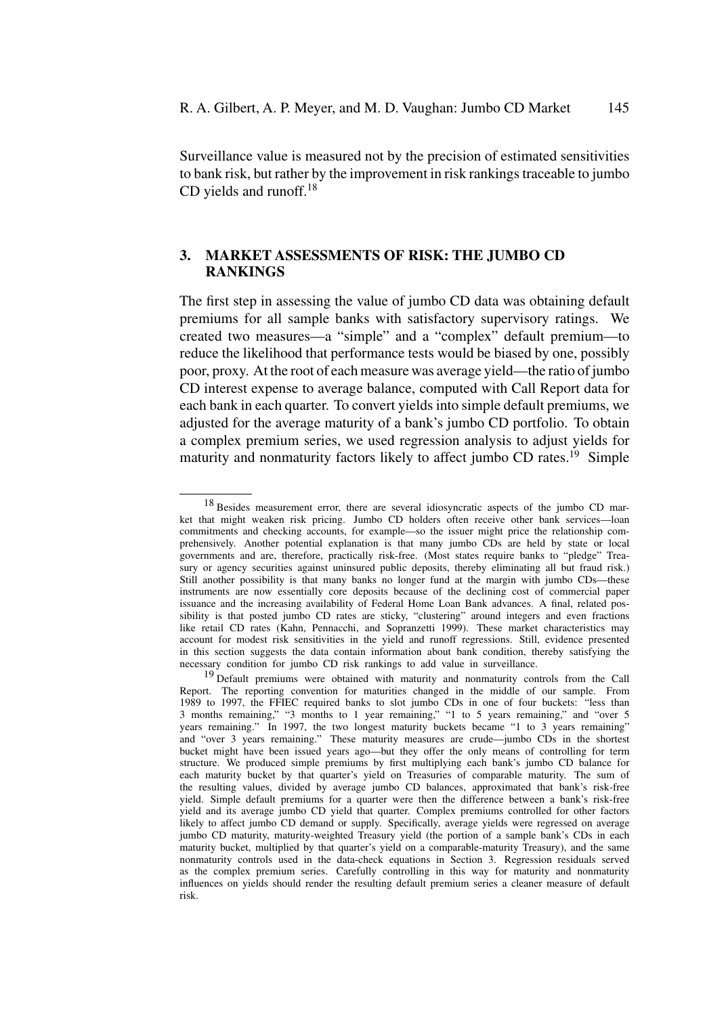Surveillance value is measured not by the precision of estimated sensitivities to bank risk, but rather by the improvement in risk rankings traceable to jumbo CD yields and runoff. $18$ 

## **3. MARKET ASSESSMENTS OF RISK: THE JUMBO CD RANKINGS**

The first step in assessing the value of jumbo CD data was obtaining default premiums for all sample banks with satisfactory supervisory ratings. We created two measures—a "simple" and a "complex" default premium—to reduce the likelihood that performance tests would be biased by one, possibly poor, proxy. At the root of each measure was average yield—the ratio of jumbo CD interest expense to average balance, computed with Call Report data for each bank in each quarter. To convert yields into simple default premiums, we adjusted for the average maturity of a bank's jumbo CD portfolio. To obtain a complex premium series, we used regression analysis to adjust yields for maturity and nonmaturity factors likely to affect jumbo CD rates.<sup>19</sup> Simple

<sup>18</sup> Besides measurement error, there are several idiosyncratic aspects of the jumbo CD market that might weaken risk pricing. Jumbo CD holders often receive other bank services—loan commitments and checking accounts, for example—so the issuer might price the relationship comprehensively. Another potential explanation is that many jumbo CDs are held by state or local governments and are, therefore, practically risk-free. (Most states require banks to "pledge" Treasury or agency securities against uninsured public deposits, thereby eliminating all but fraud risk.) Still another possibility is that many banks no longer fund at the margin with jumbo CDs—these instruments are now essentially core deposits because of the declining cost of commercial paper issuance and the increasing availability of Federal Home Loan Bank advances. A final, related possibility is that posted jumbo CD rates are sticky, "clustering" around integers and even fractions like retail CD rates (Kahn, Pennacchi, and Sopranzetti 1999). These market characteristics may account for modest risk sensitivities in the yield and runoff regressions. Still, evidence presented in this section suggests the data contain information about bank condition, thereby satisfying the necessary condition for jumbo CD risk rankings to add value in surveillance.

<sup>&</sup>lt;sup>19</sup> Default premiums were obtained with maturity and nonmaturity controls from the Call Report. The reporting convention for maturities changed in the middle of our sample. From 1989 to 1997, the FFIEC required banks to slot jumbo CDs in one of four buckets: "less than 3 months remaining," "3 months to 1 year remaining," "1 to 5 years remaining," and "over 5 years remaining." In 1997, the two longest maturity buckets became "1 to 3 years remaining" and "over 3 years remaining." These maturity measures are crude—jumbo CDs in the shortest bucket might have been issued years ago—but they offer the only means of controlling for term structure. We produced simple premiums by first multiplying each bank's jumbo CD balance for each maturity bucket by that quarter's yield on Treasuries of comparable maturity. The sum of the resulting values, divided by average jumbo CD balances, approximated that bank's risk-free yield. Simple default premiums for a quarter were then the difference between a bank's risk-free yield and its average jumbo CD yield that quarter. Complex premiums controlled for other factors likely to affect jumbo CD demand or supply. Specifically, average yields were regressed on average jumbo CD maturity, maturity-weighted Treasury yield (the portion of a sample bank's CDs in each maturity bucket, multiplied by that quarter's yield on a comparable-maturity Treasury), and the same nonmaturity controls used in the data-check equations in Section 3. Regression residuals served as the complex premium series. Carefully controlling in this way for maturity and nonmaturity influences on yields should render the resulting default premium series a cleaner measure of default risk.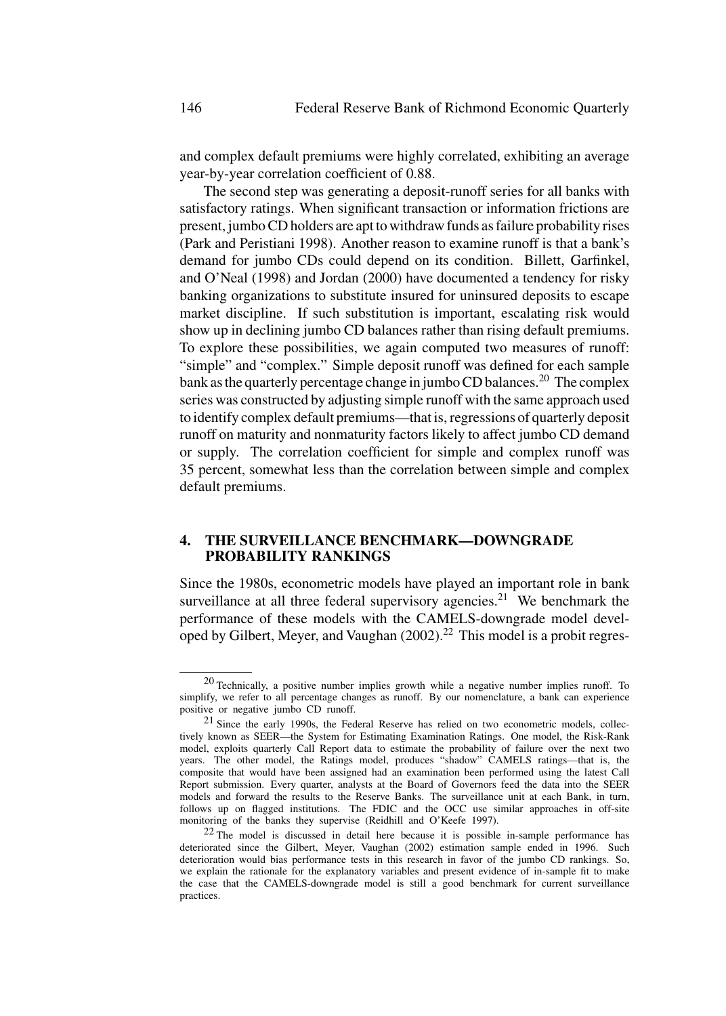and complex default premiums were highly correlated, exhibiting an average year-by-year correlation coefficient of 0.88.

The second step was generating a deposit-runoff series for all banks with satisfactory ratings. When significant transaction or information frictions are present, jumbo CD holders are apt to withdraw funds as failure probability rises (Park and Peristiani 1998). Another reason to examine runoff is that a bank's demand for jumbo CDs could depend on its condition. Billett, Garfinkel, and O'Neal (1998) and Jordan (2000) have documented a tendency for risky banking organizations to substitute insured for uninsured deposits to escape market discipline. If such substitution is important, escalating risk would show up in declining jumbo CD balances rather than rising default premiums. To explore these possibilities, we again computed two measures of runoff: "simple" and "complex." Simple deposit runoff was defined for each sample bank as the quarterly percentage change in jumbo CD balances.<sup>20</sup> The complex series was constructed by adjusting simple runoff with the same approach used to identify complex default premiums—that is, regressions of quarterly deposit runoff on maturity and nonmaturity factors likely to affect jumbo CD demand or supply. The correlation coefficient for simple and complex runoff was 35 percent, somewhat less than the correlation between simple and complex default premiums.

## **4. THE SURVEILLANCE BENCHMARK—DOWNGRADE PROBABILITY RANKINGS**

Since the 1980s, econometric models have played an important role in bank surveillance at all three federal supervisory agencies.<sup>21</sup> We benchmark the performance of these models with the CAMELS-downgrade model developed by Gilbert, Meyer, and Vaughan  $(2002)$ .<sup>22</sup> This model is a probit regres-

<sup>20</sup> Technically, a positive number implies growth while a negative number implies runoff. To simplify, we refer to all percentage changes as runoff. By our nomenclature, a bank can experience positive or negative jumbo CD runoff.

<sup>21</sup> Since the early 1990s, the Federal Reserve has relied on two econometric models, collectively known as SEER—the System for Estimating Examination Ratings. One model, the Risk-Rank model, exploits quarterly Call Report data to estimate the probability of failure over the next two years. The other model, the Ratings model, produces "shadow" CAMELS ratings—that is, the composite that would have been assigned had an examination been performed using the latest Call Report submission. Every quarter, analysts at the Board of Governors feed the data into the SEER models and forward the results to the Reserve Banks. The surveillance unit at each Bank, in turn, follows up on flagged institutions. The FDIC and the OCC use similar approaches in off-site monitoring of the banks they supervise (Reidhill and O'Keefe 1997).

 $22$  The model is discussed in detail here because it is possible in-sample performance has deteriorated since the Gilbert, Meyer, Vaughan (2002) estimation sample ended in 1996. Such deterioration would bias performance tests in this research in favor of the jumbo CD rankings. So, we explain the rationale for the explanatory variables and present evidence of in-sample fit to make the case that the CAMELS-downgrade model is still a good benchmark for current surveillance practices.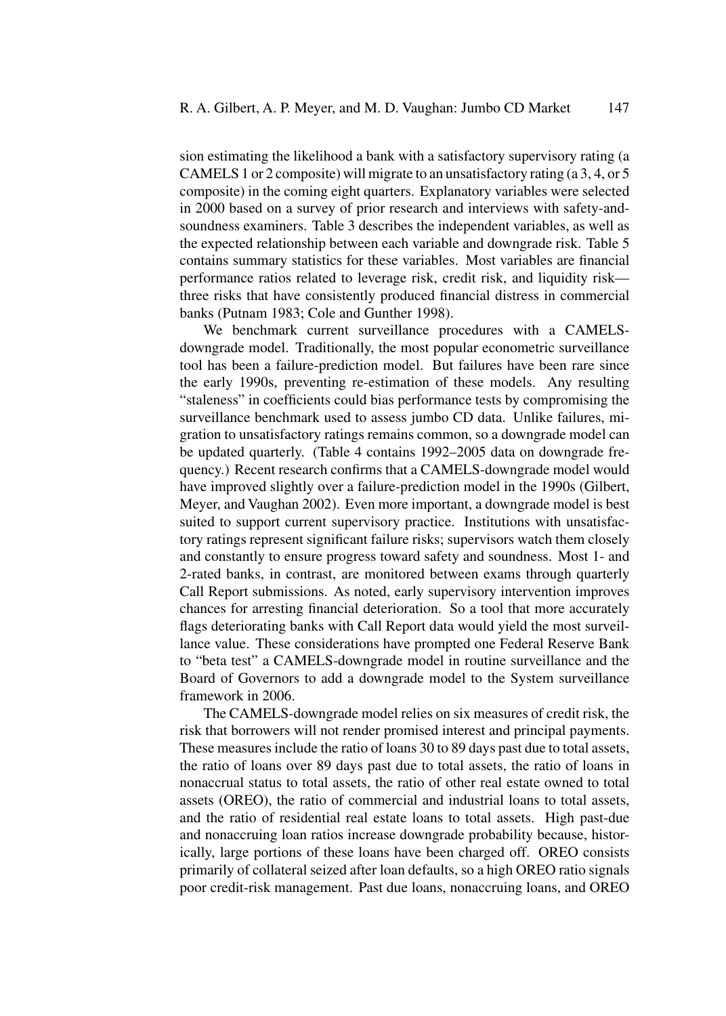sion estimating the likelihood a bank with a satisfactory supervisory rating (a CAMELS 1 or 2 composite) will migrate to an unsatisfactory rating (a 3, 4, or 5 composite) in the coming eight quarters. Explanatory variables were selected in 2000 based on a survey of prior research and interviews with safety-andsoundness examiners. Table 3 describes the independent variables, as well as the expected relationship between each variable and downgrade risk. Table 5 contains summary statistics for these variables. Most variables are financial performance ratios related to leverage risk, credit risk, and liquidity risk three risks that have consistently produced financial distress in commercial banks (Putnam 1983; Cole and Gunther 1998).

We benchmark current surveillance procedures with a CAMELSdowngrade model. Traditionally, the most popular econometric surveillance tool has been a failure-prediction model. But failures have been rare since the early 1990s, preventing re-estimation of these models. Any resulting "staleness" in coefficients could bias performance tests by compromising the surveillance benchmark used to assess jumbo CD data. Unlike failures, migration to unsatisfactory ratings remains common, so a downgrade model can be updated quarterly. (Table 4 contains 1992–2005 data on downgrade frequency.) Recent research confirms that a CAMELS-downgrade model would have improved slightly over a failure-prediction model in the 1990s (Gilbert, Meyer, and Vaughan 2002). Even more important, a downgrade model is best suited to support current supervisory practice. Institutions with unsatisfactory ratings represent significant failure risks; supervisors watch them closely and constantly to ensure progress toward safety and soundness. Most 1- and 2-rated banks, in contrast, are monitored between exams through quarterly Call Report submissions. As noted, early supervisory intervention improves chances for arresting financial deterioration. So a tool that more accurately flags deteriorating banks with Call Report data would yield the most surveillance value. These considerations have prompted one Federal Reserve Bank to "beta test" a CAMELS-downgrade model in routine surveillance and the Board of Governors to add a downgrade model to the System surveillance framework in 2006.

The CAMELS-downgrade model relies on six measures of credit risk, the risk that borrowers will not render promised interest and principal payments. These measures include the ratio of loans 30 to 89 days past due to total assets, the ratio of loans over 89 days past due to total assets, the ratio of loans in nonaccrual status to total assets, the ratio of other real estate owned to total assets (OREO), the ratio of commercial and industrial loans to total assets, and the ratio of residential real estate loans to total assets. High past-due and nonaccruing loan ratios increase downgrade probability because, historically, large portions of these loans have been charged off. OREO consists primarily of collateral seized after loan defaults, so a high OREO ratio signals poor credit-risk management. Past due loans, nonaccruing loans, and OREO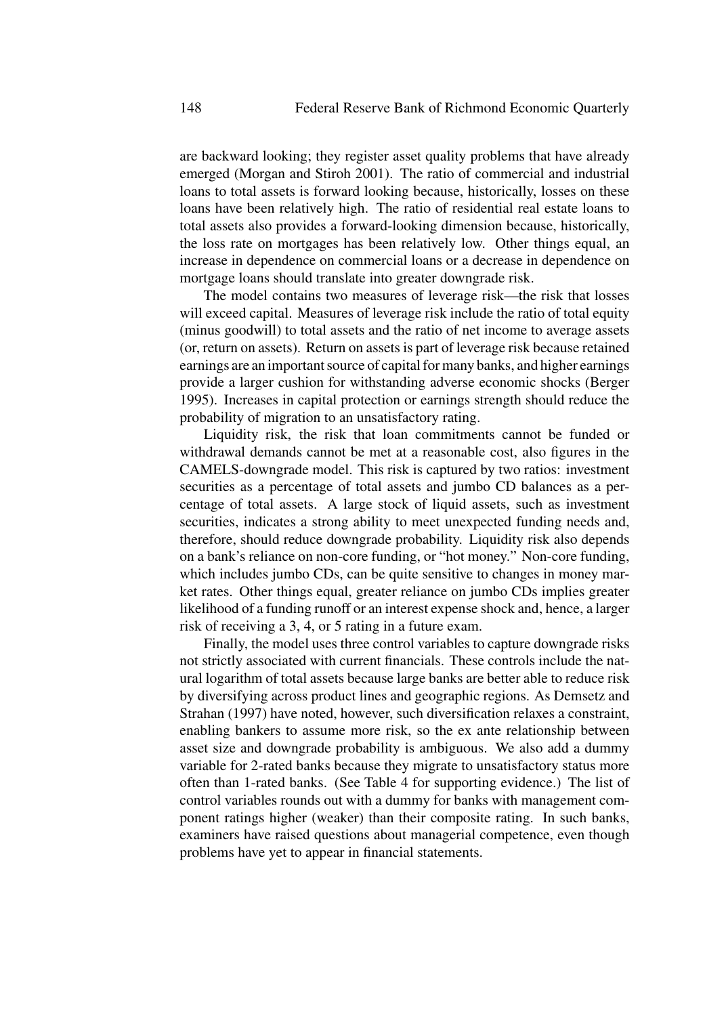are backward looking; they register asset quality problems that have already emerged (Morgan and Stiroh 2001). The ratio of commercial and industrial loans to total assets is forward looking because, historically, losses on these loans have been relatively high. The ratio of residential real estate loans to total assets also provides a forward-looking dimension because, historically, the loss rate on mortgages has been relatively low. Other things equal, an increase in dependence on commercial loans or a decrease in dependence on mortgage loans should translate into greater downgrade risk.

The model contains two measures of leverage risk—the risk that losses will exceed capital. Measures of leverage risk include the ratio of total equity (minus goodwill) to total assets and the ratio of net income to average assets (or, return on assets). Return on assets is part of leverage risk because retained earnings are an important source of capital for many banks, and higher earnings provide a larger cushion for withstanding adverse economic shocks (Berger 1995). Increases in capital protection or earnings strength should reduce the probability of migration to an unsatisfactory rating.

Liquidity risk, the risk that loan commitments cannot be funded or withdrawal demands cannot be met at a reasonable cost, also figures in the CAMELS-downgrade model. This risk is captured by two ratios: investment securities as a percentage of total assets and jumbo CD balances as a percentage of total assets. A large stock of liquid assets, such as investment securities, indicates a strong ability to meet unexpected funding needs and, therefore, should reduce downgrade probability. Liquidity risk also depends on a bank's reliance on non-core funding, or "hot money." Non-core funding, which includes jumbo CDs, can be quite sensitive to changes in money market rates. Other things equal, greater reliance on jumbo CDs implies greater likelihood of a funding runoff or an interest expense shock and, hence, a larger risk of receiving a 3, 4, or 5 rating in a future exam.

Finally, the model uses three control variables to capture downgrade risks not strictly associated with current financials. These controls include the natural logarithm of total assets because large banks are better able to reduce risk by diversifying across product lines and geographic regions. As Demsetz and Strahan (1997) have noted, however, such diversification relaxes a constraint, enabling bankers to assume more risk, so the ex ante relationship between asset size and downgrade probability is ambiguous. We also add a dummy variable for 2-rated banks because they migrate to unsatisfactory status more often than 1-rated banks. (See Table 4 for supporting evidence.) The list of control variables rounds out with a dummy for banks with management component ratings higher (weaker) than their composite rating. In such banks, examiners have raised questions about managerial competence, even though problems have yet to appear in financial statements.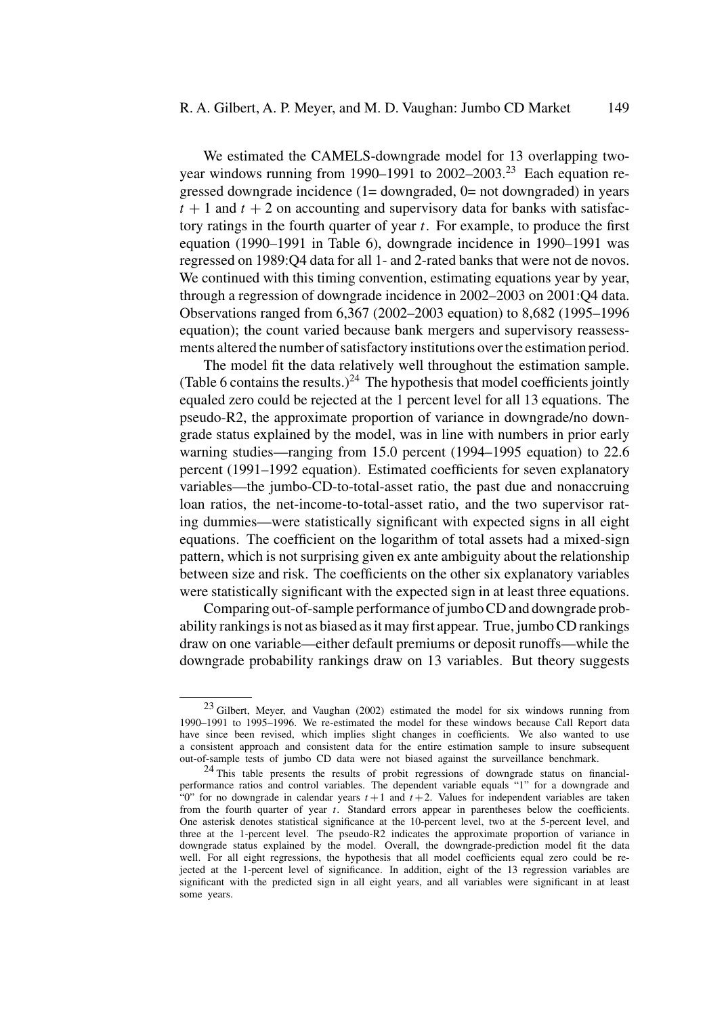We estimated the CAMELS-downgrade model for 13 overlapping twoyear windows running from 1990–1991 to  $2002-2003$ <sup>23</sup> Each equation regressed downgrade incidence  $(1=$  downgraded,  $0=$  not downgraded) in years  $t + 1$  and  $t + 2$  on accounting and supervisory data for banks with satisfactory ratings in the fourth quarter of year  $t$ . For example, to produce the first equation (1990–1991 in Table 6), downgrade incidence in 1990–1991 was regressed on 1989:Q4 data for all 1- and 2-rated banks that were not de novos. We continued with this timing convention, estimating equations year by year, through a regression of downgrade incidence in 2002–2003 on 2001:Q4 data. Observations ranged from 6,367 (2002–2003 equation) to 8,682 (1995–1996 equation); the count varied because bank mergers and supervisory reassessments altered the number of satisfactory institutions over the estimation period.

The model fit the data relatively well throughout the estimation sample. (Table 6 contains the results.)<sup>24</sup> The hypothesis that model coefficients jointly equaled zero could be rejected at the 1 percent level for all 13 equations. The pseudo-R2, the approximate proportion of variance in downgrade/no downgrade status explained by the model, was in line with numbers in prior early warning studies—ranging from 15.0 percent (1994–1995 equation) to 22.6 percent (1991–1992 equation). Estimated coefficients for seven explanatory variables—the jumbo-CD-to-total-asset ratio, the past due and nonaccruing loan ratios, the net-income-to-total-asset ratio, and the two supervisor rating dummies—were statistically significant with expected signs in all eight equations. The coefficient on the logarithm of total assets had a mixed-sign pattern, which is not surprising given ex ante ambiguity about the relationship between size and risk. The coefficients on the other six explanatory variables were statistically significant with the expected sign in at least three equations.

Comparing out-of-sample performance of jumbo CD and downgrade probability rankings is not as biased as it may first appear. True, jumbo CD rankings draw on one variable—either default premiums or deposit runoffs—while the downgrade probability rankings draw on 13 variables. But theory suggests

<sup>23</sup> Gilbert, Meyer, and Vaughan (2002) estimated the model for six windows running from 1990–1991 to 1995–1996. We re-estimated the model for these windows because Call Report data have since been revised, which implies slight changes in coefficients. We also wanted to use a consistent approach and consistent data for the entire estimation sample to insure subsequent out-of-sample tests of jumbo CD data were not biased against the surveillance benchmark.

<sup>&</sup>lt;sup>24</sup> This table presents the results of probit regressions of downgrade status on financialperformance ratios and control variables. The dependent variable equals "1" for a downgrade and "0" for no downgrade in calendar years  $t + 1$  and  $t + 2$ . Values for independent variables are taken from the fourth quarter of year  $t$ . Standard errors appear in parentheses below the coefficients. One asterisk denotes statistical significance at the 10-percent level, two at the 5-percent level, and three at the 1-percent level. The pseudo-R2 indicates the approximate proportion of variance in downgrade status explained by the model. Overall, the downgrade-prediction model fit the data well. For all eight regressions, the hypothesis that all model coefficients equal zero could be rejected at the 1-percent level of significance. In addition, eight of the 13 regression variables are significant with the predicted sign in all eight years, and all variables were significant in at least some years.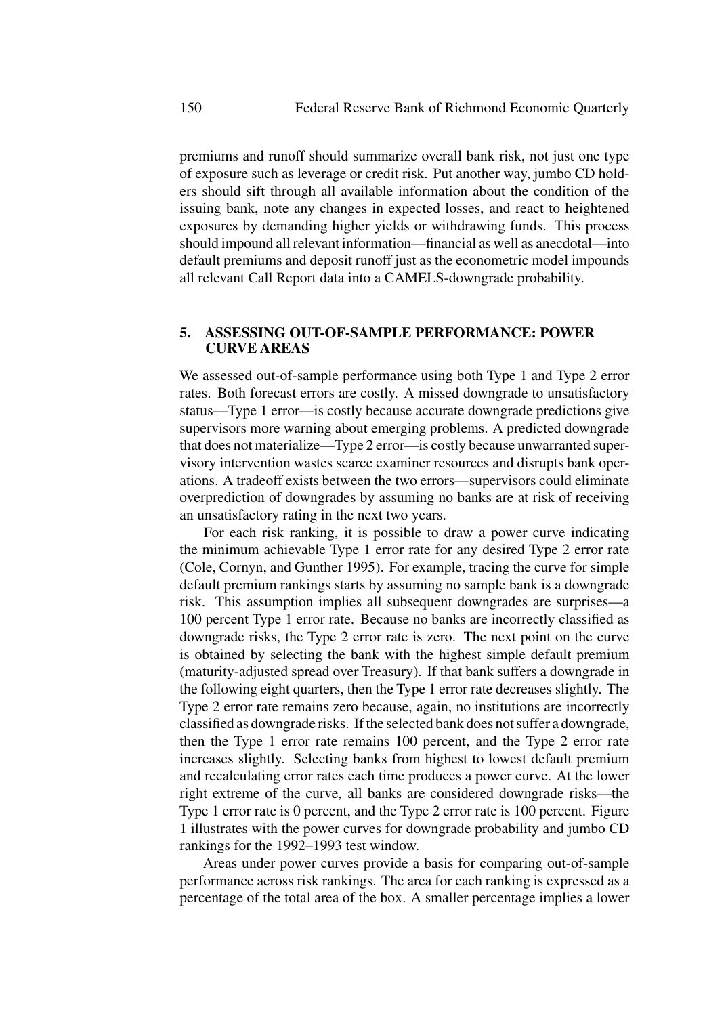premiums and runoff should summarize overall bank risk, not just one type of exposure such as leverage or credit risk. Put another way, jumbo CD holders should sift through all available information about the condition of the issuing bank, note any changes in expected losses, and react to heightened exposures by demanding higher yields or withdrawing funds. This process should impound all relevant information—financial as well as anecdotal—into default premiums and deposit runoff just as the econometric model impounds all relevant Call Report data into a CAMELS-downgrade probability.

# **5. ASSESSING OUT-OF-SAMPLE PERFORMANCE: POWER CURVE AREAS**

We assessed out-of-sample performance using both Type 1 and Type 2 error rates. Both forecast errors are costly. A missed downgrade to unsatisfactory status—Type 1 error—is costly because accurate downgrade predictions give supervisors more warning about emerging problems. A predicted downgrade that does not materialize—Type 2 error—is costly because unwarranted supervisory intervention wastes scarce examiner resources and disrupts bank operations. A tradeoff exists between the two errors—supervisors could eliminate overprediction of downgrades by assuming no banks are at risk of receiving an unsatisfactory rating in the next two years.

For each risk ranking, it is possible to draw a power curve indicating the minimum achievable Type 1 error rate for any desired Type 2 error rate (Cole, Cornyn, and Gunther 1995). For example, tracing the curve for simple default premium rankings starts by assuming no sample bank is a downgrade risk. This assumption implies all subsequent downgrades are surprises—a 100 percent Type 1 error rate. Because no banks are incorrectly classified as downgrade risks, the Type 2 error rate is zero. The next point on the curve is obtained by selecting the bank with the highest simple default premium (maturity-adjusted spread over Treasury). If that bank suffers a downgrade in the following eight quarters, then the Type 1 error rate decreases slightly. The Type 2 error rate remains zero because, again, no institutions are incorrectly classified as downgrade risks. If the selected bank does not suffer a downgrade, then the Type 1 error rate remains 100 percent, and the Type 2 error rate increases slightly. Selecting banks from highest to lowest default premium and recalculating error rates each time produces a power curve. At the lower right extreme of the curve, all banks are considered downgrade risks—the Type 1 error rate is 0 percent, and the Type 2 error rate is 100 percent. Figure 1 illustrates with the power curves for downgrade probability and jumbo CD rankings for the 1992–1993 test window.

Areas under power curves provide a basis for comparing out-of-sample performance across risk rankings. The area for each ranking is expressed as a percentage of the total area of the box. A smaller percentage implies a lower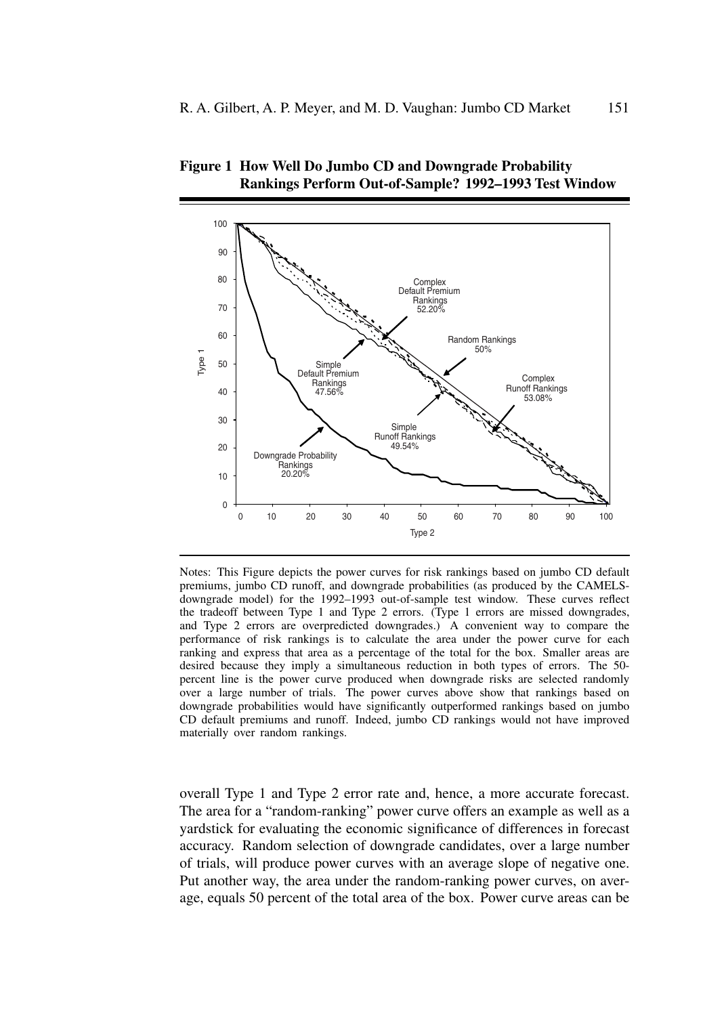

**Figure 1 How Well Do Jumbo CD and Downgrade Probability Rankings Perform Out-of-Sample? 1992–1993 Test Window**

Notes: This Figure depicts the power curves for risk rankings based on jumbo CD default premiums, jumbo CD runoff, and downgrade probabilities (as produced by the CAMELSdowngrade model) for the 1992–1993 out-of-sample test window. These curves reflect the tradeoff between Type 1 and Type 2 errors. (Type 1 errors are missed downgrades, and Type 2 errors are overpredicted downgrades.) A convenient way to compare the performance of risk rankings is to calculate the area under the power curve for each ranking and express that area as a percentage of the total for the box. Smaller areas are desired because they imply a simultaneous reduction in both types of errors. The 50 percent line is the power curve produced when downgrade risks are selected randomly over a large number of trials. The power curves above show that rankings based on downgrade probabilities would have significantly outperformed rankings based on jumbo CD default premiums and runoff. Indeed, jumbo CD rankings would not have improved materially over random rankings.

overall Type 1 and Type 2 error rate and, hence, a more accurate forecast. The area for a "random-ranking" power curve offers an example as well as a yardstick for evaluating the economic significance of differences in forecast accuracy. Random selection of downgrade candidates, over a large number of trials, will produce power curves with an average slope of negative one. Put another way, the area under the random-ranking power curves, on average, equals 50 percent of the total area of the box. Power curve areas can be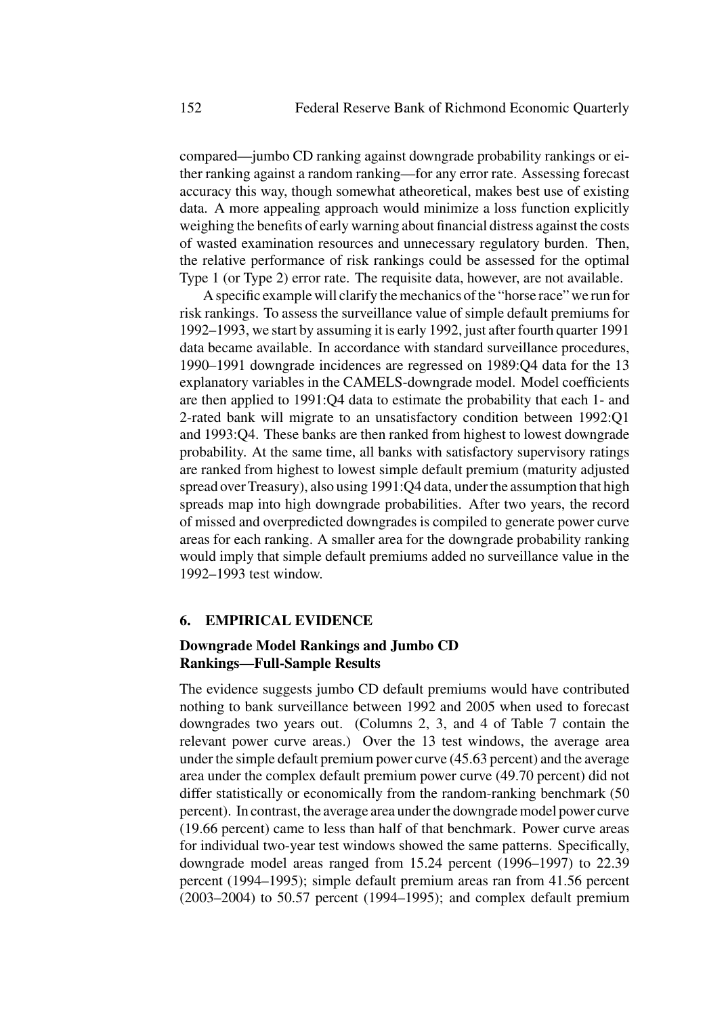compared—jumbo CD ranking against downgrade probability rankings or either ranking against a random ranking—for any error rate. Assessing forecast accuracy this way, though somewhat atheoretical, makes best use of existing data. A more appealing approach would minimize a loss function explicitly weighing the benefits of early warning about financial distress against the costs of wasted examination resources and unnecessary regulatory burden. Then, the relative performance of risk rankings could be assessed for the optimal Type 1 (or Type 2) error rate. The requisite data, however, are not available.

A specific example will clarify the mechanics of the "horse race" we run for risk rankings. To assess the surveillance value of simple default premiums for 1992–1993, we start by assuming it is early 1992, just after fourth quarter 1991 data became available. In accordance with standard surveillance procedures, 1990–1991 downgrade incidences are regressed on 1989:Q4 data for the 13 explanatory variables in the CAMELS-downgrade model. Model coefficients are then applied to 1991:Q4 data to estimate the probability that each 1- and 2-rated bank will migrate to an unsatisfactory condition between 1992:Q1 and 1993:Q4. These banks are then ranked from highest to lowest downgrade probability. At the same time, all banks with satisfactory supervisory ratings are ranked from highest to lowest simple default premium (maturity adjusted spread over Treasury), also using 1991:Q4 data, under the assumption that high spreads map into high downgrade probabilities. After two years, the record of missed and overpredicted downgrades is compiled to generate power curve areas for each ranking. A smaller area for the downgrade probability ranking would imply that simple default premiums added no surveillance value in the 1992–1993 test window.

#### **6. EMPIRICAL EVIDENCE**

# **Downgrade Model Rankings and Jumbo CD Rankings—Full-Sample Results**

The evidence suggests jumbo CD default premiums would have contributed nothing to bank surveillance between 1992 and 2005 when used to forecast downgrades two years out. (Columns 2, 3, and 4 of Table 7 contain the relevant power curve areas.) Over the 13 test windows, the average area under the simple default premium power curve (45.63 percent) and the average area under the complex default premium power curve (49.70 percent) did not differ statistically or economically from the random-ranking benchmark (50 percent). In contrast, the average area under the downgrade model power curve (19.66 percent) came to less than half of that benchmark. Power curve areas for individual two-year test windows showed the same patterns. Specifically, downgrade model areas ranged from 15.24 percent (1996–1997) to 22.39 percent (1994–1995); simple default premium areas ran from 41.56 percent (2003–2004) to 50.57 percent (1994–1995); and complex default premium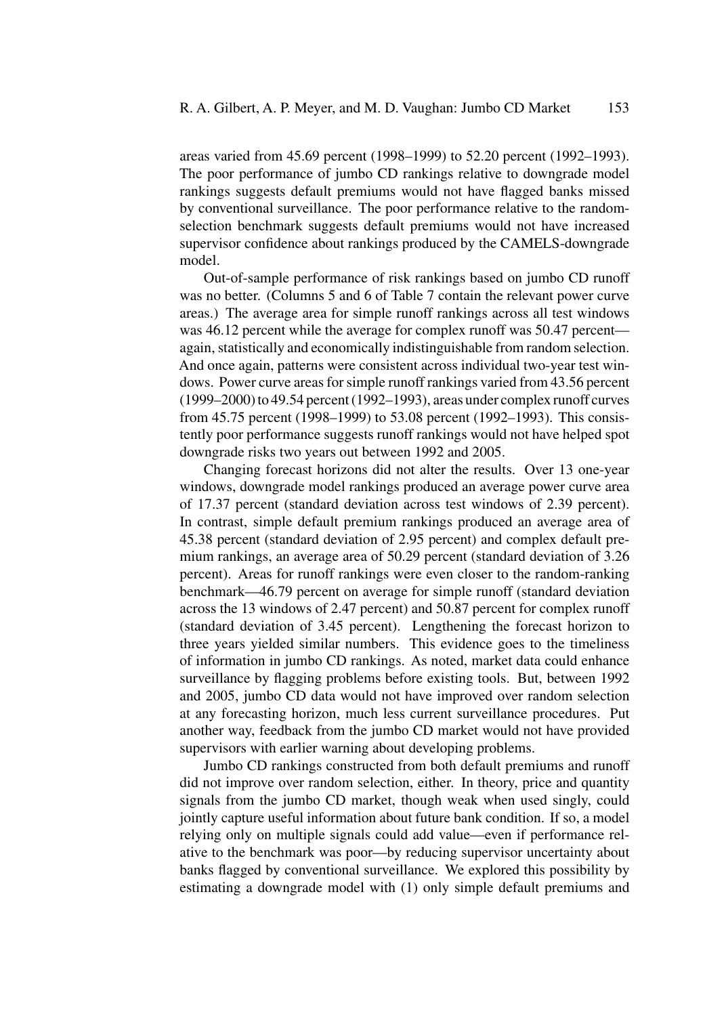areas varied from 45.69 percent (1998–1999) to 52.20 percent (1992–1993). The poor performance of jumbo CD rankings relative to downgrade model rankings suggests default premiums would not have flagged banks missed by conventional surveillance. The poor performance relative to the randomselection benchmark suggests default premiums would not have increased supervisor confidence about rankings produced by the CAMELS-downgrade model.

Out-of-sample performance of risk rankings based on jumbo CD runoff was no better. (Columns 5 and 6 of Table 7 contain the relevant power curve areas.) The average area for simple runoff rankings across all test windows was 46.12 percent while the average for complex runoff was 50.47 percent again, statistically and economically indistinguishable from random selection. And once again, patterns were consistent across individual two-year test windows. Power curve areas for simple runoff rankings varied from 43.56 percent (1999–2000) to 49.54 percent (1992–1993), areas under complex runoff curves from 45.75 percent (1998–1999) to 53.08 percent (1992–1993). This consistently poor performance suggests runoff rankings would not have helped spot downgrade risks two years out between 1992 and 2005.

Changing forecast horizons did not alter the results. Over 13 one-year windows, downgrade model rankings produced an average power curve area of 17.37 percent (standard deviation across test windows of 2.39 percent). In contrast, simple default premium rankings produced an average area of 45.38 percent (standard deviation of 2.95 percent) and complex default premium rankings, an average area of 50.29 percent (standard deviation of 3.26 percent). Areas for runoff rankings were even closer to the random-ranking benchmark—46.79 percent on average for simple runoff (standard deviation across the 13 windows of 2.47 percent) and 50.87 percent for complex runoff (standard deviation of 3.45 percent). Lengthening the forecast horizon to three years yielded similar numbers. This evidence goes to the timeliness of information in jumbo CD rankings. As noted, market data could enhance surveillance by flagging problems before existing tools. But, between 1992 and 2005, jumbo CD data would not have improved over random selection at any forecasting horizon, much less current surveillance procedures. Put another way, feedback from the jumbo CD market would not have provided supervisors with earlier warning about developing problems.

Jumbo CD rankings constructed from both default premiums and runoff did not improve over random selection, either. In theory, price and quantity signals from the jumbo CD market, though weak when used singly, could jointly capture useful information about future bank condition. If so, a model relying only on multiple signals could add value—even if performance relative to the benchmark was poor—by reducing supervisor uncertainty about banks flagged by conventional surveillance. We explored this possibility by estimating a downgrade model with (1) only simple default premiums and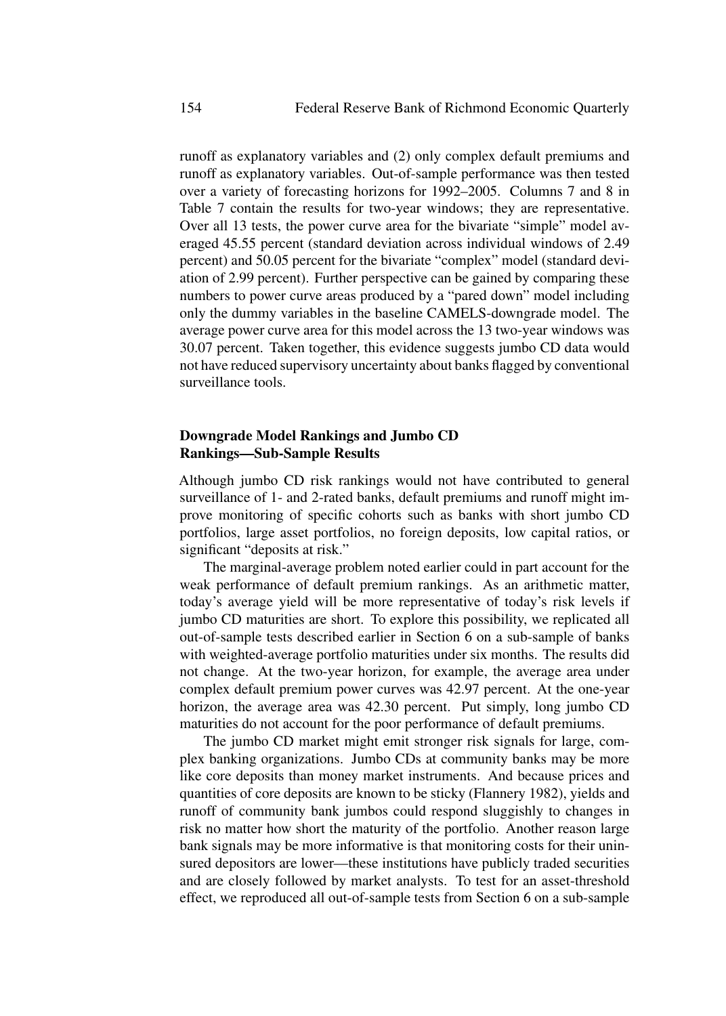runoff as explanatory variables and (2) only complex default premiums and runoff as explanatory variables. Out-of-sample performance was then tested over a variety of forecasting horizons for 1992–2005. Columns 7 and 8 in Table 7 contain the results for two-year windows; they are representative. Over all 13 tests, the power curve area for the bivariate "simple" model averaged 45.55 percent (standard deviation across individual windows of 2.49 percent) and 50.05 percent for the bivariate "complex" model (standard deviation of 2.99 percent). Further perspective can be gained by comparing these numbers to power curve areas produced by a "pared down" model including only the dummy variables in the baseline CAMELS-downgrade model. The average power curve area for this model across the 13 two-year windows was 30.07 percent. Taken together, this evidence suggests jumbo CD data would not have reduced supervisory uncertainty about banks flagged by conventional surveillance tools.

# **Downgrade Model Rankings and Jumbo CD Rankings—Sub-Sample Results**

Although jumbo CD risk rankings would not have contributed to general surveillance of 1- and 2-rated banks, default premiums and runoff might improve monitoring of specific cohorts such as banks with short jumbo CD portfolios, large asset portfolios, no foreign deposits, low capital ratios, or significant "deposits at risk."

The marginal-average problem noted earlier could in part account for the weak performance of default premium rankings. As an arithmetic matter, today's average yield will be more representative of today's risk levels if jumbo CD maturities are short. To explore this possibility, we replicated all out-of-sample tests described earlier in Section 6 on a sub-sample of banks with weighted-average portfolio maturities under six months. The results did not change. At the two-year horizon, for example, the average area under complex default premium power curves was 42.97 percent. At the one-year horizon, the average area was 42.30 percent. Put simply, long jumbo CD maturities do not account for the poor performance of default premiums.

The jumbo CD market might emit stronger risk signals for large, complex banking organizations. Jumbo CDs at community banks may be more like core deposits than money market instruments. And because prices and quantities of core deposits are known to be sticky (Flannery 1982), yields and runoff of community bank jumbos could respond sluggishly to changes in risk no matter how short the maturity of the portfolio. Another reason large bank signals may be more informative is that monitoring costs for their uninsured depositors are lower—these institutions have publicly traded securities and are closely followed by market analysts. To test for an asset-threshold effect, we reproduced all out-of-sample tests from Section 6 on a sub-sample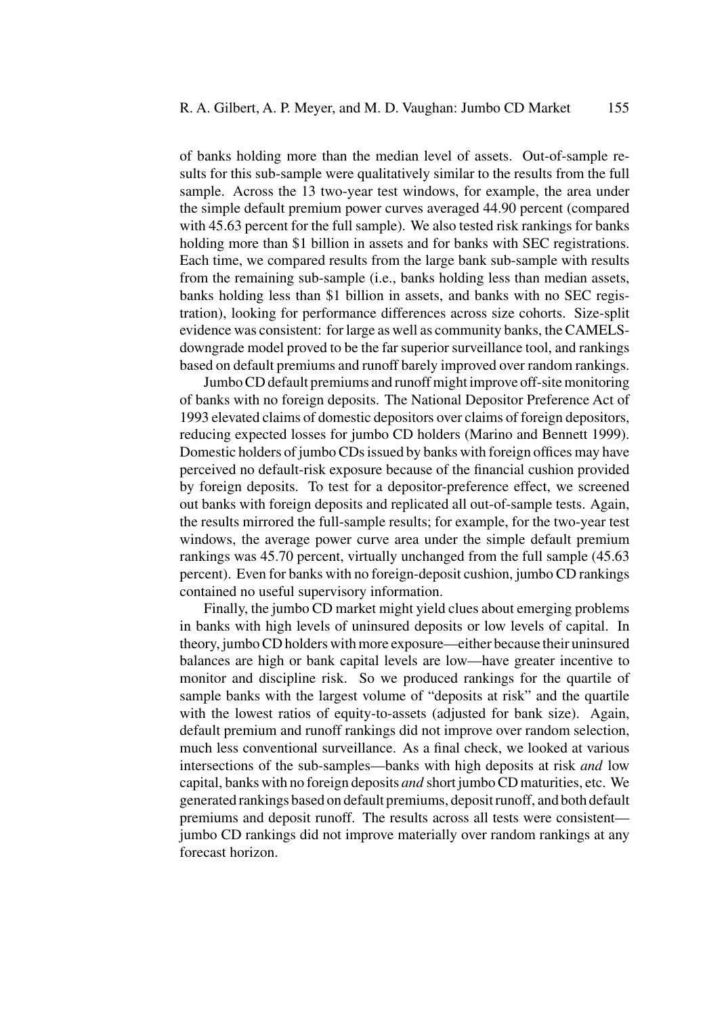of banks holding more than the median level of assets. Out-of-sample results for this sub-sample were qualitatively similar to the results from the full sample. Across the 13 two-year test windows, for example, the area under the simple default premium power curves averaged 44.90 percent (compared with 45.63 percent for the full sample). We also tested risk rankings for banks holding more than \$1 billion in assets and for banks with SEC registrations. Each time, we compared results from the large bank sub-sample with results from the remaining sub-sample (i.e., banks holding less than median assets, banks holding less than \$1 billion in assets, and banks with no SEC registration), looking for performance differences across size cohorts. Size-split evidence was consistent: for large as well as community banks, the CAMELSdowngrade model proved to be the far superior surveillance tool, and rankings based on default premiums and runoff barely improved over random rankings.

Jumbo CD default premiums and runoff might improve off-site monitoring of banks with no foreign deposits. The National Depositor Preference Act of 1993 elevated claims of domestic depositors over claims of foreign depositors, reducing expected losses for jumbo CD holders (Marino and Bennett 1999). Domestic holders of jumbo CDs issued by banks with foreign offices may have perceived no default-risk exposure because of the financial cushion provided by foreign deposits. To test for a depositor-preference effect, we screened out banks with foreign deposits and replicated all out-of-sample tests. Again, the results mirrored the full-sample results; for example, for the two-year test windows, the average power curve area under the simple default premium rankings was 45.70 percent, virtually unchanged from the full sample (45.63 percent). Even for banks with no foreign-deposit cushion, jumbo CD rankings contained no useful supervisory information.

Finally, the jumbo CD market might yield clues about emerging problems in banks with high levels of uninsured deposits or low levels of capital. In theory, jumbo CD holders with more exposure—either because their uninsured balances are high or bank capital levels are low—have greater incentive to monitor and discipline risk. So we produced rankings for the quartile of sample banks with the largest volume of "deposits at risk" and the quartile with the lowest ratios of equity-to-assets (adjusted for bank size). Again, default premium and runoff rankings did not improve over random selection, much less conventional surveillance. As a final check, we looked at various intersections of the sub-samples—banks with high deposits at risk *and* low capital, banks with no foreign deposits *and* short jumbo CD maturities, etc. We generated rankings based on default premiums, deposit runoff, and both default premiums and deposit runoff. The results across all tests were consistent jumbo CD rankings did not improve materially over random rankings at any forecast horizon.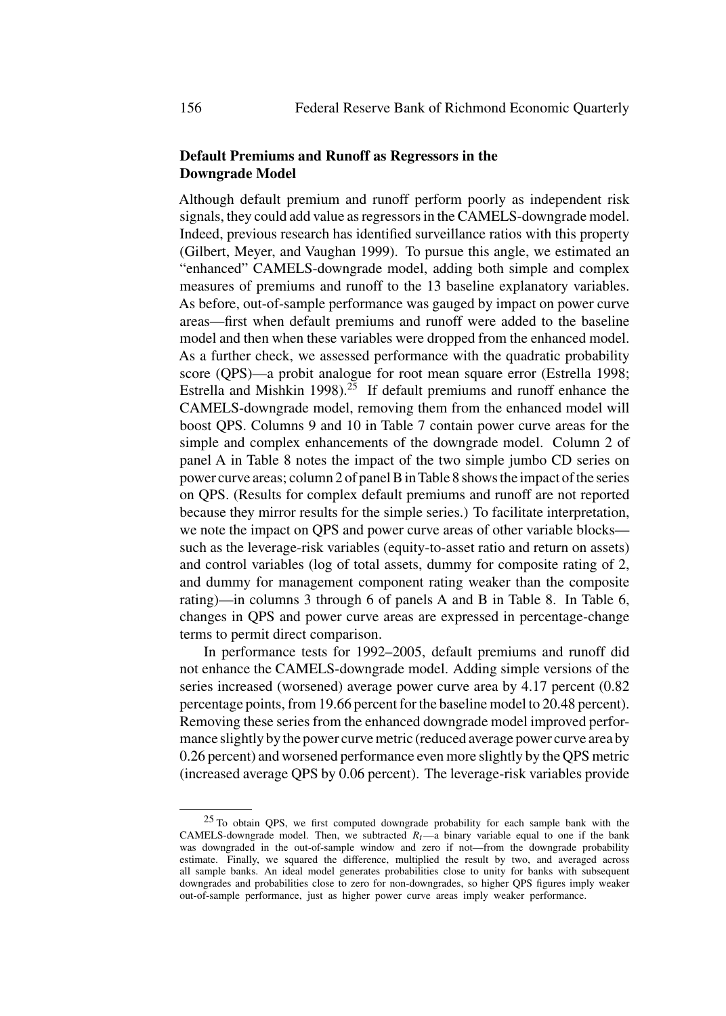# **Default Premiums and Runoff as Regressors in the Downgrade Model**

Although default premium and runoff perform poorly as independent risk signals, they could add value as regressors in the CAMELS-downgrade model. Indeed, previous research has identified surveillance ratios with this property (Gilbert, Meyer, and Vaughan 1999). To pursue this angle, we estimated an "enhanced" CAMELS-downgrade model, adding both simple and complex measures of premiums and runoff to the 13 baseline explanatory variables. As before, out-of-sample performance was gauged by impact on power curve areas—first when default premiums and runoff were added to the baseline model and then when these variables were dropped from the enhanced model. As a further check, we assessed performance with the quadratic probability score (QPS)—a probit analogue for root mean square error (Estrella 1998; Estrella and Mishkin 1998).<sup>25</sup> If default premiums and runoff enhance the CAMELS-downgrade model, removing them from the enhanced model will boost QPS. Columns 9 and 10 in Table 7 contain power curve areas for the simple and complex enhancements of the downgrade model. Column 2 of panel A in Table 8 notes the impact of the two simple jumbo CD series on power curve areas; column 2 of panel B in Table 8 shows the impact of the series on QPS. (Results for complex default premiums and runoff are not reported because they mirror results for the simple series.) To facilitate interpretation, we note the impact on QPS and power curve areas of other variable blocks such as the leverage-risk variables (equity-to-asset ratio and return on assets) and control variables (log of total assets, dummy for composite rating of 2, and dummy for management component rating weaker than the composite rating)—in columns 3 through 6 of panels A and B in Table 8. In Table 6, changes in QPS and power curve areas are expressed in percentage-change terms to permit direct comparison.

In performance tests for 1992–2005, default premiums and runoff did not enhance the CAMELS-downgrade model. Adding simple versions of the series increased (worsened) average power curve area by 4.17 percent (0.82 percentage points, from 19.66 percent for the baseline model to 20.48 percent). Removing these series from the enhanced downgrade model improved performance slightly by the power curve metric (reduced average power curve area by 0.26 percent) and worsened performance even more slightly by the QPS metric (increased average QPS by 0.06 percent). The leverage-risk variables provide

<sup>25</sup> To obtain QPS, we first computed downgrade probability for each sample bank with the CAMELS-downgrade model. Then, we subtracted  $R_t$ —a binary variable equal to one if the bank was downgraded in the out-of-sample window and zero if not—from the downgrade probability estimate. Finally, we squared the difference, multiplied the result by two, and averaged across all sample banks. An ideal model generates probabilities close to unity for banks with subsequent downgrades and probabilities close to zero for non-downgrades, so higher QPS figures imply weaker out-of-sample performance, just as higher power curve areas imply weaker performance.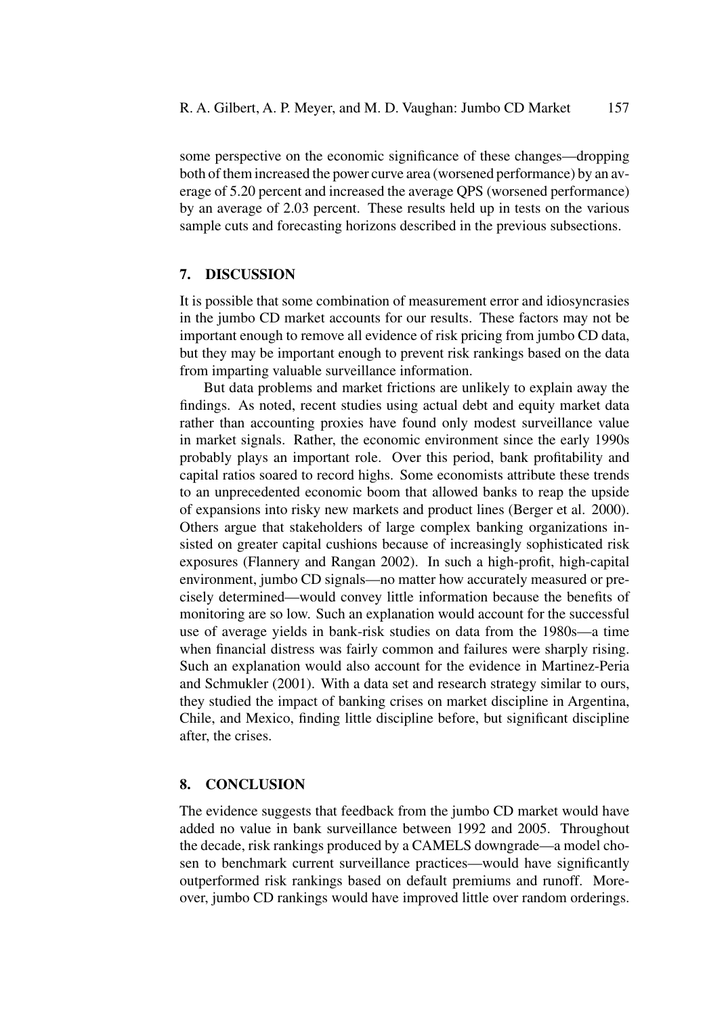some perspective on the economic significance of these changes—dropping both of them increased the power curve area (worsened performance) by an average of 5.20 percent and increased the average QPS (worsened performance) by an average of 2.03 percent. These results held up in tests on the various sample cuts and forecasting horizons described in the previous subsections.

#### **7. DISCUSSION**

It is possible that some combination of measurement error and idiosyncrasies in the jumbo CD market accounts for our results. These factors may not be important enough to remove all evidence of risk pricing from jumbo CD data, but they may be important enough to prevent risk rankings based on the data from imparting valuable surveillance information.

But data problems and market frictions are unlikely to explain away the findings. As noted, recent studies using actual debt and equity market data rather than accounting proxies have found only modest surveillance value in market signals. Rather, the economic environment since the early 1990s probably plays an important role. Over this period, bank profitability and capital ratios soared to record highs. Some economists attribute these trends to an unprecedented economic boom that allowed banks to reap the upside of expansions into risky new markets and product lines (Berger et al. 2000). Others argue that stakeholders of large complex banking organizations insisted on greater capital cushions because of increasingly sophisticated risk exposures (Flannery and Rangan 2002). In such a high-profit, high-capital environment, jumbo CD signals—no matter how accurately measured or precisely determined—would convey little information because the benefits of monitoring are so low. Such an explanation would account for the successful use of average yields in bank-risk studies on data from the 1980s—a time when financial distress was fairly common and failures were sharply rising. Such an explanation would also account for the evidence in Martinez-Peria and Schmukler (2001). With a data set and research strategy similar to ours, they studied the impact of banking crises on market discipline in Argentina, Chile, and Mexico, finding little discipline before, but significant discipline after, the crises.

# **8. CONCLUSION**

The evidence suggests that feedback from the jumbo CD market would have added no value in bank surveillance between 1992 and 2005. Throughout the decade, risk rankings produced by a CAMELS downgrade—a model chosen to benchmark current surveillance practices—would have significantly outperformed risk rankings based on default premiums and runoff. Moreover, jumbo CD rankings would have improved little over random orderings.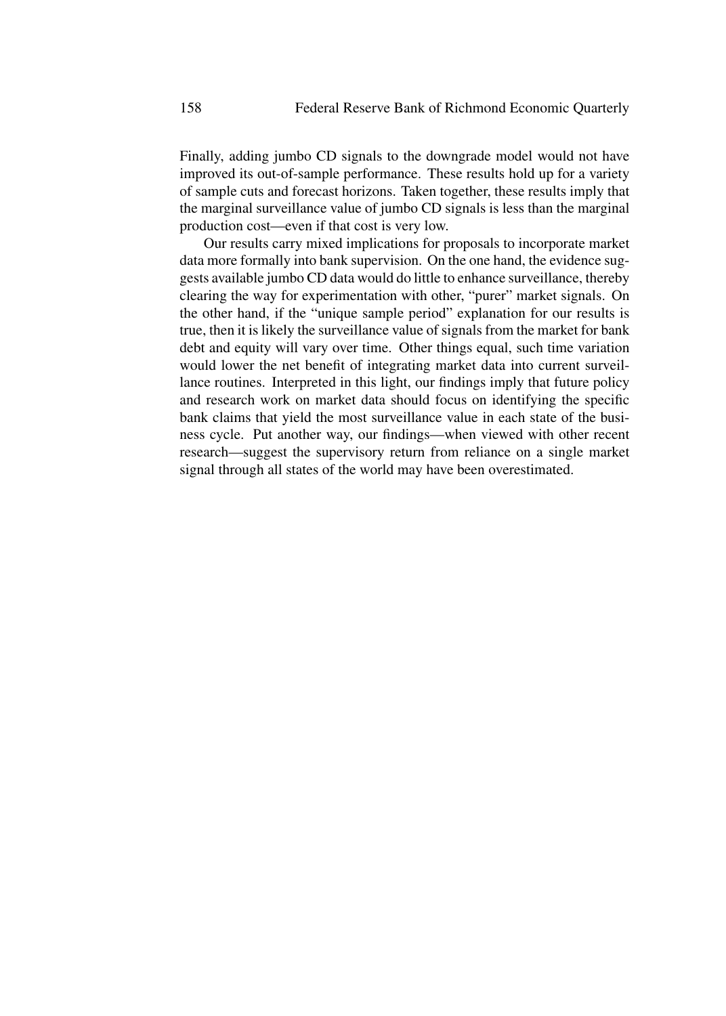Finally, adding jumbo CD signals to the downgrade model would not have improved its out-of-sample performance. These results hold up for a variety of sample cuts and forecast horizons. Taken together, these results imply that the marginal surveillance value of jumbo CD signals is less than the marginal production cost—even if that cost is very low.

Our results carry mixed implications for proposals to incorporate market data more formally into bank supervision. On the one hand, the evidence suggests available jumbo CD data would do little to enhance surveillance, thereby clearing the way for experimentation with other, "purer" market signals. On the other hand, if the "unique sample period" explanation for our results is true, then it is likely the surveillance value of signals from the market for bank debt and equity will vary over time. Other things equal, such time variation would lower the net benefit of integrating market data into current surveillance routines. Interpreted in this light, our findings imply that future policy and research work on market data should focus on identifying the specific bank claims that yield the most surveillance value in each state of the business cycle. Put another way, our findings—when viewed with other recent research—suggest the supervisory return from reliance on a single market signal through all states of the world may have been overestimated.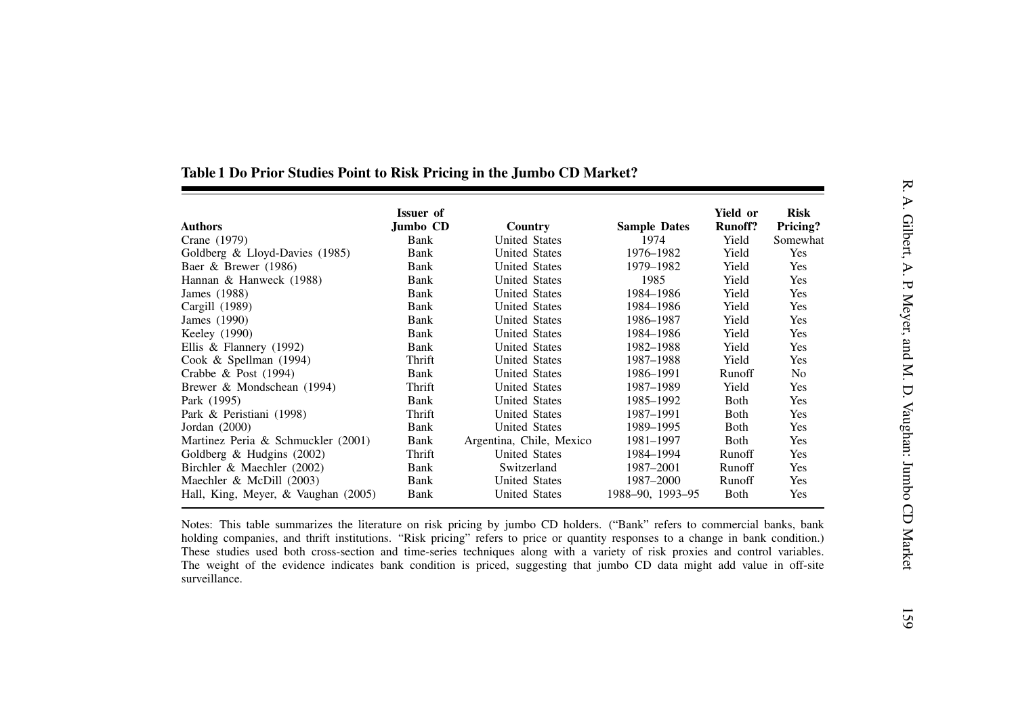| <b>Authors</b>                      | <b>Issuer</b> of<br>Jumbo CD | Country                  | <b>Sample Dates</b> | Yield or<br><b>Runoff?</b> | <b>Risk</b><br>Pricing? |
|-------------------------------------|------------------------------|--------------------------|---------------------|----------------------------|-------------------------|
| Crane (1979)                        | Bank                         | <b>United States</b>     | 1974                | Yield                      | Somewhat                |
| Goldberg & Lloyd-Davies (1985)      | Bank                         | <b>United States</b>     | 1976-1982           | Yield                      | Yes                     |
| Baer & Brewer (1986)                | Bank                         | <b>United States</b>     | 1979-1982           | Yield                      | Yes                     |
| Hannan & Hanweck (1988)             | Bank                         | <b>United States</b>     | 1985                | Yield                      | Yes                     |
| James (1988)                        | Bank                         | <b>United States</b>     | 1984-1986           | Yield                      | Yes                     |
| Cargill (1989)                      | Bank                         | <b>United States</b>     | 1984-1986           | Yield                      | Yes                     |
| James (1990)                        | Bank                         | <b>United States</b>     | 1986-1987           | Yield                      | Yes                     |
| Keeley (1990)                       | Bank                         | <b>United States</b>     | 1984-1986           | Yield                      | Yes                     |
| Ellis & Flannery (1992)             | Bank                         | <b>United States</b>     | 1982-1988           | Yield                      | Yes                     |
| Cook & Spellman $(1994)$            | Thrift                       | <b>United States</b>     | 1987-1988           | Yield                      | Yes                     |
| Crabbe & Post $(1994)$              | Bank                         | <b>United States</b>     | 1986-1991           | Runoff                     | N <sub>0</sub>          |
| Brewer & Mondschean (1994)          | Thrift                       | <b>United States</b>     | 1987-1989           | Yield                      | Yes                     |
| Park (1995)                         | Bank                         | <b>United States</b>     | 1985-1992           | Both                       | Yes                     |
| Park & Peristiani (1998)            | Thrift                       | <b>United States</b>     | 1987-1991           | Both                       | Yes                     |
| Jordan $(2000)$                     | Bank                         | <b>United States</b>     | 1989-1995           | Both                       | Yes                     |
| Martinez Peria & Schmuckler (2001)  | Bank                         | Argentina, Chile, Mexico | 1981-1997           | Both                       | Yes                     |
| Goldberg & Hudgins (2002)           | Thrift                       | <b>United States</b>     | 1984-1994           | Runoff                     | Yes                     |
| Birchler & Maechler (2002)          | Bank                         | Switzerland              | 1987-2001           | Runoff                     | Yes                     |
| Maechler & McDill (2003)            | Bank                         | <b>United States</b>     | 1987-2000           | Runoff                     | Yes                     |
| Hall, King, Meyer, & Vaughan (2005) | Bank                         | <b>United States</b>     | 1988-90, 1993-95    | Both                       | Yes                     |

# Table 1 Do Prior Studies Point to Risk Pricing in the Jumbo CD Market?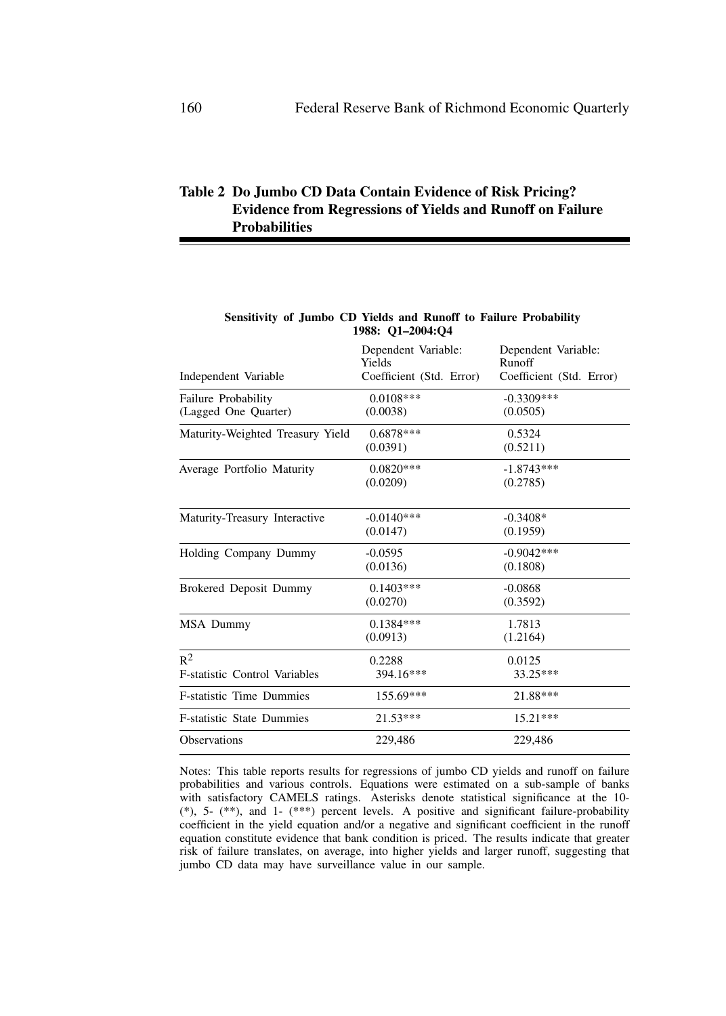# **Table 2 Do Jumbo CD Data Contain Evidence of Risk Pricing? Evidence from Regressions of Yields and Runoff on Failure Probabilities**

| 1988: 01–2004:04              |                               |
|-------------------------------|-------------------------------|
| Dependent Variable:<br>Yields | Dependent Variable:<br>Runoff |
|                               | Coefficient (Std. Error)      |
| $0.0108***$                   | $-0.3309***$                  |
| (0.0038)                      | (0.0505)                      |
| $0.6878***$                   | 0.5324                        |
| (0.0391)                      | (0.5211)                      |
| $0.0820***$                   | $-1.8743***$                  |
| (0.0209)                      | (0.2785)                      |
| $-0.0140***$                  | $-0.3408*$                    |
| (0.0147)                      | (0.1959)                      |
| $-0.0595$                     | $-0.9042***$                  |
| (0.0136)                      | (0.1808)                      |
| $0.1403***$                   | $-0.0868$                     |
| (0.0270)                      | (0.3592)                      |
| $0.1384***$                   | 1.7813                        |
| (0.0913)                      | (1.2164)                      |
| 0.2288                        | 0.0125                        |
| 394.16***                     | 33.25***                      |
| 155.69***                     | 21.88***                      |
| $21.53***$                    | $15.21***$                    |
| 229,486                       | 229,486                       |
|                               | Coefficient (Std. Error)      |

#### **Sensitivity of Jumbo CD Yields and Runoff to Failure Probability 1988: Q1–2004:Q4**

Notes: This table reports results for regressions of jumbo CD yields and runoff on failure probabilities and various controls. Equations were estimated on a sub-sample of banks with satisfactory CAMELS ratings. Asterisks denote statistical significance at the 10- (\*), 5- (\*\*), and 1- (\*\*\*) percent levels. A positive and significant failure-probability coefficient in the yield equation and/or a negative and significant coefficient in the runoff equation constitute evidence that bank condition is priced. The results indicate that greater risk of failure translates, on average, into higher yields and larger runoff, suggesting that jumbo CD data may have surveillance value in our sample.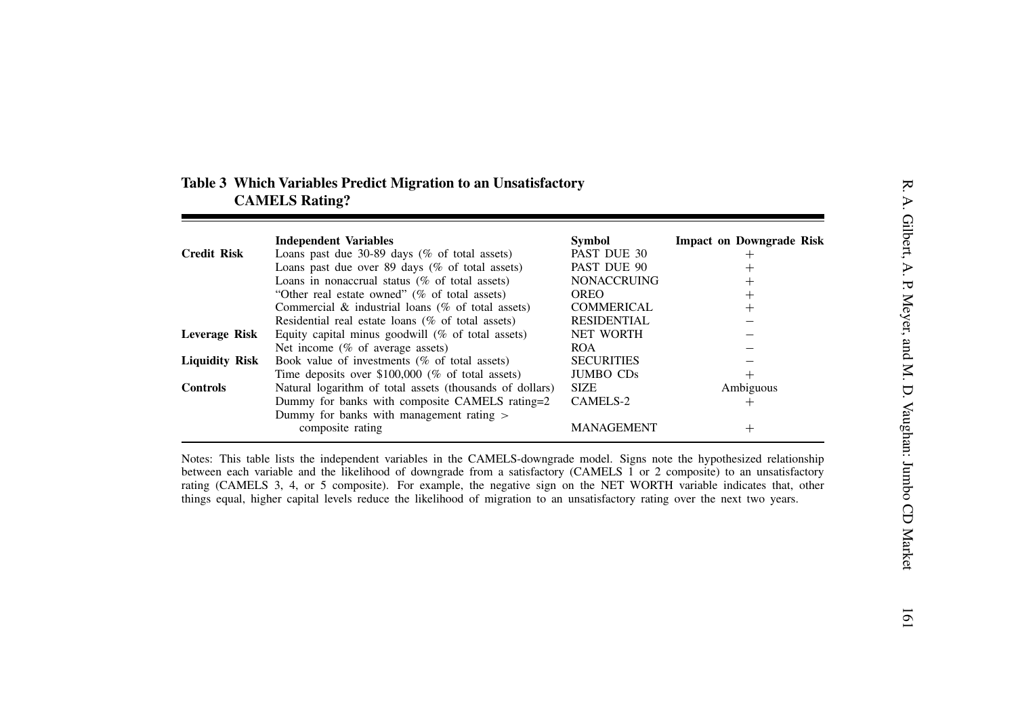| Table 3 Which Variables Predict Migration to an Unsatisfactory |
|----------------------------------------------------------------|
| <b>CAMELS Rating?</b>                                          |

| Loans past due $30-89$ days (% of total assets)<br>Loans past due over 89 days ( $%$ of total assets)<br>Loans in nonaccrual status ( $%$ of total assets)<br>"Other real estate owned" (% of total assets)<br>Commercial $\&$ industrial loans (% of total assets)<br>Residential real estate loans (% of total assets) | PAST DUE 30<br>PAST DUE 90<br><b>NONACCRUING</b><br><b>OREO</b><br><b>COMMERICAL</b>                                                                                                                                                                                                                                       | $\,+\,$<br>$\overline{+}$<br>$\, + \,$<br>$\overline{+}$                                                                                                                                                                                                                                                                                                                                                                                                                                                                                                                                                            |
|--------------------------------------------------------------------------------------------------------------------------------------------------------------------------------------------------------------------------------------------------------------------------------------------------------------------------|----------------------------------------------------------------------------------------------------------------------------------------------------------------------------------------------------------------------------------------------------------------------------------------------------------------------------|---------------------------------------------------------------------------------------------------------------------------------------------------------------------------------------------------------------------------------------------------------------------------------------------------------------------------------------------------------------------------------------------------------------------------------------------------------------------------------------------------------------------------------------------------------------------------------------------------------------------|
|                                                                                                                                                                                                                                                                                                                          |                                                                                                                                                                                                                                                                                                                            |                                                                                                                                                                                                                                                                                                                                                                                                                                                                                                                                                                                                                     |
|                                                                                                                                                                                                                                                                                                                          |                                                                                                                                                                                                                                                                                                                            |                                                                                                                                                                                                                                                                                                                                                                                                                                                                                                                                                                                                                     |
|                                                                                                                                                                                                                                                                                                                          |                                                                                                                                                                                                                                                                                                                            |                                                                                                                                                                                                                                                                                                                                                                                                                                                                                                                                                                                                                     |
|                                                                                                                                                                                                                                                                                                                          |                                                                                                                                                                                                                                                                                                                            |                                                                                                                                                                                                                                                                                                                                                                                                                                                                                                                                                                                                                     |
|                                                                                                                                                                                                                                                                                                                          |                                                                                                                                                                                                                                                                                                                            |                                                                                                                                                                                                                                                                                                                                                                                                                                                                                                                                                                                                                     |
|                                                                                                                                                                                                                                                                                                                          | <b>RESIDENTIAL</b>                                                                                                                                                                                                                                                                                                         |                                                                                                                                                                                                                                                                                                                                                                                                                                                                                                                                                                                                                     |
| Equity capital minus goodwill $(\%$ of total assets)                                                                                                                                                                                                                                                                     | <b>NET WORTH</b>                                                                                                                                                                                                                                                                                                           |                                                                                                                                                                                                                                                                                                                                                                                                                                                                                                                                                                                                                     |
|                                                                                                                                                                                                                                                                                                                          |                                                                                                                                                                                                                                                                                                                            |                                                                                                                                                                                                                                                                                                                                                                                                                                                                                                                                                                                                                     |
|                                                                                                                                                                                                                                                                                                                          |                                                                                                                                                                                                                                                                                                                            |                                                                                                                                                                                                                                                                                                                                                                                                                                                                                                                                                                                                                     |
|                                                                                                                                                                                                                                                                                                                          |                                                                                                                                                                                                                                                                                                                            | $^+$                                                                                                                                                                                                                                                                                                                                                                                                                                                                                                                                                                                                                |
|                                                                                                                                                                                                                                                                                                                          |                                                                                                                                                                                                                                                                                                                            | Ambiguous                                                                                                                                                                                                                                                                                                                                                                                                                                                                                                                                                                                                           |
|                                                                                                                                                                                                                                                                                                                          |                                                                                                                                                                                                                                                                                                                            | $^+$                                                                                                                                                                                                                                                                                                                                                                                                                                                                                                                                                                                                                |
|                                                                                                                                                                                                                                                                                                                          |                                                                                                                                                                                                                                                                                                                            |                                                                                                                                                                                                                                                                                                                                                                                                                                                                                                                                                                                                                     |
|                                                                                                                                                                                                                                                                                                                          |                                                                                                                                                                                                                                                                                                                            |                                                                                                                                                                                                                                                                                                                                                                                                                                                                                                                                                                                                                     |
|                                                                                                                                                                                                                                                                                                                          |                                                                                                                                                                                                                                                                                                                            | $^{+}$                                                                                                                                                                                                                                                                                                                                                                                                                                                                                                                                                                                                              |
|                                                                                                                                                                                                                                                                                                                          | Net income $(\%$ of average assets)<br>Book value of investments ( $%$ of total assets)<br>Time deposits over $$100,000$ (% of total assets)<br>Natural logarithm of total assets (thousands of dollars)<br>Dummy for banks with composite CAMELS rating=2<br>Dummy for banks with management rating ><br>composite rating | <b>ROA</b><br><b>SECURITIES</b><br><b>JUMBO CDs</b><br><b>SIZE</b><br>CAMELS-2<br><b>MANAGEMENT</b><br>Notes: This table lists the independent variables in the CAMELS-downgrade model. Signs note the hypothesized relationship<br>between each variable and the likelihood of downgrade from a satisfactory (CAMELS 1 or 2 composite) to an unsatisfactory<br>rating (CAMELS 3, 4, or 5 composite). For example, the negative sign on the NET WORTH variable indicates that, other<br>things equal, higher capital levels reduce the likelihood of migration to an unsatisfactory rating over the next two years. |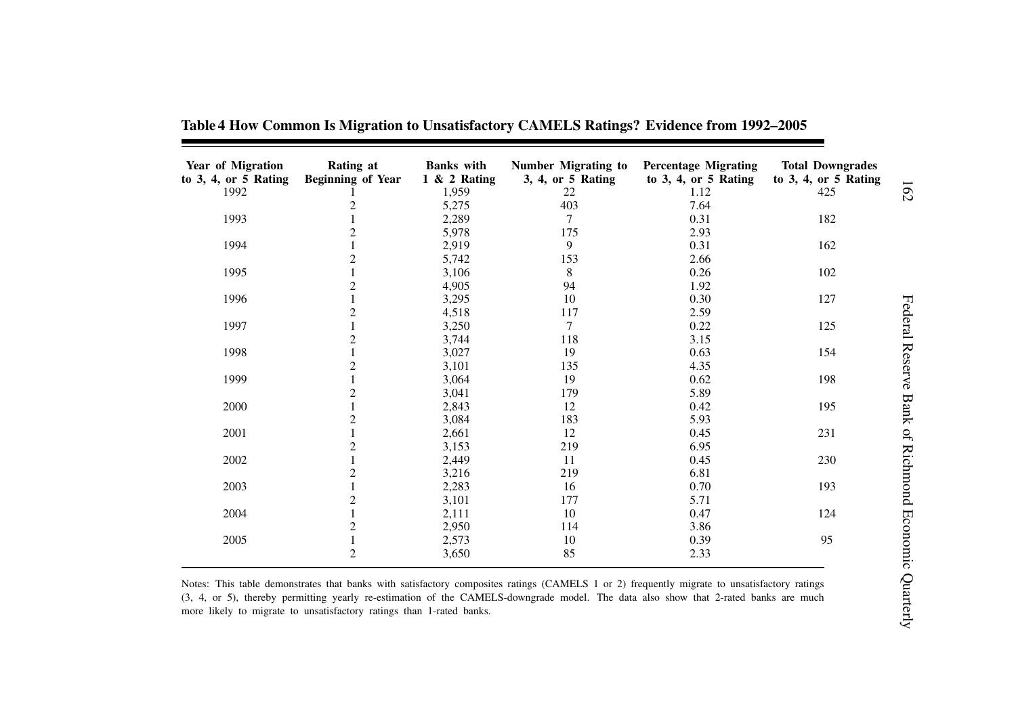| Year of Migration<br>to $3, 4$ , or $5$ Rating | Rating at<br><b>Beginning of Year</b> | <b>Banks</b> with<br>$1 \& 2$ Rating | <b>Number Migrating to</b><br>3, 4, or 5 Rating | <b>Percentage Migrating</b><br>to $3, 4$ , or $5$ Rating | <b>Total Downgrades</b><br>to $3, 4$ , or $5$ Rating |                                          |
|------------------------------------------------|---------------------------------------|--------------------------------------|-------------------------------------------------|----------------------------------------------------------|------------------------------------------------------|------------------------------------------|
| 1992                                           |                                       | 1,959                                | 22                                              | 1.12                                                     | 425                                                  | 162                                      |
|                                                | $\overline{c}$                        | 5,275                                | 403                                             | 7.64                                                     |                                                      |                                          |
| 1993                                           |                                       | 2,289                                | 7                                               | 0.31                                                     | 182                                                  |                                          |
|                                                |                                       | 5,978                                | 175                                             | 2.93                                                     |                                                      |                                          |
| 1994                                           |                                       | 2,919                                | 9                                               | 0.31                                                     | 162                                                  |                                          |
|                                                | 2                                     | 5,742                                | 153                                             | 2.66                                                     |                                                      |                                          |
| 1995                                           |                                       | 3,106                                | 8                                               | 0.26                                                     | 102                                                  |                                          |
|                                                | $\overline{2}$                        | 4,905                                | 94                                              | 1.92                                                     |                                                      |                                          |
| 1996                                           |                                       | 3,295                                | 10                                              | 0.30                                                     | 127                                                  |                                          |
|                                                | 2                                     | 4,518                                | 117                                             | 2.59                                                     |                                                      |                                          |
| 1997                                           |                                       | 3,250                                | $\overline{7}$                                  | 0.22                                                     | 125                                                  |                                          |
|                                                | 2                                     | 3,744                                | 118                                             | 3.15                                                     |                                                      |                                          |
| 1998                                           |                                       | 3,027                                | 19                                              | 0.63                                                     | 154                                                  |                                          |
|                                                | 2                                     | 3,101                                | 135                                             | 4.35                                                     |                                                      |                                          |
| 1999                                           |                                       | 3,064                                | 19                                              | 0.62                                                     | 198                                                  |                                          |
|                                                | 2                                     | 3,041                                | 179                                             | 5.89                                                     |                                                      |                                          |
| 2000                                           |                                       | 2,843                                | 12                                              | 0.42                                                     | 195                                                  |                                          |
|                                                | 2                                     | 3,084                                | 183                                             | 5.93                                                     |                                                      |                                          |
| 2001                                           |                                       | 2,661                                | 12                                              | 0.45                                                     | 231                                                  |                                          |
|                                                | 2                                     | 3,153                                | 219                                             | 6.95                                                     |                                                      |                                          |
| 2002                                           |                                       | 2,449                                | 11                                              | 0.45                                                     | 230                                                  |                                          |
|                                                | $\overline{c}$                        | 3,216                                | 219                                             | 6.81                                                     |                                                      |                                          |
| 2003                                           |                                       | 2,283                                | 16                                              | 0.70                                                     | 193                                                  |                                          |
|                                                |                                       | 3,101                                | 177                                             | 5.71                                                     |                                                      |                                          |
| 2004                                           |                                       | 2,111                                | 10                                              | 0.47                                                     | 124                                                  |                                          |
|                                                |                                       | 2,950                                | 114                                             | 3.86                                                     |                                                      |                                          |
| 2005                                           |                                       | 2,573                                | 10                                              | 0.39                                                     | 95                                                   |                                          |
|                                                | $\overline{c}$                        | 3,650                                | 85                                              | 2.33                                                     |                                                      | Federal Reserve Bank of Richmond Economi |

Table 4 How Common Is Migration to Unsatisfactory CAMELS Ratings? Evidence from 1992-2005

Notes: This table demonstrates that banks with satisfactory composites ratings (CAMELS 1 or 2) frequently migrate to unsatisfactory ratings (3, 4, or 5), thereby permitting yearly re-estimation of the CAMELS-downgrade model. The data also show that 2-rated banks are much more likely to migrate to unsatisfactory ratings than 1-rated banks.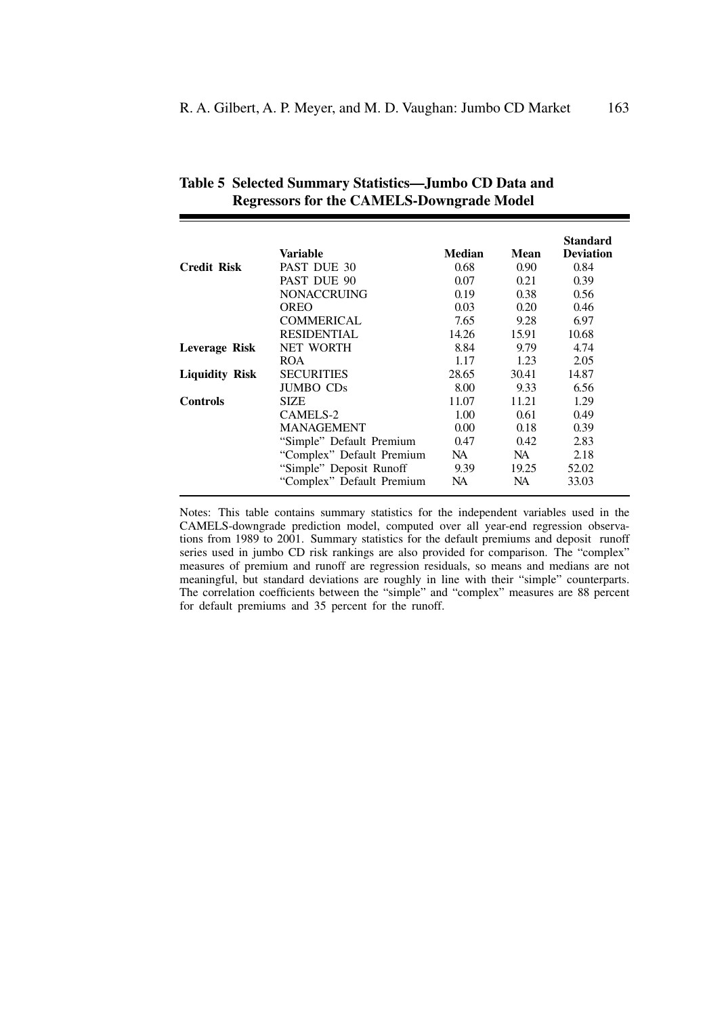|                       | Variable                  | <b>Median</b> | Mean  | <b>Standard</b><br><b>Deviation</b> |
|-----------------------|---------------------------|---------------|-------|-------------------------------------|
| <b>Credit Risk</b>    | PAST DUE 30               | 0.68          | 0.90  | 0.84                                |
|                       | PAST DUE 90               | 0.07          | 0.21  | 0.39                                |
|                       | <b>NONACCRUING</b>        | 0.19          | 0.38  | 0.56                                |
|                       | OREO                      | 0.03          | 0.20  | 0.46                                |
|                       | <b>COMMERICAL</b>         | 7.65          | 9.28  | 6.97                                |
|                       | <b>RESIDENTIAL</b>        | 14.26         | 15.91 | 10.68                               |
| Leverage Risk         | <b>NET WORTH</b>          | 8.84          | 9.79  | 4.74                                |
|                       | <b>ROA</b>                | 1.17          | 1.23  | 2.05                                |
| <b>Liquidity Risk</b> | <b>SECURITIES</b>         | 28.65         | 30.41 | 14.87                               |
|                       | JUMBO CDs                 | 8.00          | 9.33  | 6.56                                |
| Controls              | <b>SIZE</b>               | 11.07         | 11.21 | 1.29                                |
|                       | CAMELS-2                  | 1.00          | 0.61  | 0.49                                |
|                       | <b>MANAGEMENT</b>         | 0.00          | 0.18  | 0.39                                |
|                       | "Simple" Default Premium  | 0.47          | 0.42  | 2.83                                |
|                       | "Complex" Default Premium | NA.           | NA.   | 2.18                                |
|                       | "Simple" Deposit Runoff   | 9.39          | 19.25 | 52.02                               |
|                       | "Complex" Default Premium | NA            | NA.   | 33.03                               |

| Table 5 Selected Summary Statistics—Jumbo CD Data and |
|-------------------------------------------------------|
| <b>Regressors for the CAMELS-Downgrade Model</b>      |

Notes: This table contains summary statistics for the independent variables used in the CAMELS-downgrade prediction model, computed over all year-end regression observations from 1989 to 2001. Summary statistics for the default premiums and deposit runoff series used in jumbo CD risk rankings are also provided for comparison. The "complex" measures of premium and runoff are regression residuals, so means and medians are not meaningful, but standard deviations are roughly in line with their "simple" counterparts. The correlation coefficients between the "simple" and "complex" measures are 88 percent for default premiums and 35 percent for the runoff.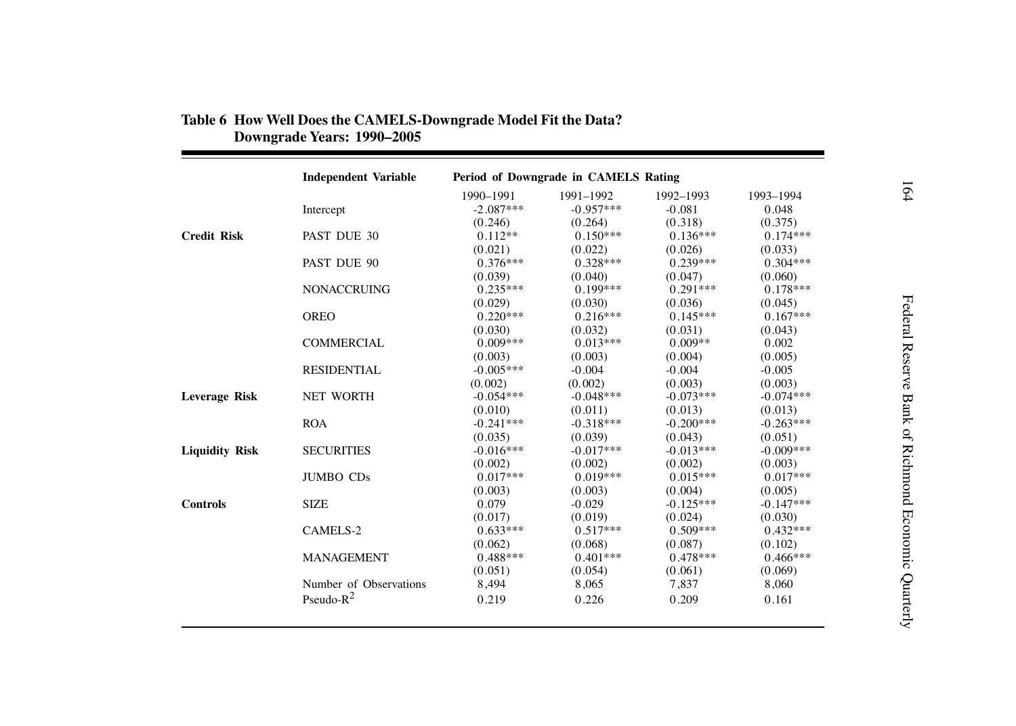|                       | <b>Independent Variable</b> | Period of Downgrade in CAMELS Rating |             |             |             |  |
|-----------------------|-----------------------------|--------------------------------------|-------------|-------------|-------------|--|
|                       |                             | 1990-1991                            | 1991-1992   | 1992-1993   | 1993-1994   |  |
|                       | Intercept                   | $-2.087***$                          | $-0.957***$ | $-0.081$    | 0.048       |  |
|                       |                             | (0.246)                              | (0.264)     | (0.318)     | (0.375)     |  |
| <b>Credit Risk</b>    | PAST DUE 30                 | $0.112**$                            | $0.150***$  | $0.136***$  | $0.174***$  |  |
|                       |                             | (0.021)                              | (0.022)     | (0.026)     | (0.033)     |  |
|                       | PAST DUE 90                 | $0.376***$                           | $0.328***$  | $0.239***$  | $0.304***$  |  |
|                       |                             | (0.039)                              | (0.040)     | (0.047)     | (0.060)     |  |
|                       | <b>NONACCRUING</b>          | $0.235***$                           | $0.199***$  | $0.291***$  | $0.178***$  |  |
|                       |                             | (0.029)                              | (0.030)     | (0.036)     | (0.045)     |  |
|                       | <b>OREO</b>                 | $0.220***$                           | $0.216***$  | $0.145***$  | $0.167***$  |  |
|                       |                             | (0.030)                              | (0.032)     | (0.031)     | (0.043)     |  |
|                       | <b>COMMERCIAL</b>           | $0.009***$                           | $0.013***$  | $0.009**$   | 0.002       |  |
|                       |                             | (0.003)                              | (0.003)     | (0.004)     | (0.005)     |  |
|                       | <b>RESIDENTIAL</b>          | $-0.005***$                          | $-0.004$    | $-0.004$    | $-0.005$    |  |
|                       |                             | (0.002)                              | (0.002)     | (0.003)     | (0.003)     |  |
| <b>Leverage Risk</b>  | <b>NET WORTH</b>            | $-0.054***$                          | $-0.048***$ | $-0.073***$ | $-0.074***$ |  |
|                       |                             | (0.010)                              | (0.011)     | (0.013)     | (0.013)     |  |
|                       | <b>ROA</b>                  | $-0.241***$                          | $-0.318***$ | $-0.200***$ | $-0.263***$ |  |
|                       |                             | (0.035)                              | (0.039)     | (0.043)     | (0.051)     |  |
| <b>Liquidity Risk</b> | <b>SECURITIES</b>           | $-0.016***$                          | $-0.017***$ | $-0.013***$ | $-0.009***$ |  |
|                       |                             | (0.002)                              | (0.002)     | (0.002)     | (0.003)     |  |
|                       | <b>JUMBO CDs</b>            | $0.017***$                           | $0.019***$  | $0.015***$  | $0.017***$  |  |
|                       |                             | (0.003)                              | (0.003)     | (0.004)     | (0.005)     |  |
| <b>Controls</b>       | <b>SIZE</b>                 | 0.079                                | $-0.029$    | $-0.125***$ | $-0.147***$ |  |
|                       |                             | (0.017)                              | (0.019)     | (0.024)     | (0.030)     |  |
|                       | CAMELS-2                    | $0.633***$                           | $0.517***$  | $0.509***$  | $0.432***$  |  |
|                       |                             | (0.062)                              | (0.068)     | (0.087)     | (0.102)     |  |
|                       | <b>MANAGEMENT</b>           | $0.488***$                           | $0.401***$  | $0.478***$  | $0.466***$  |  |
|                       |                             | (0.051)                              | (0.054)     | (0.061)     | (0.069)     |  |
|                       | Number of Observations      | 8,494                                | 8,065       | 7,837       | 8,060       |  |
|                       | Pseudo- $R^2$               | 0.219                                | 0.226       | 0.209       | 0.161       |  |
|                       |                             |                                      |             |             |             |  |

# **Table 6 How Well Does the CAMELS-Downgrade Model Fit the Data? Downgrade Years: 1990–2005**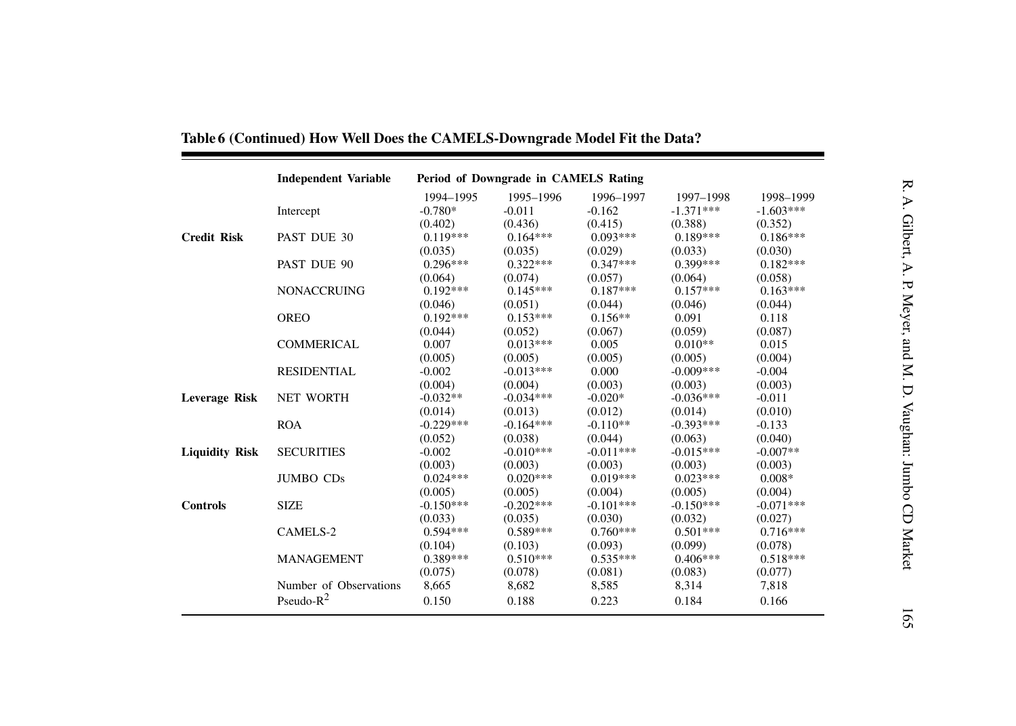|                       | <b>Independent Variable</b> | Period of Downgrade in CAMELS Rating |             |             |             |             |
|-----------------------|-----------------------------|--------------------------------------|-------------|-------------|-------------|-------------|
|                       |                             | 1994-1995                            | 1995-1996   | 1996-1997   | 1997-1998   | 1998-1999   |
|                       | Intercept                   | $-0.780*$                            | $-0.011$    | $-0.162$    | $-1.371***$ | $-1.603***$ |
|                       |                             | (0.402)                              | (0.436)     | (0.415)     | (0.388)     | (0.352)     |
| <b>Credit Risk</b>    | PAST DUE 30                 | $0.119***$                           | $0.164***$  | $0.093***$  | $0.189***$  | $0.186***$  |
|                       |                             | (0.035)                              | (0.035)     | (0.029)     | (0.033)     | (0.030)     |
|                       | PAST DUE 90                 | $0.296***$                           | $0.322***$  | $0.347***$  | $0.399***$  | $0.182***$  |
|                       |                             | (0.064)                              | (0.074)     | (0.057)     | (0.064)     | (0.058)     |
|                       | <b>NONACCRUING</b>          | $0.192***$                           | $0.145***$  | $0.187***$  | $0.157***$  | $0.163***$  |
|                       |                             | (0.046)                              | (0.051)     | (0.044)     | (0.046)     | (0.044)     |
|                       | <b>OREO</b>                 | $0.192***$                           | $0.153***$  | $0.156**$   | 0.091       | 0.118       |
|                       |                             | (0.044)                              | (0.052)     | (0.067)     | (0.059)     | (0.087)     |
|                       | <b>COMMERICAL</b>           | 0.007                                | $0.013***$  | 0.005       | $0.010**$   | 0.015       |
|                       |                             | (0.005)                              | (0.005)     | (0.005)     | (0.005)     | (0.004)     |
|                       | <b>RESIDENTIAL</b>          | $-0.002$                             | $-0.013***$ | 0.000       | $-0.009***$ | $-0.004$    |
|                       |                             | (0.004)                              | (0.004)     | (0.003)     | (0.003)     | (0.003)     |
| <b>Leverage Risk</b>  | <b>NET WORTH</b>            | $-0.032**$                           | $-0.034***$ | $-0.020*$   | $-0.036***$ | $-0.011$    |
|                       |                             | (0.014)                              | (0.013)     | (0.012)     | (0.014)     | (0.010)     |
|                       | <b>ROA</b>                  | $-0.229***$                          | $-0.164***$ | $-0.110**$  | $-0.393***$ | $-0.133$    |
|                       |                             | (0.052)                              | (0.038)     | (0.044)     | (0.063)     | (0.040)     |
| <b>Liquidity Risk</b> | <b>SECURITIES</b>           | $-0.002$                             | $-0.010***$ | $-0.011***$ | $-0.015***$ | $-0.007**$  |
|                       |                             | (0.003)                              | (0.003)     | (0.003)     | (0.003)     | (0.003)     |
|                       | <b>JUMBO CDs</b>            | $0.024***$                           | $0.020***$  | $0.019***$  | $0.023***$  | $0.008*$    |
|                       |                             | (0.005)                              | (0.005)     | (0.004)     | (0.005)     | (0.004)     |
| <b>Controls</b>       | <b>SIZE</b>                 | $-0.150***$                          | $-0.202***$ | $-0.101***$ | $-0.150***$ | $-0.071***$ |
|                       |                             | (0.033)                              | (0.035)     | (0.030)     | (0.032)     | (0.027)     |
|                       | CAMELS-2                    | $0.594***$                           | $0.589***$  | $0.760***$  | $0.501***$  | $0.716***$  |
|                       |                             | (0.104)                              | (0.103)     | (0.093)     | (0.099)     | (0.078)     |
|                       | <b>MANAGEMENT</b>           | $0.389***$                           | $0.510***$  | $0.535***$  | $0.406***$  | $0.518***$  |
|                       |                             | (0.075)                              | (0.078)     | (0.081)     | (0.083)     | (0.077)     |
|                       | Number of Observations      | 8,665                                | 8,682       | 8,585       | 8,314       | 7,818       |
|                       | Pseudo- $R^2$               | 0.150                                | 0.188       | 0.223       | 0.184       | 0.166       |

Table 6 (Continued) How Well Does the CAMELS-Downgrade Model Fit the Data?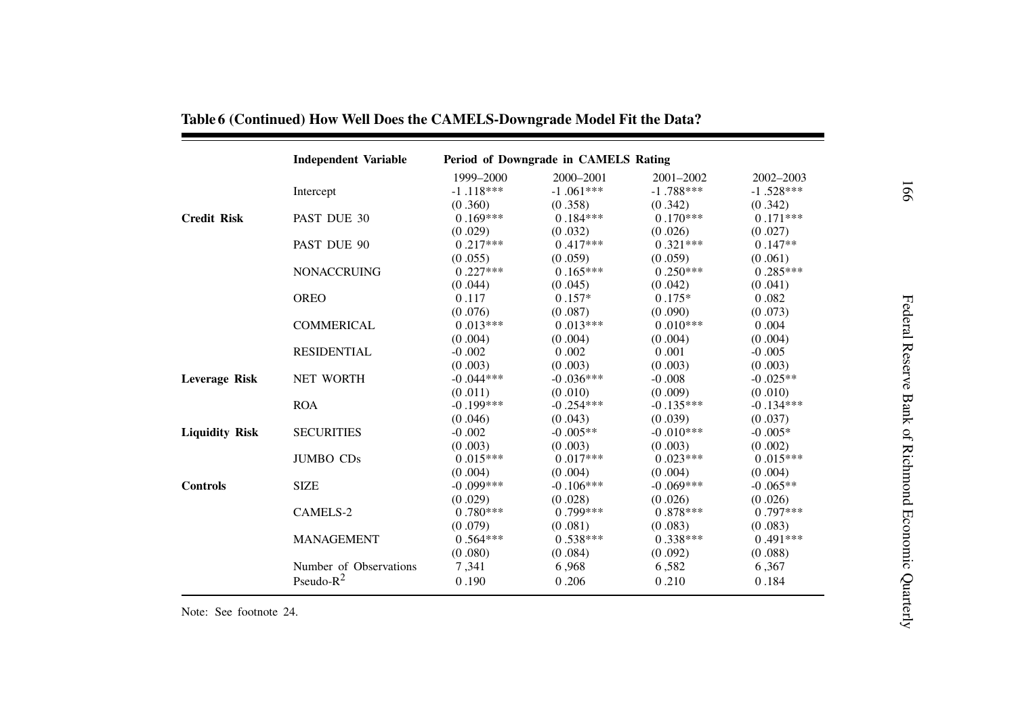|                       | <b>Independent Variable</b> | Period of Downgrade in CAMELS Rating |             |             |             |  |  |
|-----------------------|-----------------------------|--------------------------------------|-------------|-------------|-------------|--|--|
|                       |                             | 1999-2000                            | 2000-2001   | 2001-2002   | 2002-2003   |  |  |
|                       | Intercept                   | $-1.118***$                          | $-1.061***$ | $-1.788***$ | $-1.528***$ |  |  |
|                       |                             | (0.360)                              | (0.358)     | (0.342)     | (0.342)     |  |  |
| <b>Credit Risk</b>    | PAST DUE 30                 | $0.169***$                           | $0.184***$  | $0.170***$  | $0.171***$  |  |  |
|                       |                             | (0.029)                              | (0.032)     | (0.026)     | (0.027)     |  |  |
|                       | PAST DUE 90                 | $0.217***$                           | $0.417***$  | $0.321***$  | $0.147**$   |  |  |
|                       |                             | (0.055)                              | (0.059)     | (0.059)     | (0.061)     |  |  |
|                       | <b>NONACCRUING</b>          | $0.227***$                           | $0.165***$  | $0.250***$  | $0.285***$  |  |  |
|                       |                             | (0.044)                              | (0.045)     | (0.042)     | (0.041)     |  |  |
|                       | <b>OREO</b>                 | 0.117                                | $0.157*$    | $0.175*$    | 0.082       |  |  |
|                       |                             | (0.076)                              | (0.087)     | (0.090)     | (0.073)     |  |  |
|                       | <b>COMMERICAL</b>           | $0.013***$                           | $0.013***$  | $0.010***$  | 0.004       |  |  |
|                       |                             | (0.004)                              | (0.004)     | (0.004)     | (0.004)     |  |  |
|                       | <b>RESIDENTIAL</b>          | $-0.002$                             | 0.002       | 0.001       | $-0.005$    |  |  |
|                       |                             | (0.003)                              | (0.003)     | (0.003)     | (0.003)     |  |  |
| <b>Leverage Risk</b>  | <b>NET WORTH</b>            | $-0.044***$                          | $-0.036***$ | $-0.008$    | $-0.025**$  |  |  |
|                       |                             | (0.011)                              | (0.010)     | (0.009)     | (0.010)     |  |  |
|                       | <b>ROA</b>                  | $-0.199***$                          | $-0.254***$ | $-0.135***$ | $-0.134***$ |  |  |
|                       |                             | (0.046)                              | (0.043)     | (0.039)     | (0.037)     |  |  |
| <b>Liquidity Risk</b> | <b>SECURITIES</b>           | $-0.002$                             | $-0.005**$  | $-0.010***$ | $-0.005*$   |  |  |
|                       |                             | (0.003)                              | (0.003)     | (0.003)     | (0.002)     |  |  |
|                       | <b>JUMBO CDs</b>            | $0.015***$                           | $0.017***$  | $0.023***$  | $0.015***$  |  |  |
|                       |                             | (0.004)                              | (0.004)     | (0.004)     | (0.004)     |  |  |
| <b>Controls</b>       | <b>SIZE</b>                 | $-0.099***$                          | $-0.106***$ | $-0.069***$ | $-0.065**$  |  |  |
|                       |                             | (0.029)                              | (0.028)     | (0.026)     | (0.026)     |  |  |
|                       | CAMELS-2                    | $0.780***$                           | $0.799***$  | $0.878***$  | $0.797***$  |  |  |
|                       |                             | (0.079)                              | (0.081)     | (0.083)     | (0.083)     |  |  |
|                       | <b>MANAGEMENT</b>           | $0.564***$                           | $0.538***$  | $0.338***$  | $0.491***$  |  |  |
|                       |                             | (0.080)                              | (0.084)     | (0.092)     | (0.088)     |  |  |
|                       | Number of Observations      | 7,341                                | 6,968       | 6,582       | 6,367       |  |  |
|                       | Pseudo- $R^2$               | 0.190                                | 0.206       | 0.210       | 0.184       |  |  |

## Table 6 (Continued) How Well Does the CAMELS-Downgrade Model Fit the Data?

Note: See footnote 24.

 $\blacksquare$ 

991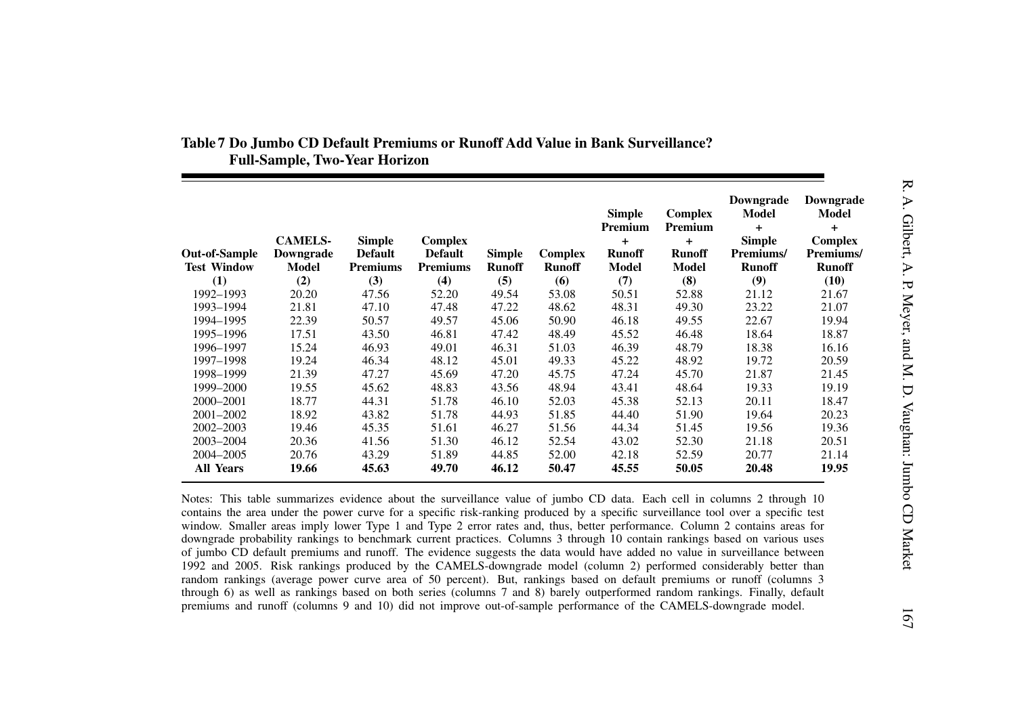| <b>Out-of-Sample</b><br><b>Test Window</b> | <b>CAMELS-</b><br>Downgrade<br>Model | <b>Simple</b><br><b>Default</b><br><b>Premiums</b> | <b>Complex</b><br><b>Default</b><br><b>Premiums</b> | <b>Simple</b><br><b>Runoff</b> | Complex<br><b>Runoff</b> | <b>Simple</b><br>Premium<br>$\ddot{}$<br><b>Runoff</b><br><b>Model</b> | <b>Complex</b><br>Premium<br>$\ddagger$<br><b>Runoff</b><br>Model | Downgrade<br><b>Model</b><br>$+$<br><b>Simple</b><br>Premiums/<br><b>Runoff</b> | Downgrade<br>Model<br>$\ddagger$<br><b>Complex</b><br>Premiums/<br><b>Runoff</b> |
|--------------------------------------------|--------------------------------------|----------------------------------------------------|-----------------------------------------------------|--------------------------------|--------------------------|------------------------------------------------------------------------|-------------------------------------------------------------------|---------------------------------------------------------------------------------|----------------------------------------------------------------------------------|
| (1)                                        | (2)                                  | (3)                                                | (4)                                                 | (5)                            | (6)                      | (7)                                                                    | (8)                                                               | (9)                                                                             | (10)                                                                             |
| 1992-1993                                  | 20.20                                | 47.56                                              | 52.20                                               | 49.54                          | 53.08                    | 50.51                                                                  | 52.88                                                             | 21.12                                                                           | 21.67                                                                            |
| 1993-1994                                  | 21.81                                | 47.10                                              | 47.48                                               | 47.22                          | 48.62                    | 48.31                                                                  | 49.30                                                             | 23.22                                                                           | 21.07                                                                            |
| 1994-1995                                  | 22.39                                | 50.57                                              | 49.57                                               | 45.06                          | 50.90                    | 46.18                                                                  | 49.55                                                             | 22.67                                                                           | 19.94                                                                            |
| 1995-1996                                  | 17.51                                | 43.50                                              | 46.81                                               | 47.42                          | 48.49                    | 45.52                                                                  | 46.48                                                             | 18.64                                                                           | 18.87                                                                            |
| 1996-1997                                  | 15.24                                | 46.93                                              | 49.01                                               | 46.31                          | 51.03                    | 46.39                                                                  | 48.79                                                             | 18.38                                                                           | 16.16                                                                            |
| 1997-1998                                  | 19.24                                | 46.34                                              | 48.12                                               | 45.01                          | 49.33                    | 45.22                                                                  | 48.92                                                             | 19.72                                                                           | 20.59                                                                            |
| 1998-1999                                  | 21.39                                | 47.27                                              | 45.69                                               | 47.20                          | 45.75                    | 47.24                                                                  | 45.70                                                             | 21.87                                                                           | 21.45                                                                            |
| 1999-2000                                  | 19.55                                | 45.62                                              | 48.83                                               | 43.56                          | 48.94                    | 43.41                                                                  | 48.64                                                             | 19.33                                                                           | 19.19                                                                            |
| 2000-2001                                  | 18.77                                | 44.31                                              | 51.78                                               | 46.10                          | 52.03                    | 45.38                                                                  | 52.13                                                             | 20.11                                                                           | 18.47                                                                            |
| 2001-2002                                  | 18.92                                | 43.82                                              | 51.78                                               | 44.93                          | 51.85                    | 44.40                                                                  | 51.90                                                             | 19.64                                                                           | 20.23                                                                            |
| 2002-2003                                  | 19.46                                | 45.35                                              | 51.61                                               | 46.27                          | 51.56                    | 44.34                                                                  | 51.45                                                             | 19.56                                                                           | 19.36                                                                            |
| 2003-2004                                  | 20.36                                | 41.56                                              | 51.30                                               | 46.12                          | 52.54                    | 43.02                                                                  | 52.30                                                             | 21.18                                                                           | 20.51                                                                            |
| 2004-2005                                  | 20.76                                | 43.29                                              | 51.89                                               | 44.85                          | 52.00                    | 42.18                                                                  | 52.59                                                             | 20.77                                                                           | 21.14                                                                            |
| <b>All Years</b>                           | 19.66                                | 45.63                                              | 49.70                                               | 46.12                          | 50.47                    | 45.55                                                                  | 50.05                                                             | 20.48                                                                           | 19.95                                                                            |

## Table 7 Do Jumbo CD Default Premiums or Runoff Add Value in Bank Surveillance? **Full-Sample, Two-Year Horizon**

Notes: This table summarizes evidence about the surveillance value of jumbo CD data. Each cell in columns 2 through 10 contains the area under the power curve for <sup>a</sup> specific risk-ranking produced by <sup>a</sup> specific surveillance tool over <sup>a</sup> specific test window. Smaller areas imply lower Type 1 and Type 2 error rates and, thus, better performance. Column 2 contains areas for downgrade probability rankings to benchmark current practices. Columns 3 through 10 contain rankings based on various uses of jumbo CD default premiums and runoff. The evidence suggests the data would have added no value in surveillance between 1992 and 2005. Risk rankings produced by the CAMELS-downgrade model (column 2) performed considerably better than random rankings (average power curve area of 50 percent). But, rankings based on default premiums or runoff (columns 3 through 6) as well as rankings based on both series (columns 7 and 8) barely outperformed random rankings. Finally, default premiums and runoff (columns 9 and 10) did not improve out-of-sample performance of the CAMELS-downgrade model.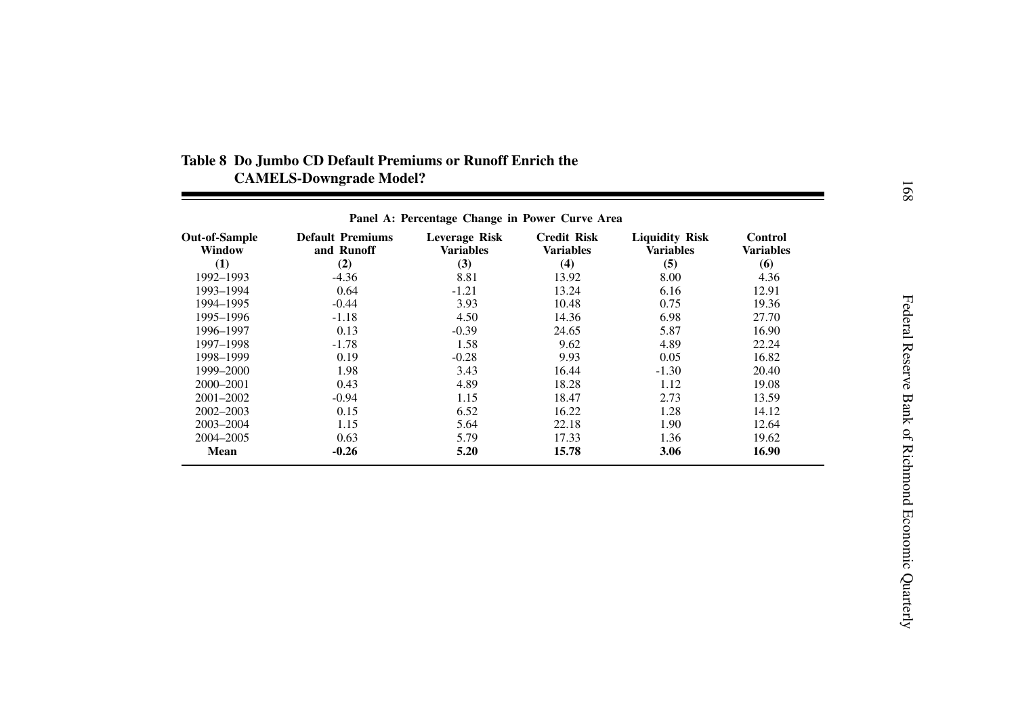|                                | Panel A: Percentage Change in Power Curve Area |                                   |                                        |                                           |                             |  |
|--------------------------------|------------------------------------------------|-----------------------------------|----------------------------------------|-------------------------------------------|-----------------------------|--|
| <b>Out-of-Sample</b><br>Window | <b>Default Premiums</b><br>and Runoff          | Leverage Risk<br><b>Variables</b> | <b>Credit Risk</b><br><b>Variables</b> | <b>Liquidity Risk</b><br><b>Variables</b> | <b>Control</b><br>Variables |  |
| (1)                            | (2)                                            | (3)                               | (4)                                    | (5)                                       | (6)                         |  |
| 1992–1993                      | $-4.36$                                        | 8.81                              | 13.92                                  | 8.00                                      | 4.36                        |  |
| 1993-1994                      | 0.64                                           | $-1.21$                           | 13.24                                  | 6.16                                      | 12.91                       |  |
| 1994-1995                      | $-0.44$                                        | 3.93                              | 10.48                                  | 0.75                                      | 19.36                       |  |
| 1995-1996                      | $-1.18$                                        | 4.50                              | 14.36                                  | 6.98                                      | 27.70                       |  |
| 1996–1997                      | 0.13                                           | $-0.39$                           | 24.65                                  | 5.87                                      | 16.90                       |  |
| 1997–1998                      | $-1.78$                                        | 1.58                              | 9.62                                   | 4.89                                      | 22.24                       |  |
| 1998-1999                      | 0.19                                           | $-0.28$                           | 9.93                                   | 0.05                                      | 16.82                       |  |
| 1999–2000                      | 1.98                                           | 3.43                              | 16.44                                  | $-1.30$                                   | 20.40                       |  |
| 2000-2001                      | 0.43                                           | 4.89                              | 18.28                                  | 1.12                                      | 19.08                       |  |
| 2001-2002                      | $-0.94$                                        | 1.15                              | 18.47                                  | 2.73                                      | 13.59                       |  |
| 2002-2003                      | 0.15                                           | 6.52                              | 16.22                                  | 1.28                                      | 14.12                       |  |
| 2003-2004                      | 1.15                                           | 5.64                              | 22.18                                  | 1.90                                      | 12.64                       |  |
| 2004-2005                      | 0.63                                           | 5.79                              | 17.33                                  | 1.36                                      | 19.62                       |  |
| Mean                           | -0.26                                          | 5.20                              | 15.78                                  | 3.06                                      | 16.90                       |  |

## **Table 8 Do Jumbo CD Default Premiums or Runoff Enrich the CAMELS-Downgrade Model?**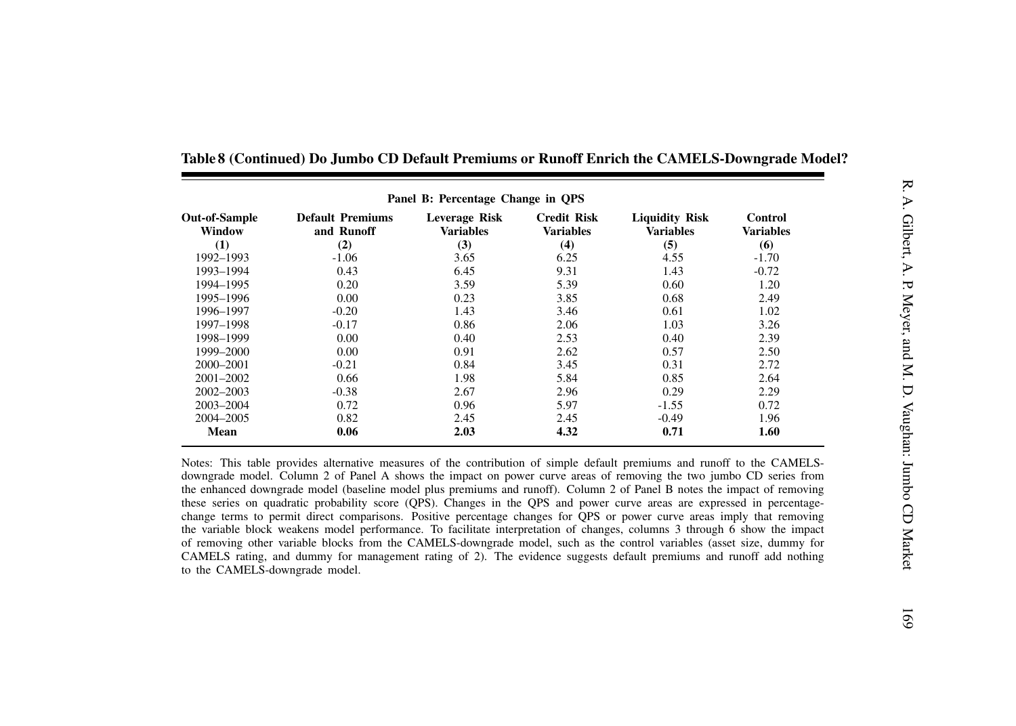| Panel B: Percentage Change in QPS |                                       |                                   |                                        |                                           |                             |  |  |
|-----------------------------------|---------------------------------------|-----------------------------------|----------------------------------------|-------------------------------------------|-----------------------------|--|--|
| <b>Out-of-Sample</b><br>Window    | <b>Default Premiums</b><br>and Runoff | Leverage Risk<br><b>Variables</b> | <b>Credit Risk</b><br><b>Variables</b> | <b>Liquidity Risk</b><br><b>Variables</b> | Control<br><b>Variables</b> |  |  |
| (1)                               | (2)                                   | (3)                               | (4)                                    | (5)                                       | (6)                         |  |  |
| 1992-1993                         | $-1.06$                               | 3.65                              | 6.25                                   | 4.55                                      | $-1.70$                     |  |  |
| 1993-1994                         | 0.43                                  | 6.45                              | 9.31                                   | 1.43                                      | $-0.72$                     |  |  |
| 1994-1995                         | 0.20                                  | 3.59                              | 5.39                                   | 0.60                                      | 1.20                        |  |  |
| 1995-1996                         | 0.00                                  | 0.23                              | 3.85                                   | 0.68                                      | 2.49                        |  |  |
| 1996-1997                         | $-0.20$                               | 1.43                              | 3.46                                   | 0.61                                      | 1.02                        |  |  |
| 1997-1998                         | $-0.17$                               | 0.86                              | 2.06                                   | 1.03                                      | 3.26                        |  |  |
| 1998-1999                         | 0.00                                  | 0.40                              | 2.53                                   | 0.40                                      | 2.39                        |  |  |
| 1999-2000                         | 0.00                                  | 0.91                              | 2.62                                   | 0.57                                      | 2.50                        |  |  |
| 2000–2001                         | $-0.21$                               | 0.84                              | 3.45                                   | 0.31                                      | 2.72                        |  |  |
| $2001 - 2002$                     | 0.66                                  | 1.98                              | 5.84                                   | 0.85                                      | 2.64                        |  |  |
| 2002-2003                         | $-0.38$                               | 2.67                              | 2.96                                   | 0.29                                      | 2.29                        |  |  |
| 2003-2004                         | 0.72                                  | 0.96                              | 5.97                                   | $-1.55$                                   | 0.72                        |  |  |
| 2004-2005                         | 0.82                                  | 2.45                              | 2.45                                   | $-0.49$                                   | 1.96                        |  |  |
| Mean                              | 0.06                                  | 2.03                              | 4.32                                   | 0.71                                      | 1.60                        |  |  |

Table 8 (Continued) Do Jumbo CD Default Premiums or Runoff Enrich the CAMELS-Downgrade Model?

Notes: This table provides alternative measures of the contribution of simple default premiums and runoff to the CAMELSdowngrade model. Column 2 of Panel A shows the impact on power curve areas of removing the two jumbo CD series from the enhanced downgrade model (baseline model plus premiums and runoff). Column 2 of Panel B notes the impact of removing these series on quadratic probability score (QPS). Changes in the QPS and power curve areas are expressed in percentagechange terms to permit direct comparisons. Positive percentage changes for QPS or power curve areas imply that removing the variable block weakens model performance. To facilitate interpretation of changes, columns 3 through 6 show the impact of removing other variable blocks from the CAMELS-downgrade model, such as the control variables (asset size, dummy for CAMELS rating, and dummy for managemen<sup>t</sup> rating of 2). The evidence suggests default premiums and runoff add nothing to the CAMELS-downgrade model.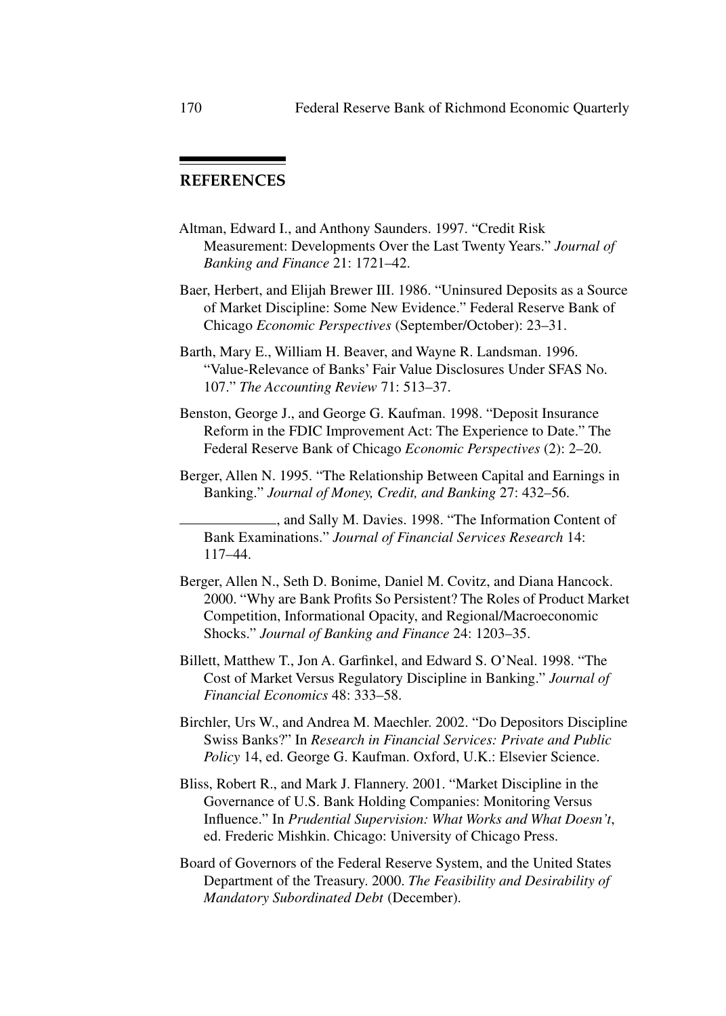## **REFERENCES**

- Altman, Edward I., and Anthony Saunders. 1997. "Credit Risk Measurement: Developments Over the Last Twenty Years." *Journal of Banking and Finance* 21: 1721–42.
- Baer, Herbert, and Elijah Brewer III. 1986. "Uninsured Deposits as a Source of Market Discipline: Some New Evidence." Federal Reserve Bank of Chicago *Economic Perspectives* (September/October): 23–31.
- Barth, Mary E., William H. Beaver, and Wayne R. Landsman. 1996. "Value-Relevance of Banks' Fair Value Disclosures Under SFAS No. 107." *The Accounting Review* 71: 513–37.
- Benston, George J., and George G. Kaufman. 1998. "Deposit Insurance Reform in the FDIC Improvement Act: The Experience to Date." The Federal Reserve Bank of Chicago *Economic Perspectives* (2): 2–20.
- Berger, Allen N. 1995. "The Relationship Between Capital and Earnings in Banking." *Journal of Money, Credit, and Banking* 27: 432–56.

, and Sally M. Davies. 1998. "The Information Content of Bank Examinations." *Journal of Financial Services Research* 14: 117–44.

- Berger, Allen N., Seth D. Bonime, Daniel M. Covitz, and Diana Hancock. 2000. "Why are Bank Profits So Persistent? The Roles of Product Market Competition, Informational Opacity, and Regional/Macroeconomic Shocks." *Journal of Banking and Finance* 24: 1203–35.
- Billett, Matthew T., Jon A. Garfinkel, and Edward S. O'Neal. 1998. "The Cost of Market Versus Regulatory Discipline in Banking." *Journal of Financial Economics* 48: 333–58.
- Birchler, Urs W., and Andrea M. Maechler. 2002. "Do Depositors Discipline Swiss Banks?" In *Research in Financial Services: Private and Public Policy* 14, ed. George G. Kaufman. Oxford, U.K.: Elsevier Science.
- Bliss, Robert R., and Mark J. Flannery. 2001. "Market Discipline in the Governance of U.S. Bank Holding Companies: Monitoring Versus Influence." In *Prudential Supervision: What Works and What Doesn't*, ed. Frederic Mishkin. Chicago: University of Chicago Press.
- Board of Governors of the Federal Reserve System, and the United States Department of the Treasury. 2000. *The Feasibility and Desirability of Mandatory Subordinated Debt* (December).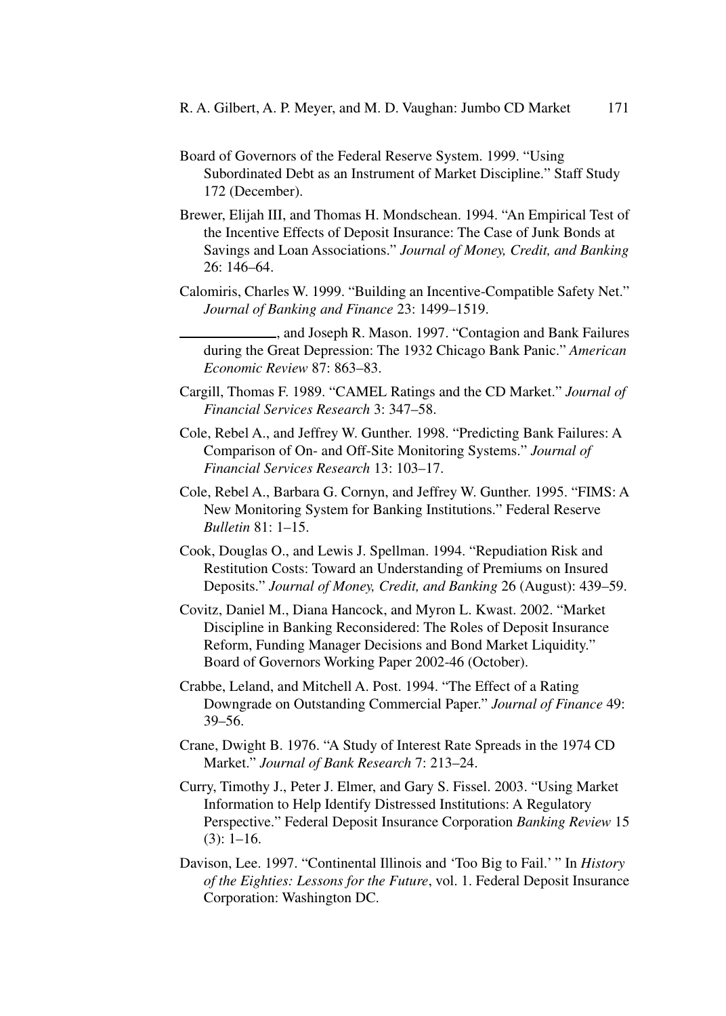- Board of Governors of the Federal Reserve System. 1999. "Using Subordinated Debt as an Instrument of Market Discipline." Staff Study 172 (December).
- Brewer, Elijah III, and Thomas H. Mondschean. 1994. "An Empirical Test of the Incentive Effects of Deposit Insurance: The Case of Junk Bonds at Savings and Loan Associations." *Journal of Money, Credit, and Banking* 26: 146–64.
- Calomiris, Charles W. 1999. "Building an Incentive-Compatible Safety Net." *Journal of Banking and Finance* 23: 1499–1519.

, and Joseph R. Mason. 1997. "Contagion and Bank Failures during the Great Depression: The 1932 Chicago Bank Panic." *American Economic Review* 87: 863–83.

- Cargill, Thomas F. 1989. "CAMEL Ratings and the CD Market." *Journal of Financial Services Research* 3: 347–58.
- Cole, Rebel A., and Jeffrey W. Gunther. 1998. "Predicting Bank Failures: A Comparison of On- and Off-Site Monitoring Systems." *Journal of Financial Services Research* 13: 103–17.
- Cole, Rebel A., Barbara G. Cornyn, and Jeffrey W. Gunther. 1995. "FIMS: A New Monitoring System for Banking Institutions." Federal Reserve *Bulletin* 81: 1–15.
- Cook, Douglas O., and Lewis J. Spellman. 1994. "Repudiation Risk and Restitution Costs: Toward an Understanding of Premiums on Insured Deposits." *Journal of Money, Credit, and Banking* 26 (August): 439–59.
- Covitz, Daniel M., Diana Hancock, and Myron L. Kwast. 2002. "Market Discipline in Banking Reconsidered: The Roles of Deposit Insurance Reform, Funding Manager Decisions and Bond Market Liquidity." Board of Governors Working Paper 2002-46 (October).
- Crabbe, Leland, and Mitchell A. Post. 1994. "The Effect of a Rating Downgrade on Outstanding Commercial Paper." *Journal of Finance* 49: 39–56.
- Crane, Dwight B. 1976. "A Study of Interest Rate Spreads in the 1974 CD Market." *Journal of Bank Research* 7: 213–24.
- Curry, Timothy J., Peter J. Elmer, and Gary S. Fissel. 2003. "Using Market Information to Help Identify Distressed Institutions: A Regulatory Perspective." Federal Deposit Insurance Corporation *Banking Review* 15  $(3): 1-16.$
- Davison, Lee. 1997. "Continental Illinois and 'Too Big to Fail.' " In *History of the Eighties: Lessons for the Future*, vol. 1. Federal Deposit Insurance Corporation: Washington DC.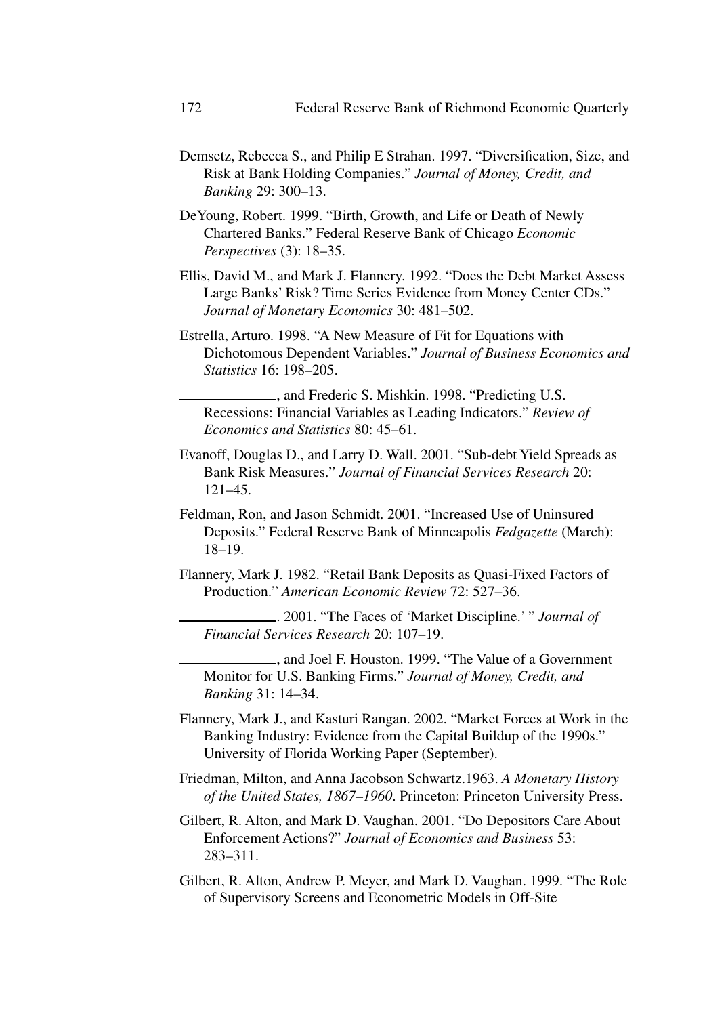- Demsetz, Rebecca S., and Philip E Strahan. 1997. "Diversification, Size, and Risk at Bank Holding Companies." *Journal of Money, Credit, and Banking* 29: 300–13.
- DeYoung, Robert. 1999. "Birth, Growth, and Life or Death of Newly Chartered Banks." Federal Reserve Bank of Chicago *Economic Perspectives* (3): 18–35.
- Ellis, David M., and Mark J. Flannery. 1992. "Does the Debt Market Assess Large Banks' Risk? Time Series Evidence from Money Center CDs." *Journal of Monetary Economics* 30: 481–502.
- Estrella, Arturo. 1998. "A New Measure of Fit for Equations with Dichotomous Dependent Variables." *Journal of Business Economics and Statistics* 16: 198–205.

and Frederic S. Mishkin. 1998. "Predicting U.S. Recessions: Financial Variables as Leading Indicators." *Review of Economics and Statistics* 80: 45–61.

- Evanoff, Douglas D., and Larry D. Wall. 2001. "Sub-debt Yield Spreads as Bank Risk Measures." *Journal of Financial Services Research* 20: 121–45.
- Feldman, Ron, and Jason Schmidt. 2001. "Increased Use of Uninsured Deposits." Federal Reserve Bank of Minneapolis *Fedgazette* (March): 18–19.
- Flannery, Mark J. 1982. "Retail Bank Deposits as Quasi-Fixed Factors of Production." *American Economic Review* 72: 527–36.

. 2001. "The Faces of 'Market Discipline.' " *Journal of Financial Services Research* 20: 107–19.

, and Joel F. Houston. 1999. "The Value of a Government Monitor for U.S. Banking Firms." *Journal of Money, Credit, and Banking* 31: 14–34.

- Flannery, Mark J., and Kasturi Rangan. 2002. "Market Forces at Work in the Banking Industry: Evidence from the Capital Buildup of the 1990s." University of Florida Working Paper (September).
- Friedman, Milton, and Anna Jacobson Schwartz.1963. *A Monetary History of the United States, 1867–1960*. Princeton: Princeton University Press.
- Gilbert, R. Alton, and Mark D. Vaughan. 2001. "Do Depositors Care About Enforcement Actions?" *Journal of Economics and Business* 53: 283–311.
- Gilbert, R. Alton, Andrew P. Meyer, and Mark D. Vaughan. 1999. "The Role of Supervisory Screens and Econometric Models in Off-Site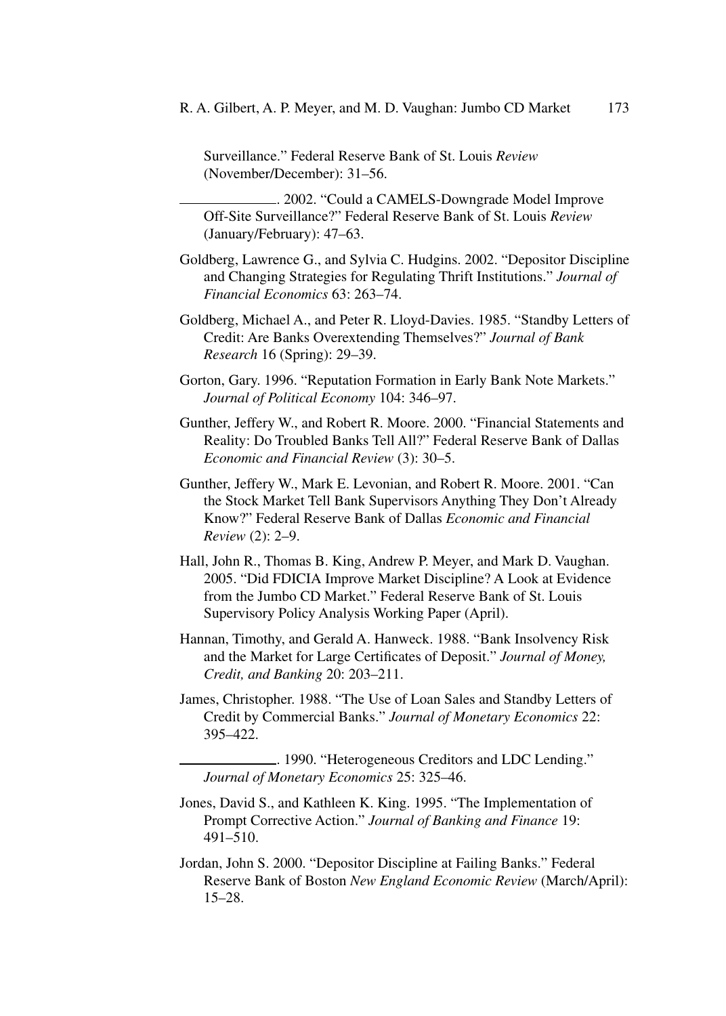Surveillance." Federal Reserve Bank of St. Louis *Review* (November/December): 31–56.

. 2002. "Could a CAMELS-Downgrade Model Improve Off-Site Surveillance?" Federal Reserve Bank of St. Louis *Review* (January/February): 47–63.

- Goldberg, Lawrence G., and Sylvia C. Hudgins. 2002. "Depositor Discipline and Changing Strategies for Regulating Thrift Institutions." *Journal of Financial Economics* 63: 263–74.
- Goldberg, Michael A., and Peter R. Lloyd-Davies. 1985. "Standby Letters of Credit: Are Banks Overextending Themselves?" *Journal of Bank Research* 16 (Spring): 29–39.
- Gorton, Gary. 1996. "Reputation Formation in Early Bank Note Markets." *Journal of Political Economy* 104: 346–97.
- Gunther, Jeffery W., and Robert R. Moore. 2000. "Financial Statements and Reality: Do Troubled Banks Tell All?" Federal Reserve Bank of Dallas *Economic and Financial Review* (3): 30–5.
- Gunther, Jeffery W., Mark E. Levonian, and Robert R. Moore. 2001. "Can the Stock Market Tell Bank Supervisors Anything They Don't Already Know?" Federal Reserve Bank of Dallas *Economic and Financial Review* (2): 2–9.
- Hall, John R., Thomas B. King, Andrew P. Meyer, and Mark D. Vaughan. 2005. "Did FDICIA Improve Market Discipline? A Look at Evidence from the Jumbo CD Market." Federal Reserve Bank of St. Louis Supervisory Policy Analysis Working Paper (April).
- Hannan, Timothy, and Gerald A. Hanweck. 1988. "Bank Insolvency Risk and the Market for Large Certificates of Deposit." *Journal of Money, Credit, and Banking* 20: 203–211.
- James, Christopher. 1988. "The Use of Loan Sales and Standby Letters of Credit by Commercial Banks." *Journal of Monetary Economics* 22: 395–422.

. 1990. "Heterogeneous Creditors and LDC Lending." *Journal of Monetary Economics* 25: 325–46.

- Jones, David S., and Kathleen K. King. 1995. "The Implementation of Prompt Corrective Action." *Journal of Banking and Finance* 19: 491–510.
- Jordan, John S. 2000. "Depositor Discipline at Failing Banks." Federal Reserve Bank of Boston *New England Economic Review* (March/April): 15–28.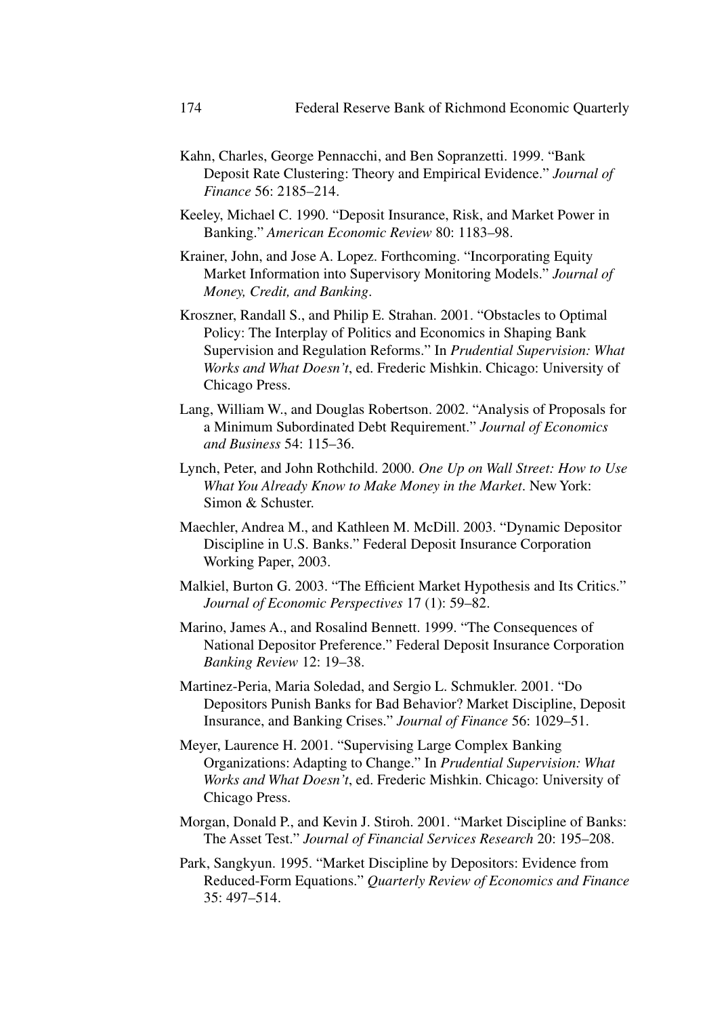- Kahn, Charles, George Pennacchi, and Ben Sopranzetti. 1999. "Bank Deposit Rate Clustering: Theory and Empirical Evidence." *Journal of Finance* 56: 2185–214.
- Keeley, Michael C. 1990. "Deposit Insurance, Risk, and Market Power in Banking." *American Economic Review* 80: 1183–98.
- Krainer, John, and Jose A. Lopez. Forthcoming. "Incorporating Equity Market Information into Supervisory Monitoring Models." *Journal of Money, Credit, and Banking*.
- Kroszner, Randall S., and Philip E. Strahan. 2001. "Obstacles to Optimal Policy: The Interplay of Politics and Economics in Shaping Bank Supervision and Regulation Reforms." In *Prudential Supervision: What Works and What Doesn't*, ed. Frederic Mishkin. Chicago: University of Chicago Press.
- Lang, William W., and Douglas Robertson. 2002. "Analysis of Proposals for a Minimum Subordinated Debt Requirement." *Journal of Economics and Business* 54: 115–36.
- Lynch, Peter, and John Rothchild. 2000. *One Up on Wall Street: How to Use What You Already Know to Make Money in the Market*. New York: Simon & Schuster.
- Maechler, Andrea M., and Kathleen M. McDill. 2003. "Dynamic Depositor Discipline in U.S. Banks." Federal Deposit Insurance Corporation Working Paper, 2003.
- Malkiel, Burton G. 2003. "The Efficient Market Hypothesis and Its Critics." *Journal of Economic Perspectives* 17 (1): 59–82.
- Marino, James A., and Rosalind Bennett. 1999. "The Consequences of National Depositor Preference." Federal Deposit Insurance Corporation *Banking Review* 12: 19–38.
- Martinez-Peria, Maria Soledad, and Sergio L. Schmukler. 2001. "Do Depositors Punish Banks for Bad Behavior? Market Discipline, Deposit Insurance, and Banking Crises." *Journal of Finance* 56: 1029–51.
- Meyer, Laurence H. 2001. "Supervising Large Complex Banking Organizations: Adapting to Change." In *Prudential Supervision: What Works and What Doesn't*, ed. Frederic Mishkin. Chicago: University of Chicago Press.
- Morgan, Donald P., and Kevin J. Stiroh. 2001. "Market Discipline of Banks: The Asset Test." *Journal of Financial Services Research* 20: 195–208.
- Park, Sangkyun. 1995. "Market Discipline by Depositors: Evidence from Reduced-Form Equations." *Quarterly Review of Economics and Finance* 35: 497–514.